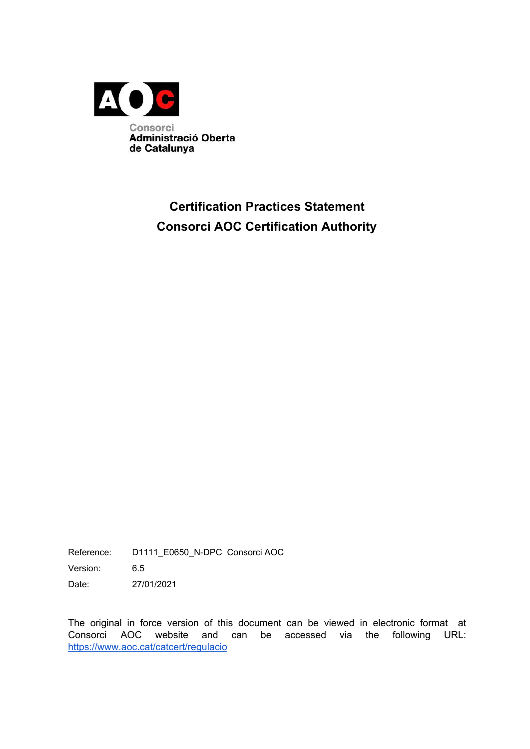

# **Certification Practices Statement Consorci AOC Certification Authority**

Reference: D1111\_E0650\_N-DPC Consorci AOC

Version: 6.5

Date: 27/01/2021

The original in force version of this document can be viewed in electronic format at Consorci AOC website and can be accessed via the following URL: <https://www.aoc.cat/catcert/regulacio>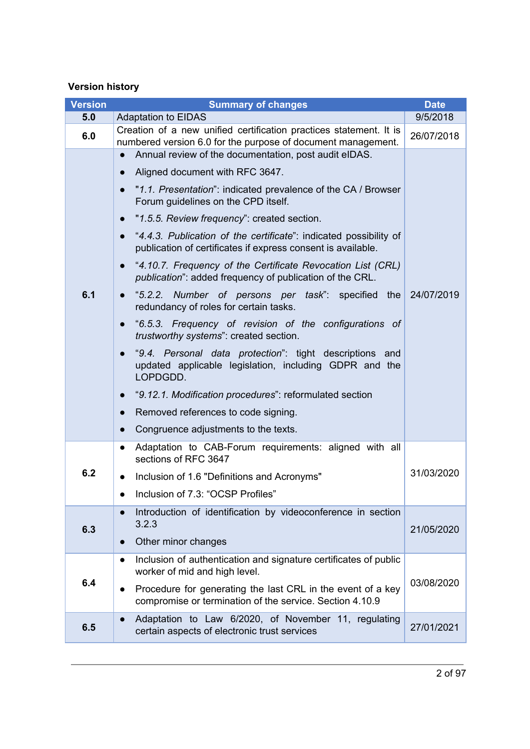### **Version history**

| <b>Version</b> | <b>Summary of changes</b>                                                                                                                        | <b>Date</b> |
|----------------|--------------------------------------------------------------------------------------------------------------------------------------------------|-------------|
| 5.0            | <b>Adaptation to EIDAS</b><br>9/5/2018                                                                                                           |             |
| 6.0            | Creation of a new unified certification practices statement. It is<br>26/07/2018<br>numbered version 6.0 for the purpose of document management. |             |
|                | Annual review of the documentation, post audit eIDAS.                                                                                            |             |
|                | Aligned document with RFC 3647.                                                                                                                  |             |
|                | "1.1. Presentation": indicated prevalence of the CA / Browser<br>Forum guidelines on the CPD itself.                                             |             |
|                | "1.5.5. Review frequency": created section.                                                                                                      |             |
|                | "4.4.3. Publication of the certificate": indicated possibility of<br>publication of certificates if express consent is available.                |             |
|                | "4.10.7. Frequency of the Certificate Revocation List (CRL)<br>$\bullet$<br><i>publication</i> ": added frequency of publication of the CRL.     |             |
| 6.1            | "5.2.2. Number of persons per task": specified<br>the<br>$\bullet$<br>redundancy of roles for certain tasks.                                     | 24/07/2019  |
|                | "6.5.3. Frequency of revision of the configurations of<br>$\bullet$<br>trustworthy systems": created section.                                    |             |
|                | "9.4. Personal data protection": tight descriptions and<br>updated applicable legislation, including GDPR and the<br>LOPDGDD.                    |             |
|                | "9.12.1. Modification procedures": reformulated section                                                                                          |             |
|                | Removed references to code signing.                                                                                                              |             |
|                | Congruence adjustments to the texts.                                                                                                             |             |
|                | Adaptation to CAB-Forum requirements: aligned with all<br>$\bullet$<br>sections of RFC 3647                                                      |             |
| 6.2            | Inclusion of 1.6 "Definitions and Acronyms"                                                                                                      | 31/03/2020  |
|                | Inclusion of 7.3: "OCSP Profiles"                                                                                                                |             |
|                | Introduction of identification by videoconference in section                                                                                     |             |
| 6.3            | 3.2.3                                                                                                                                            | 21/05/2020  |
|                | Other minor changes                                                                                                                              |             |
|                | Inclusion of authentication and signature certificates of public<br>$\bullet$<br>worker of mid and high level.                                   |             |
| 6.4            | Procedure for generating the last CRL in the event of a key<br>$\bullet$<br>compromise or termination of the service. Section 4.10.9             | 03/08/2020  |
| 6.5            | Adaptation to Law 6/2020, of November 11, regulating<br>certain aspects of electronic trust services                                             | 27/01/2021  |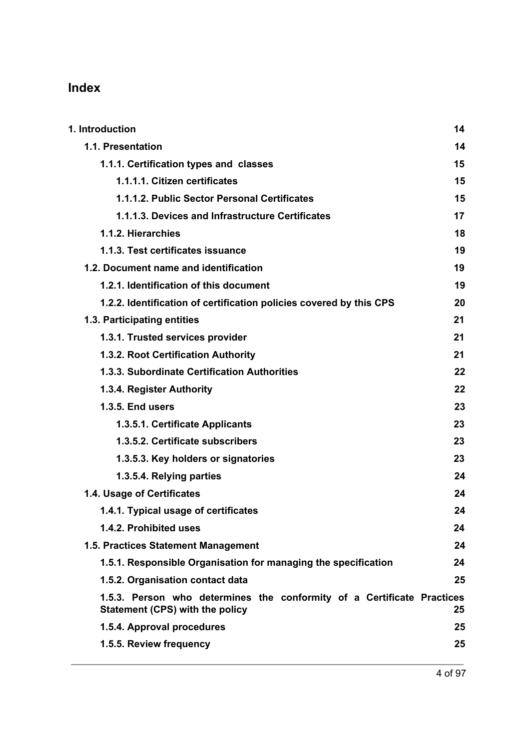# **Index**

| 1. Introduction                                                                                           | 14 |
|-----------------------------------------------------------------------------------------------------------|----|
| 1.1. Presentation                                                                                         | 14 |
| 1.1.1. Certification types and classes                                                                    | 15 |
| 1.1.1.1. Citizen certificates                                                                             | 15 |
| 1.1.1.2. Public Sector Personal Certificates                                                              | 15 |
| 1.1.1.3. Devices and Infrastructure Certificates                                                          | 17 |
| 1.1.2. Hierarchies                                                                                        | 18 |
| 1.1.3. Test certificates issuance                                                                         | 19 |
| 1.2. Document name and identification                                                                     | 19 |
| 1.2.1. Identification of this document                                                                    | 19 |
| 1.2.2. Identification of certification policies covered by this CPS                                       | 20 |
| 1.3. Participating entities                                                                               | 21 |
| 1.3.1. Trusted services provider                                                                          | 21 |
| 1.3.2. Root Certification Authority                                                                       | 21 |
| 1.3.3. Subordinate Certification Authorities                                                              | 22 |
| 1.3.4. Register Authority                                                                                 | 22 |
| <b>1.3.5. End users</b>                                                                                   | 23 |
| 1.3.5.1. Certificate Applicants                                                                           | 23 |
| 1.3.5.2. Certificate subscribers                                                                          | 23 |
| 1.3.5.3. Key holders or signatories                                                                       | 23 |
| 1.3.5.4. Relying parties                                                                                  | 24 |
| 1.4. Usage of Certificates                                                                                | 24 |
| 1.4.1. Typical usage of certificates                                                                      | 24 |
| 1.4.2. Prohibited uses                                                                                    | 24 |
| 1.5. Practices Statement Management                                                                       | 24 |
| 1.5.1. Responsible Organisation for managing the specification                                            | 24 |
| 1.5.2. Organisation contact data                                                                          | 25 |
| 1.5.3. Person who determines the conformity of a Certificate Practices<br>Statement (CPS) with the policy | 25 |
| 1.5.4. Approval procedures                                                                                | 25 |
| 1.5.5. Review frequency                                                                                   | 25 |
|                                                                                                           |    |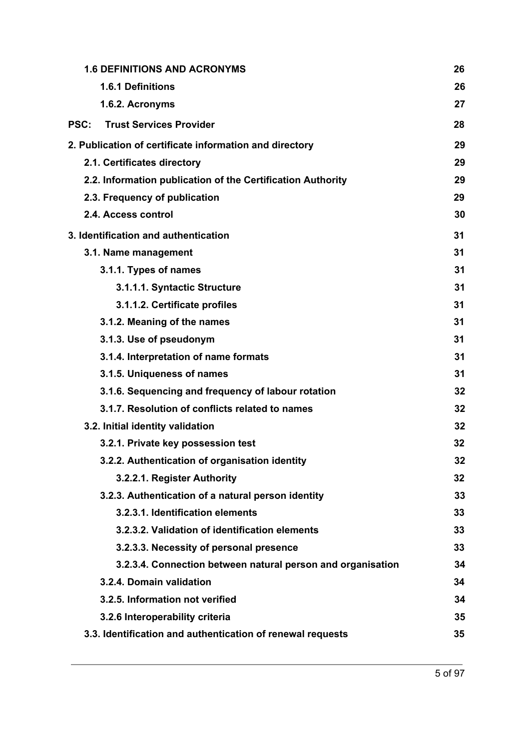|             | <b>1.6 DEFINITIONS AND ACRONYMS</b>                         | 26 |
|-------------|-------------------------------------------------------------|----|
|             | 1.6.1 Definitions                                           | 26 |
|             | 1.6.2. Acronyms                                             | 27 |
| <b>PSC:</b> | <b>Trust Services Provider</b>                              | 28 |
|             | 2. Publication of certificate information and directory     | 29 |
|             | 2.1. Certificates directory                                 | 29 |
|             | 2.2. Information publication of the Certification Authority | 29 |
|             | 2.3. Frequency of publication                               | 29 |
|             | 2.4. Access control                                         | 30 |
|             | 3. Identification and authentication                        | 31 |
|             | 3.1. Name management                                        | 31 |
|             | 3.1.1. Types of names                                       | 31 |
|             | 3.1.1.1. Syntactic Structure                                | 31 |
|             | 3.1.1.2. Certificate profiles                               | 31 |
|             | 3.1.2. Meaning of the names                                 | 31 |
|             | 3.1.3. Use of pseudonym                                     | 31 |
|             | 3.1.4. Interpretation of name formats                       | 31 |
|             | 3.1.5. Uniqueness of names                                  | 31 |
|             | 3.1.6. Sequencing and frequency of labour rotation          | 32 |
|             | 3.1.7. Resolution of conflicts related to names             | 32 |
|             | 3.2. Initial identity validation                            | 32 |
|             | 3.2.1. Private key possession test                          | 32 |
|             | 3.2.2. Authentication of organisation identity              | 32 |
|             | 3.2.2.1. Register Authority                                 | 32 |
|             | 3.2.3. Authentication of a natural person identity          | 33 |
|             | 3.2.3.1. Identification elements                            | 33 |
|             | 3.2.3.2. Validation of identification elements              | 33 |
|             | 3.2.3.3. Necessity of personal presence                     | 33 |
|             | 3.2.3.4. Connection between natural person and organisation | 34 |
|             | 3.2.4. Domain validation                                    | 34 |
|             | 3.2.5. Information not verified                             | 34 |
|             | 3.2.6 Interoperability criteria                             | 35 |
|             | 3.3. Identification and authentication of renewal requests  | 35 |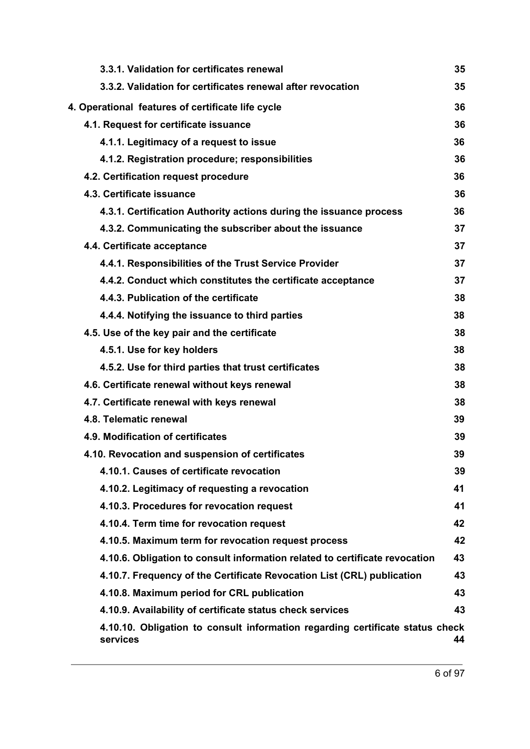| 3.3.1. Validation for certificates renewal                                                | 35 |
|-------------------------------------------------------------------------------------------|----|
| 3.3.2. Validation for certificates renewal after revocation                               | 35 |
| 4. Operational features of certificate life cycle                                         | 36 |
| 4.1. Request for certificate issuance                                                     | 36 |
| 4.1.1. Legitimacy of a request to issue                                                   | 36 |
| 4.1.2. Registration procedure; responsibilities                                           | 36 |
| 4.2. Certification request procedure                                                      | 36 |
| 4.3. Certificate issuance                                                                 | 36 |
| 4.3.1. Certification Authority actions during the issuance process                        | 36 |
| 4.3.2. Communicating the subscriber about the issuance                                    | 37 |
| 4.4. Certificate acceptance                                                               | 37 |
| 4.4.1. Responsibilities of the Trust Service Provider                                     | 37 |
| 4.4.2. Conduct which constitutes the certificate acceptance                               | 37 |
| 4.4.3. Publication of the certificate                                                     | 38 |
| 4.4.4. Notifying the issuance to third parties                                            | 38 |
| 4.5. Use of the key pair and the certificate                                              | 38 |
| 4.5.1. Use for key holders                                                                | 38 |
| 4.5.2. Use for third parties that trust certificates                                      | 38 |
| 4.6. Certificate renewal without keys renewal                                             | 38 |
| 4.7. Certificate renewal with keys renewal                                                | 38 |
| 4.8. Telematic renewal                                                                    | 39 |
| 4.9. Modification of certificates                                                         | 39 |
| 4.10. Revocation and suspension of certificates                                           | 39 |
| 4.10.1. Causes of certificate revocation                                                  | 39 |
| 4.10.2. Legitimacy of requesting a revocation                                             | 41 |
| 4.10.3. Procedures for revocation request                                                 | 41 |
| 4.10.4. Term time for revocation request                                                  | 42 |
| 4.10.5. Maximum term for revocation request process                                       | 42 |
| 4.10.6. Obligation to consult information related to certificate revocation               | 43 |
| 4.10.7. Frequency of the Certificate Revocation List (CRL) publication                    | 43 |
| 4.10.8. Maximum period for CRL publication                                                | 43 |
| 4.10.9. Availability of certificate status check services                                 | 43 |
| 4.10.10. Obligation to consult information regarding certificate status check<br>services | 44 |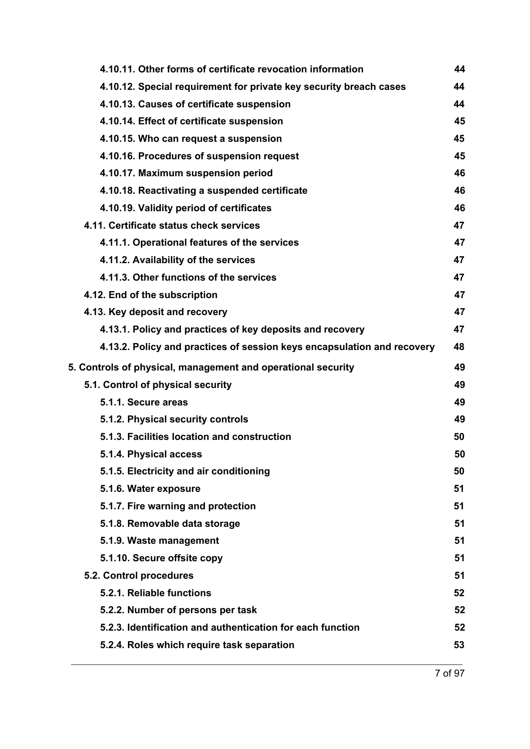| 4.10.11. Other forms of certificate revocation information              | 44 |
|-------------------------------------------------------------------------|----|
| 4.10.12. Special requirement for private key security breach cases      | 44 |
| 4.10.13. Causes of certificate suspension                               | 44 |
| 4.10.14. Effect of certificate suspension                               | 45 |
| 4.10.15. Who can request a suspension                                   | 45 |
| 4.10.16. Procedures of suspension request                               | 45 |
| 4.10.17. Maximum suspension period                                      | 46 |
| 4.10.18. Reactivating a suspended certificate                           | 46 |
| 4.10.19. Validity period of certificates                                | 46 |
| 4.11. Certificate status check services                                 | 47 |
| 4.11.1. Operational features of the services                            | 47 |
| 4.11.2. Availability of the services                                    | 47 |
| 4.11.3. Other functions of the services                                 | 47 |
| 4.12. End of the subscription                                           | 47 |
| 4.13. Key deposit and recovery                                          | 47 |
| 4.13.1. Policy and practices of key deposits and recovery               | 47 |
| 4.13.2. Policy and practices of session keys encapsulation and recovery | 48 |
| 5. Controls of physical, management and operational security            | 49 |
| 5.1. Control of physical security                                       | 49 |
| 5.1.1. Secure areas                                                     | 49 |
| 5.1.2. Physical security controls                                       | 49 |
| 5.1.3. Facilities location and construction                             | 50 |
| 5.1.4. Physical access                                                  | 50 |
| 5.1.5. Electricity and air conditioning                                 | 50 |
| 5.1.6. Water exposure                                                   | 51 |
| 5.1.7. Fire warning and protection                                      | 51 |
| 5.1.8. Removable data storage                                           | 51 |
|                                                                         |    |
| 5.1.9. Waste management                                                 | 51 |
| 5.1.10. Secure offsite copy                                             | 51 |
| 5.2. Control procedures                                                 | 51 |
| 5.2.1. Reliable functions                                               | 52 |
| 5.2.2. Number of persons per task                                       | 52 |
| 5.2.3. Identification and authentication for each function              | 52 |
| 5.2.4. Roles which require task separation                              | 53 |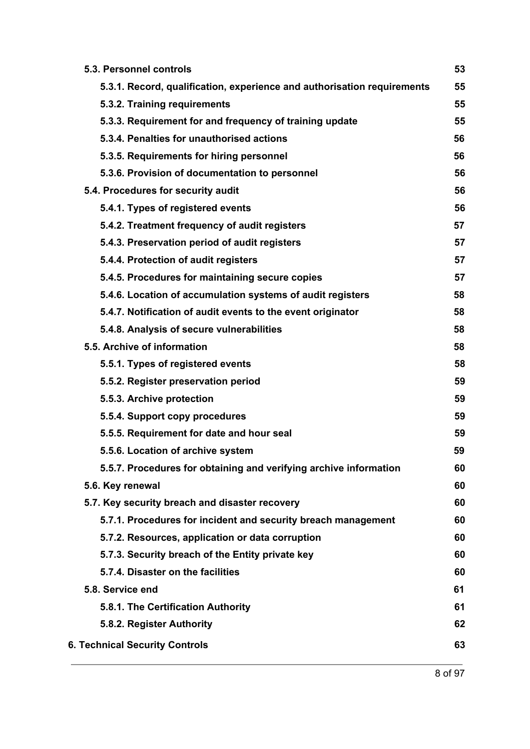| 5.3. Personnel controls                                                 | 53 |
|-------------------------------------------------------------------------|----|
| 5.3.1. Record, qualification, experience and authorisation requirements | 55 |
| 5.3.2. Training requirements                                            | 55 |
| 5.3.3. Requirement for and frequency of training update                 | 55 |
| 5.3.4. Penalties for unauthorised actions                               | 56 |
| 5.3.5. Requirements for hiring personnel                                | 56 |
| 5.3.6. Provision of documentation to personnel                          | 56 |
| 5.4. Procedures for security audit                                      | 56 |
| 5.4.1. Types of registered events                                       | 56 |
| 5.4.2. Treatment frequency of audit registers                           | 57 |
| 5.4.3. Preservation period of audit registers                           | 57 |
| 5.4.4. Protection of audit registers                                    | 57 |
| 5.4.5. Procedures for maintaining secure copies                         | 57 |
| 5.4.6. Location of accumulation systems of audit registers              | 58 |
| 5.4.7. Notification of audit events to the event originator             | 58 |
| 5.4.8. Analysis of secure vulnerabilities                               | 58 |
| 5.5. Archive of information                                             | 58 |
| 5.5.1. Types of registered events                                       | 58 |
| 5.5.2. Register preservation period                                     | 59 |
| 5.5.3. Archive protection                                               | 59 |
| 5.5.4. Support copy procedures                                          | 59 |
| 5.5.5. Requirement for date and hour seal                               | 59 |
| 5.5.6. Location of archive system                                       | 59 |
| 5.5.7. Procedures for obtaining and verifying archive information       | 60 |
| 5.6. Key renewal                                                        | 60 |
| 5.7. Key security breach and disaster recovery                          | 60 |
| 5.7.1. Procedures for incident and security breach management           | 60 |
| 5.7.2. Resources, application or data corruption                        | 60 |
| 5.7.3. Security breach of the Entity private key                        | 60 |
| 5.7.4. Disaster on the facilities                                       | 60 |
| 5.8. Service end                                                        | 61 |
| 5.8.1. The Certification Authority                                      | 61 |
| 5.8.2. Register Authority                                               | 62 |
| <b>6. Technical Security Controls</b>                                   | 63 |
|                                                                         |    |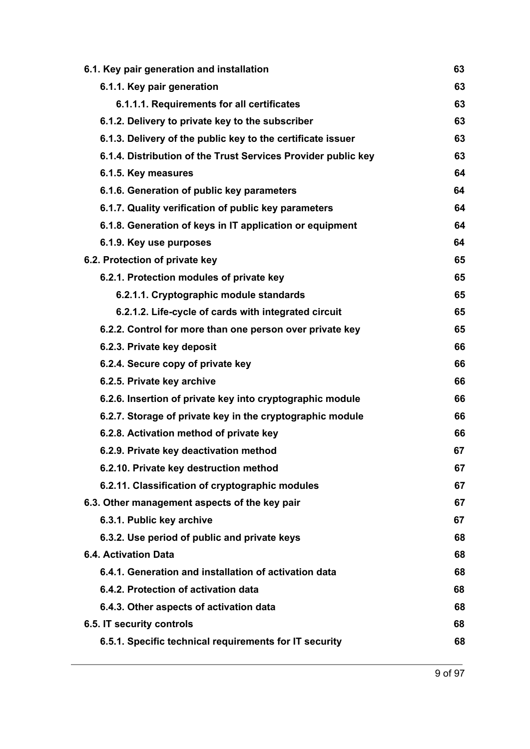| 63 |
|----|
| 63 |
| 63 |
| 63 |
| 63 |
| 63 |
| 64 |
| 64 |
| 64 |
| 64 |
| 64 |
| 65 |
| 65 |
| 65 |
| 65 |
| 65 |
| 66 |
| 66 |
| 66 |
| 66 |
| 66 |
| 66 |
| 67 |
| 67 |
| 67 |
| 67 |
| 67 |
| 68 |
| 68 |
| 68 |
| 68 |
| 68 |
| 68 |
| 68 |
|    |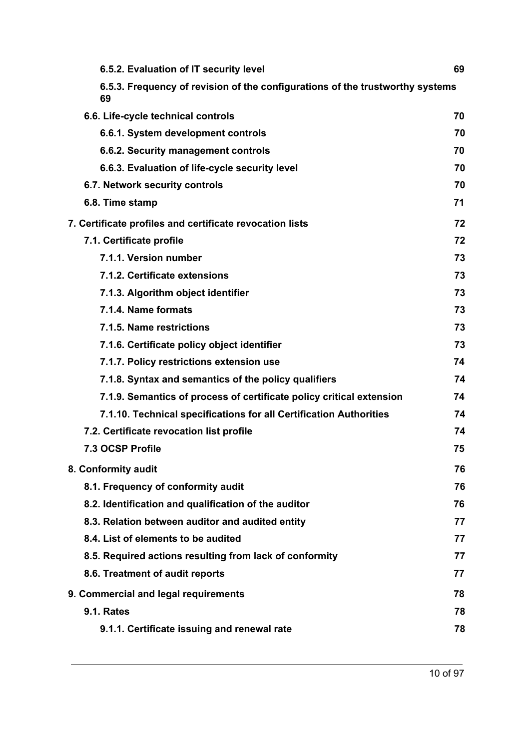| 6.5.2. Evaluation of IT security level                                              | 69 |
|-------------------------------------------------------------------------------------|----|
| 6.5.3. Frequency of revision of the configurations of the trustworthy systems<br>69 |    |
| 6.6. Life-cycle technical controls                                                  | 70 |
| 6.6.1. System development controls                                                  | 70 |
| 6.6.2. Security management controls                                                 | 70 |
| 6.6.3. Evaluation of life-cycle security level                                      | 70 |
| 6.7. Network security controls                                                      | 70 |
| 6.8. Time stamp                                                                     | 71 |
| 7. Certificate profiles and certificate revocation lists                            | 72 |
| 7.1. Certificate profile                                                            | 72 |
| 7.1.1. Version number                                                               | 73 |
| 7.1.2. Certificate extensions                                                       | 73 |
| 7.1.3. Algorithm object identifier                                                  | 73 |
| 7.1.4. Name formats                                                                 | 73 |
| 7.1.5. Name restrictions                                                            | 73 |
| 7.1.6. Certificate policy object identifier                                         | 73 |
| 7.1.7. Policy restrictions extension use                                            | 74 |
| 7.1.8. Syntax and semantics of the policy qualifiers                                | 74 |
| 7.1.9. Semantics of process of certificate policy critical extension                | 74 |
| 7.1.10. Technical specifications for all Certification Authorities                  | 74 |
| 7.2. Certificate revocation list profile                                            | 74 |
| 7.3 OCSP Profile                                                                    | 75 |
| 8. Conformity audit                                                                 | 76 |
| 8.1. Frequency of conformity audit                                                  | 76 |
| 8.2. Identification and qualification of the auditor                                | 76 |
| 8.3. Relation between auditor and audited entity                                    | 77 |
| 8.4. List of elements to be audited                                                 | 77 |
| 8.5. Required actions resulting from lack of conformity                             | 77 |
| 8.6. Treatment of audit reports                                                     | 77 |
| 9. Commercial and legal requirements                                                | 78 |
| <b>9.1. Rates</b>                                                                   | 78 |
| 9.1.1. Certificate issuing and renewal rate                                         | 78 |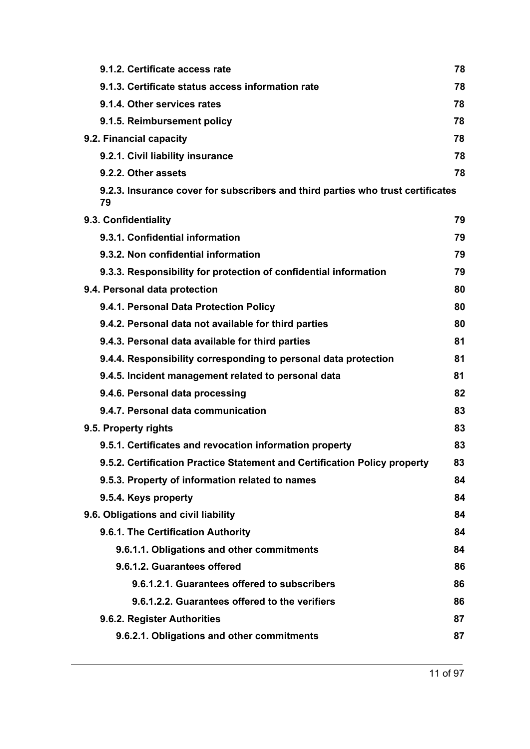| 9.1.2. Certificate access rate                                                        | 78 |
|---------------------------------------------------------------------------------------|----|
| 9.1.3. Certificate status access information rate                                     | 78 |
| 9.1.4. Other services rates                                                           | 78 |
| 9.1.5. Reimbursement policy                                                           | 78 |
| 9.2. Financial capacity                                                               | 78 |
| 9.2.1. Civil liability insurance                                                      | 78 |
| 9.2.2. Other assets                                                                   | 78 |
| 9.2.3. Insurance cover for subscribers and third parties who trust certificates<br>79 |    |
| 9.3. Confidentiality                                                                  | 79 |
| 9.3.1. Confidential information                                                       | 79 |
| 9.3.2. Non confidential information                                                   | 79 |
| 9.3.3. Responsibility for protection of confidential information                      | 79 |
| 9.4. Personal data protection                                                         | 80 |
| 9.4.1. Personal Data Protection Policy                                                | 80 |
| 9.4.2. Personal data not available for third parties                                  | 80 |
| 9.4.3. Personal data available for third parties                                      | 81 |
| 9.4.4. Responsibility corresponding to personal data protection                       | 81 |
| 9.4.5. Incident management related to personal data                                   | 81 |
| 9.4.6. Personal data processing                                                       | 82 |
| 9.4.7. Personal data communication                                                    | 83 |
| 9.5. Property rights                                                                  | 83 |
| 9.5.1. Certificates and revocation information property                               | 83 |
| 9.5.2. Certification Practice Statement and Certification Policy property             | 83 |
| 9.5.3. Property of information related to names                                       | 84 |
| 9.5.4. Keys property                                                                  | 84 |
| 9.6. Obligations and civil liability                                                  | 84 |
| 9.6.1. The Certification Authority                                                    | 84 |
| 9.6.1.1. Obligations and other commitments                                            | 84 |
| 9.6.1.2. Guarantees offered                                                           | 86 |
| 9.6.1.2.1. Guarantees offered to subscribers                                          | 86 |
| 9.6.1.2.2. Guarantees offered to the verifiers                                        | 86 |
| 9.6.2. Register Authorities                                                           | 87 |
| 9.6.2.1. Obligations and other commitments                                            | 87 |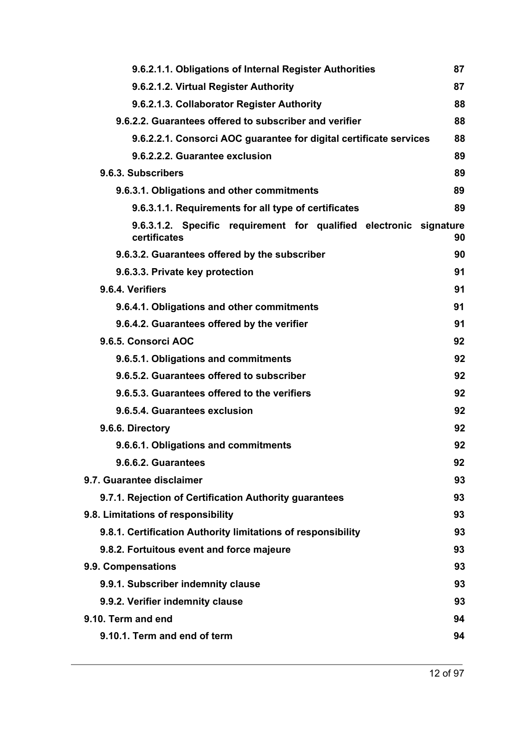| 9.6.2.1.1. Obligations of Internal Register Authorities                            | 87 |
|------------------------------------------------------------------------------------|----|
| 9.6.2.1.2. Virtual Register Authority                                              | 87 |
| 9.6.2.1.3. Collaborator Register Authority                                         | 88 |
| 9.6.2.2. Guarantees offered to subscriber and verifier                             | 88 |
| 9.6.2.2.1. Consorci AOC guarantee for digital certificate services                 | 88 |
| 9.6.2.2.2. Guarantee exclusion                                                     | 89 |
| 9.6.3. Subscribers                                                                 | 89 |
| 9.6.3.1. Obligations and other commitments                                         | 89 |
| 9.6.3.1.1. Requirements for all type of certificates                               | 89 |
| 9.6.3.1.2. Specific requirement for qualified electronic signature<br>certificates | 90 |
| 9.6.3.2. Guarantees offered by the subscriber                                      | 90 |
| 9.6.3.3. Private key protection                                                    | 91 |
| 9.6.4. Verifiers                                                                   | 91 |
| 9.6.4.1. Obligations and other commitments                                         | 91 |
| 9.6.4.2. Guarantees offered by the verifier                                        | 91 |
| 9.6.5. Consorci AOC                                                                | 92 |
| 9.6.5.1. Obligations and commitments                                               | 92 |
| 9.6.5.2. Guarantees offered to subscriber                                          | 92 |
| 9.6.5.3. Guarantees offered to the verifiers                                       | 92 |
| 9.6.5.4. Guarantees exclusion                                                      | 92 |
| 9.6.6. Directory                                                                   | 92 |
| 9.6.6.1. Obligations and commitments                                               | 92 |
| 9.6.6.2. Guarantees                                                                | 92 |
| 9.7. Guarantee disclaimer                                                          | 93 |
| 9.7.1. Rejection of Certification Authority guarantees                             | 93 |
| 9.8. Limitations of responsibility                                                 | 93 |
| 9.8.1. Certification Authority limitations of responsibility                       | 93 |
| 9.8.2. Fortuitous event and force majeure                                          | 93 |
| 9.9. Compensations                                                                 | 93 |
| 9.9.1. Subscriber indemnity clause                                                 | 93 |
| 9.9.2. Verifier indemnity clause                                                   | 93 |
| 9.10. Term and end                                                                 | 94 |
| 9.10.1. Term and end of term                                                       | 94 |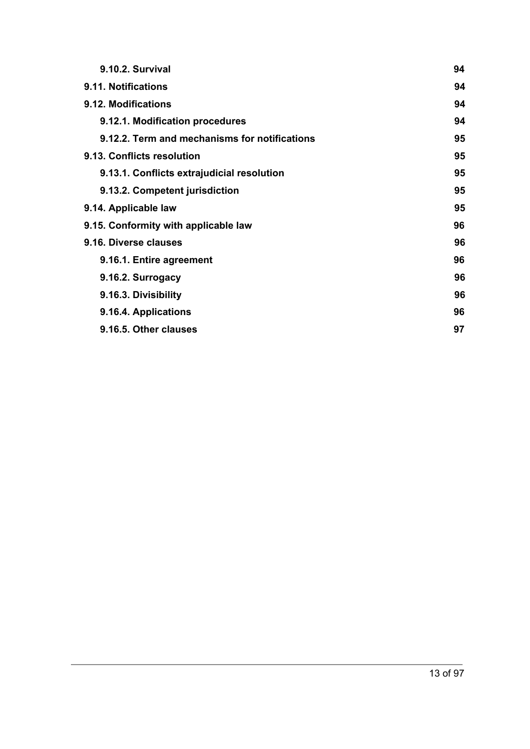| 9.10.2. Survival                              | 94 |
|-----------------------------------------------|----|
| 9.11. Notifications                           | 94 |
| 9.12. Modifications                           | 94 |
| 9.12.1. Modification procedures               | 94 |
| 9.12.2. Term and mechanisms for notifications | 95 |
| 9.13. Conflicts resolution                    | 95 |
| 9.13.1. Conflicts extrajudicial resolution    | 95 |
| 9.13.2. Competent jurisdiction                | 95 |
| 9.14. Applicable law                          | 95 |
| 9.15. Conformity with applicable law          | 96 |
| 9.16. Diverse clauses                         | 96 |
| 9.16.1. Entire agreement                      | 96 |
| 9.16.2. Surrogacy                             | 96 |
| 9.16.3. Divisibility                          | 96 |
| 9.16.4. Applications                          | 96 |
| 9.16.5. Other clauses                         | 97 |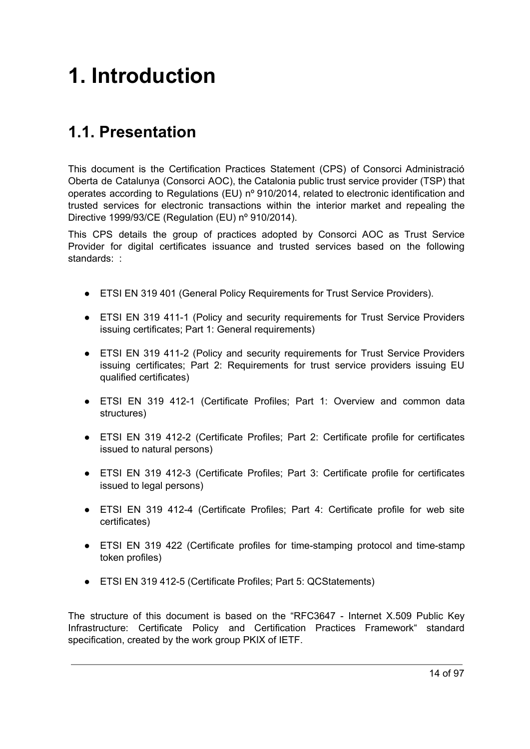# <span id="page-13-0"></span>**1. Introduction**

# <span id="page-13-1"></span>**1.1. Presentation**

This document is the Certification Practices Statement (CPS) of Consorci Administració Oberta de Catalunya (Consorci AOC), the Catalonia public trust service provider (TSP) that operates according to Regulations (EU) nº 910/2014, related to electronic identification and trusted services for electronic transactions within the interior market and repealing the Directive 1999/93/CE (Regulation (EU) nº 910/2014).

This CPS details the group of practices adopted by Consorci AOC as Trust Service Provider for digital certificates issuance and trusted services based on the following standards: :

- ETSI EN 319 401 (General Policy Requirements for Trust Service Providers).
- ETSI EN 319 411-1 (Policy and security requirements for Trust Service Providers issuing certificates; Part 1: General requirements)
- ETSI EN 319 411-2 (Policy and security requirements for Trust Service Providers issuing certificates; Part 2: Requirements for trust service providers issuing EU qualified certificates)
- ETSI EN 319 412-1 (Certificate Profiles; Part 1: Overview and common data structures)
- ETSI EN 319 412-2 (Certificate Profiles; Part 2: Certificate profile for certificates issued to natural persons)
- ETSI EN 319 412-3 (Certificate Profiles; Part 3: Certificate profile for certificates issued to legal persons)
- ETSI EN 319 412-4 (Certificate Profiles; Part 4: Certificate profile for web site certificates)
- ETSI EN 319 422 (Certificate profiles for time-stamping protocol and time-stamp token profiles)
- ETSI EN 319 412-5 (Certificate Profiles; Part 5: QCStatements)

The structure of this document is based on the "RFC3647 - Internet X.509 Public Key Infrastructure: Certificate Policy and Certification Practices Framework" standard specification, created by the work group PKIX of IETF.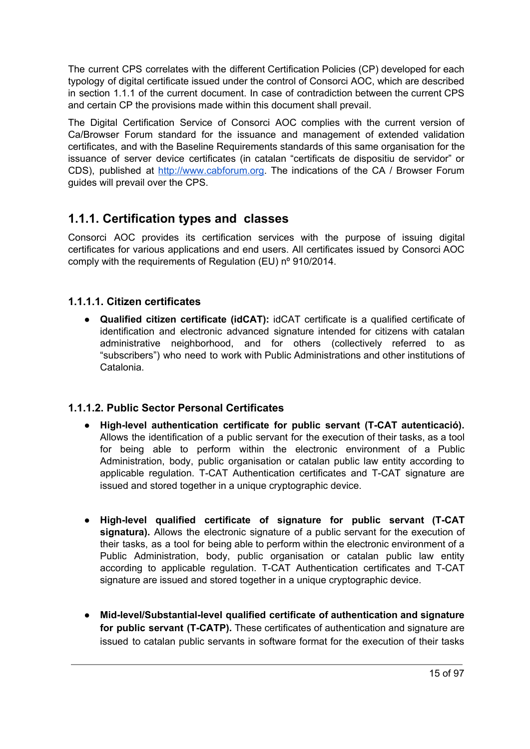The current CPS correlates with the different Certification Policies (CP) developed for each typology of digital certificate issued under the control of Consorci AOC, which are described in section 1.1.1 of the current document. In case of contradiction between the current CPS and certain CP the provisions made within this document shall prevail.

The Digital Certification Service of Consorci AOC complies with the current version of Ca/Browser Forum standard for the issuance and management of extended validation certificates, and with the Baseline Requirements standards of this same organisation for the issuance of server device certificates (in catalan "certificats de dispositiu de servidor" or CDS), published at [http://www.cabforum.org](http://www.cabforum.org/). The indications of the CA / Browser Forum guides will prevail over the CPS.

# <span id="page-14-0"></span>**1.1.1. Certification types and classes**

Consorci AOC provides its certification services with the purpose of issuing digital certificates for various applications and end users. All certificates issued by Consorci AOC comply with the requirements of Regulation (EU) nº 910/2014.

#### <span id="page-14-1"></span>**1.1.1.1. Citizen certificates**

● **Qualified citizen certificate (idCAT):** idCAT certificate is a qualified certificate of identification and electronic advanced signature intended for citizens with catalan administrative neighborhood, and for others (collectively referred to as "subscribers") who need to work with Public Administrations and other institutions of Catalonia.

#### <span id="page-14-2"></span>**1.1.1.2. Public Sector Personal Certificates**

- **High-level authentication certificate for public servant (T-CAT autenticació).** Allows the identification of a public servant for the execution of their tasks, as a tool for being able to perform within the electronic environment of a Public Administration, body, public organisation or catalan public law entity according to applicable regulation. T-CAT Authentication certificates and T-CAT signature are issued and stored together in a unique cryptographic device.
- **● High-level qualified certificate of signature for public servant (T-CAT signatura).** Allows the electronic signature of a public servant for the execution of their tasks, as a tool for being able to perform within the electronic environment of a Public Administration, body, public organisation or catalan public law entity according to applicable regulation. T-CAT Authentication certificates and T-CAT signature are issued and stored together in a unique cryptographic device.
- **● Mid-level/Substantial-level qualified certificate of authentication and signature for public servant (T-CATP).** These certificates of authentication and signature are issued to catalan public servants in software format for the execution of their tasks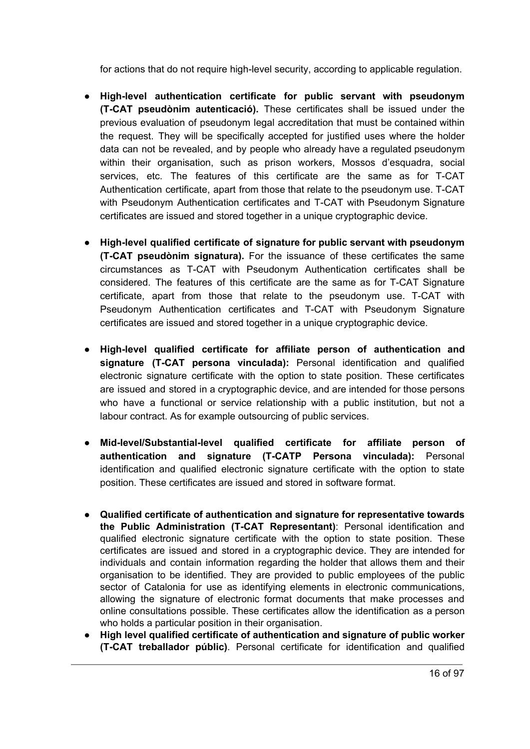for actions that do not require high-level security, according to applicable regulation.

- **High-level authentication certificate for public servant with pseudonym (T-CAT pseudònim autenticació).** These certificates shall be issued under the previous evaluation of pseudonym legal accreditation that must be contained within the request. They will be specifically accepted for justified uses where the holder data can not be revealed, and by people who already have a regulated pseudonym within their organisation, such as prison workers, Mossos d'esquadra, social services, etc. The features of this certificate are the same as for T-CAT Authentication certificate, apart from those that relate to the pseudonym use. T-CAT with Pseudonym Authentication certificates and T-CAT with Pseudonym Signature certificates are issued and stored together in a unique cryptographic device.
- **High-level qualified certificate of signature for public servant with pseudonym (T-CAT pseudònim signatura).** For the issuance of these certificates the same circumstances as T-CAT with Pseudonym Authentication certificates shall be considered. The features of this certificate are the same as for T-CAT Signature certificate, apart from those that relate to the pseudonym use. T-CAT with Pseudonym Authentication certificates and T-CAT with Pseudonym Signature certificates are issued and stored together in a unique cryptographic device.
- **● High-level qualified certificate for affiliate person of authentication and signature (T-CAT persona vinculada):** Personal identification and qualified electronic signature certificate with the option to state position. These certificates are issued and stored in a cryptographic device, and are intended for those persons who have a functional or service relationship with a public institution, but not a labour contract. As for example outsourcing of public services.
- **● Mid-level/Substantial-level qualified certificate for affiliate person of authentication and signature (T-CATP Persona vinculada):** Personal identification and qualified electronic signature certificate with the option to state position. These certificates are issued and stored in software format.
- **Qualified certificate of authentication and signature for representative towards the Public Administration (T-CAT Representant)**: Personal identification and qualified electronic signature certificate with the option to state position. These certificates are issued and stored in a cryptographic device. They are intended for individuals and contain information regarding the holder that allows them and their organisation to be identified. They are provided to public employees of the public sector of Catalonia for use as identifying elements in electronic communications, allowing the signature of electronic format documents that make processes and online consultations possible. These certificates allow the identification as a person who holds a particular position in their organisation.
- **High level qualified certificate of authentication and signature of public worker (T-CAT treballador públic)**. Personal certificate for identification and qualified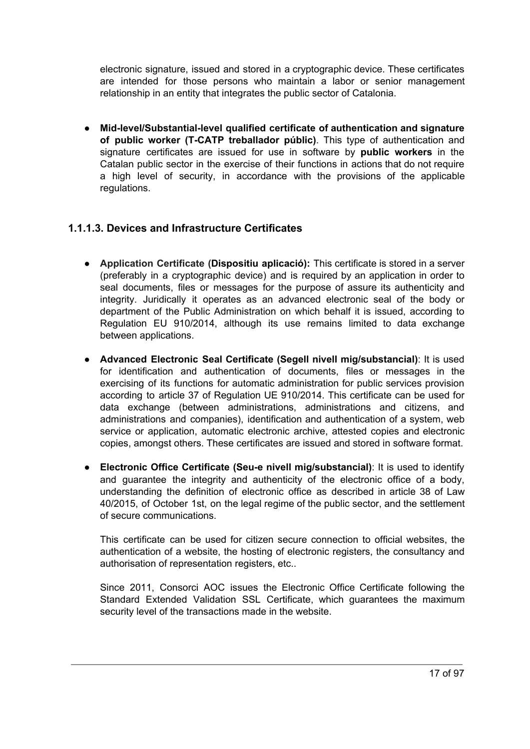electronic signature, issued and stored in a cryptographic device. These certificates are intended for those persons who maintain a labor or senior management relationship in an entity that integrates the public sector of Catalonia.

● **Mid-level/Substantial-level qualified certificate of authentication and signature of public worker (T-CATP treballador públic)**. This type of authentication and signature certificates are issued for use in software by **public workers** in the Catalan public sector in the exercise of their functions in actions that do not require a high level of security, in accordance with the provisions of the applicable regulations.

#### <span id="page-16-0"></span>**1.1.1.3. Devices and Infrastructure Certificates**

- **Application Certificate (Dispositiu aplicació):** This certificate is stored in a server (preferably in a cryptographic device) and is required by an application in order to seal documents, files or messages for the purpose of assure its authenticity and integrity. Juridically it operates as an advanced electronic seal of the body or department of the Public Administration on which behalf it is issued, according to Regulation EU 910/2014, although its use remains limited to data exchange between applications.
- **Advanced Electronic Seal Certificate (Segell nivell mig/substancial)**: It is used for identification and authentication of documents, files or messages in the exercising of its functions for automatic administration for public services provision according to article 37 of Regulation UE 910/2014. This certificate can be used for data exchange (between administrations, administrations and citizens, and administrations and companies), identification and authentication of a system, web service or application, automatic electronic archive, attested copies and electronic copies, amongst others. These certificates are issued and stored in software format.
- **Electronic Office Certificate (Seu-e nivell mig/substancial)**: It is used to identify and guarantee the integrity and authenticity of the electronic office of a body, understanding the definition of electronic office as described in article 38 of Law 40/2015, of October 1st, on the legal regime of the public sector, and the settlement of secure communications.

This certificate can be used for citizen secure connection to official websites, the authentication of a website, the hosting of electronic registers, the consultancy and authorisation of representation registers, etc..

Since 2011, Consorci AOC issues the Electronic Office Certificate following the Standard Extended Validation SSL Certificate, which guarantees the maximum security level of the transactions made in the website.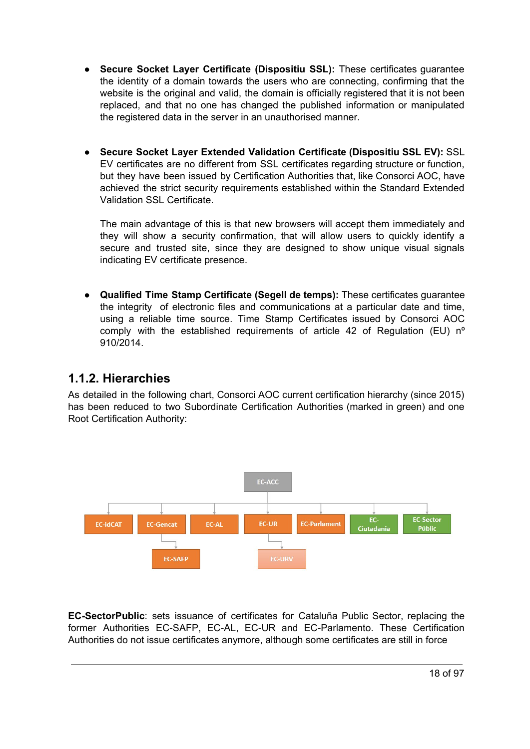- **Secure Socket Layer Certificate (Dispositiu SSL):** These certificates guarantee the identity of a domain towards the users who are connecting, confirming that the website is the original and valid, the domain is officially registered that it is not been replaced, and that no one has changed the published information or manipulated the registered data in the server in an unauthorised manner.
- **Secure Socket Layer Extended Validation Certificate (Dispositiu SSL EV):** SSL EV certificates are no different from SSL certificates regarding structure or function, but they have been issued by Certification Authorities that, like Consorci AOC, have achieved the strict security requirements established within the Standard Extended Validation SSL Certificate.

The main advantage of this is that new browsers will accept them immediately and they will show a security confirmation, that will allow users to quickly identify a secure and trusted site, since they are designed to show unique visual signals indicating EV certificate presence.

● **Qualified Time Stamp Certificate (Segell de temps):** These certificates guarantee the integrity of electronic files and communications at a particular date and time, using a reliable time source. Time Stamp Certificates issued by Consorci AOC comply with the established requirements of article 42 of Regulation (EU) nº 910/2014.

### <span id="page-17-0"></span>**1.1.2. Hierarchies**

As detailed in the following chart, Consorci AOC current certification hierarchy (since 2015) has been reduced to two Subordinate Certification Authorities (marked in green) and one Root Certification Authority:



**EC-SectorPublic**: sets issuance of certificates for Cataluña Public Sector, replacing the former Authorities EC-SAFP, EC-AL, EC-UR and EC-Parlamento. These Certification Authorities do not issue certificates anymore, although some certificates are still in force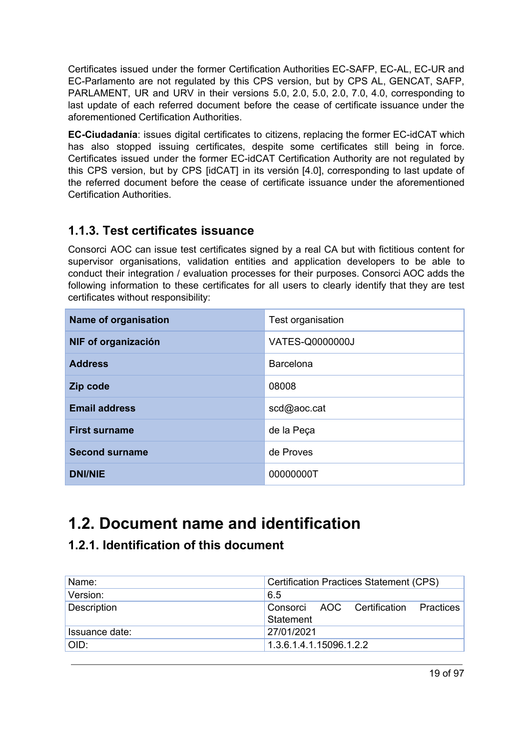Certificates issued under the former Certification Authorities EC-SAFP, EC-AL, EC-UR and EC-Parlamento are not regulated by this CPS version, but by CPS AL, GENCAT, SAFP, PARLAMENT, UR and URV in their versions 5.0, 2.0, 5.0, 2.0, 7.0, 4.0, corresponding to last update of each referred document before the cease of certificate issuance under the aforementioned Certification Authorities.

**EC-Ciudadanía**: issues digital certificates to citizens, replacing the former EC-idCAT which has also stopped issuing certificates, despite some certificates still being in force. Certificates issued under the former EC-idCAT Certification Authority are not regulated by this CPS version, but by CPS [idCAT] in its versión [4.0], corresponding to last update of the referred document before the cease of certificate issuance under the aforementioned Certification Authorities.

### <span id="page-18-0"></span>**1.1.3. Test certificates issuance**

Consorci AOC can issue test certificates signed by a real CA but with fictitious content for supervisor organisations, validation entities and application developers to be able to conduct their integration / evaluation processes for their purposes. Consorci AOC adds the following information to these certificates for all users to clearly identify that they are test certificates without responsibility:

| <b>Name of organisation</b> | Test organisation |
|-----------------------------|-------------------|
| NIF of organización         | VATES-Q0000000J   |
| <b>Address</b>              | Barcelona         |
| Zip code                    | 08008             |
| <b>Email address</b>        | scd@aoc.cat       |
| <b>First surname</b>        | de la Peça        |
| <b>Second surname</b>       | de Proves         |
| <b>DNI/NIE</b>              | 00000000T         |

# <span id="page-18-1"></span>**1.2. Document name and identification**

# <span id="page-18-2"></span>**1.2.1. Identification of this document**

| Name:          | <b>Certification Practices Statement (CPS)</b>       |
|----------------|------------------------------------------------------|
| Version:       | 6.5                                                  |
| Description    | Practices<br>Consorci AOC Certification<br>Statement |
| Issuance date: | 27/01/2021                                           |
| OID:           | 1.3.6.1.4.1.15096.1.2.2                              |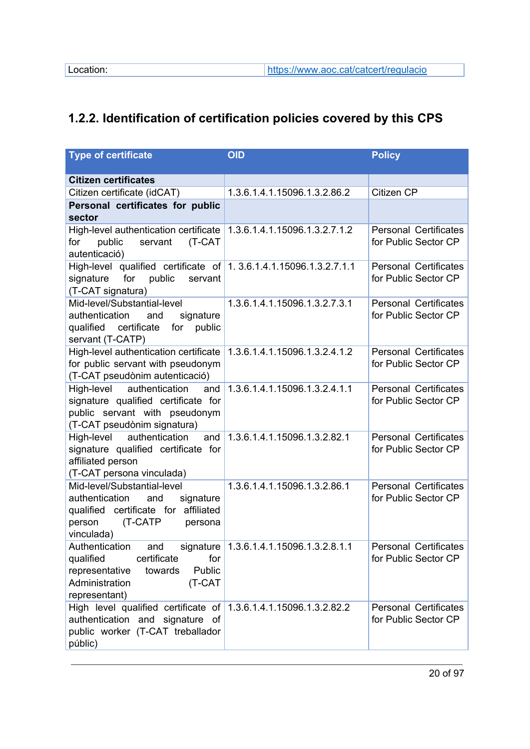# <span id="page-19-0"></span>**1.2.2. Identification of certification policies covered by this CPS**

| <b>Type of certificate</b>                                                                                                                                                        | <b>OID</b>                    | <b>Policy</b>                                        |
|-----------------------------------------------------------------------------------------------------------------------------------------------------------------------------------|-------------------------------|------------------------------------------------------|
| <b>Citizen certificates</b>                                                                                                                                                       |                               |                                                      |
| Citizen certificate (idCAT)                                                                                                                                                       | 1.3.6.1.4.1.15096.1.3.2.86.2  | Citizen CP                                           |
| Personal certificates for public<br>sector                                                                                                                                        |                               |                                                      |
| High-level authentication certificate 1.3.6.1.4.1.15096.1.3.2.7.1.2<br>(T-CAT<br>for<br>public<br>servant<br>autenticació)                                                        |                               | <b>Personal Certificates</b><br>for Public Sector CP |
| High-level qualified certificate of 1.3.6.1.4.1.15096.1.3.2.7.1.1<br>signature<br>for<br>public<br>servant<br>(T-CAT signatura)                                                   |                               | <b>Personal Certificates</b><br>for Public Sector CP |
| Mid-level/Substantial-level<br>authentication<br>signature<br>and<br>qualified certificate<br>for public<br>servant (T-CATP)                                                      | 1.3.6.1.4.1.15096.1.3.2.7.3.1 | <b>Personal Certificates</b><br>for Public Sector CP |
| High-level authentication certificate<br>for public servant with pseudonym<br>(T-CAT pseudònim autenticació)                                                                      | 1.3.6.1.4.1.15096.1.3.2.4.1.2 | <b>Personal Certificates</b><br>for Public Sector CP |
| High-level authentication<br>and<br>signature qualified certificate for<br>public servant with pseudonym<br>(T-CAT pseudònim signatura)                                           | 1.3.6.1.4.1.15096.1.3.2.4.1.1 | <b>Personal Certificates</b><br>for Public Sector CP |
| High-level<br>authentication<br>and<br>signature qualified certificate for<br>affiliated person<br>(T-CAT persona vinculada)                                                      | 1.3.6.1.4.1.15096.1.3.2.82.1  | <b>Personal Certificates</b><br>for Public Sector CP |
| Mid-level/Substantial-level<br>authentication<br>and<br>signature<br>qualified certificate for affiliated<br>(T-CATP<br>person<br>persona<br>vinculada)                           | 1.3.6.1.4.1.15096.1.3.2.86.1  | <b>Personal Certificates</b><br>for Public Sector CP |
| Authentication and signature 1.3.6.1.4.1.15096.1.3.2.8.1.1<br>certificate<br>qualified<br>for<br>Public<br>representative<br>towards<br>Administration<br>(T-CAT<br>representant) |                               | <b>Personal Certificates</b><br>for Public Sector CP |
| High level qualified certificate of 1.3.6.1.4.1.15096.1.3.2.82.2<br>authentication and signature of<br>public worker (T-CAT treballador<br>públic)                                |                               | <b>Personal Certificates</b><br>for Public Sector CP |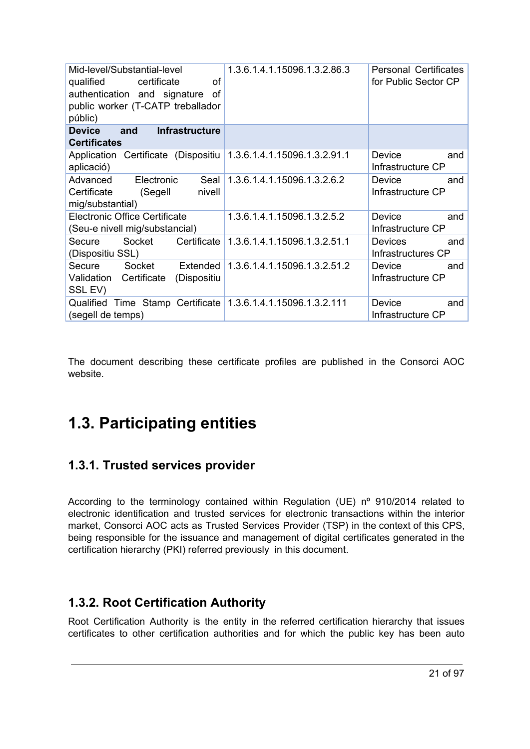| Mid-level/Substantial-level<br>qualified<br>certificate<br>οf<br>authentication and signature<br>οf<br>public worker (T-CATP treballador<br>públic) | 1.3.6.1.4.1.15096.1.3.2.86.3                       | <b>Personal Certificates</b><br>for Public Sector CP |
|-----------------------------------------------------------------------------------------------------------------------------------------------------|----------------------------------------------------|------------------------------------------------------|
| <b>Device</b><br><b>Infrastructure</b><br>and<br><b>Certificates</b>                                                                                |                                                    |                                                      |
| Application Certificate (Dispositiu 1.3.6.1.4.1.15096.1.3.2.91.1<br>aplicació)                                                                      |                                                    | Device<br>and<br>Infrastructure CP                   |
| Advanced<br>Electronic<br>Seal<br>Certificate<br>(Segell<br>nivell<br>mig/substantial)                                                              | 1.3.6.1.4.1.15096.1.3.2.6.2                        | Device<br>and<br>Infrastructure CP                   |
| <b>Electronic Office Certificate</b><br>(Seu-e nivell mig/substancial)                                                                              | 1.3.6.1.4.1.15096.1.3.2.5.2                        | Device<br>and<br>Infrastructure CP                   |
| Socket<br>Certificate<br>Secure<br>(Dispositiu SSL)                                                                                                 | 1.3.6.1.4.1.15096.1.3.2.51.1                       | <b>Devices</b><br>and<br>Infrastructures CP          |
| Secure<br>Socket<br>Extended<br>Validation<br>Certificate<br>(Dispositiu<br>SSL EV)                                                                 | 1.3.6.1.4.1.15096.1.3.2.51.2                       | Device<br>and<br>Infrastructure CP                   |
| Qualified<br>(segell de temps)                                                                                                                      | Time Stamp Certificate 1.3.6.1.4.1.15096.1.3.2.111 | Device<br>and<br>Infrastructure CP                   |

The document describing these certificate profiles are published in the Consorci AOC website.

# <span id="page-20-0"></span>**1.3. Participating entities**

# <span id="page-20-1"></span>**1.3.1. Trusted services provider**

According to the terminology contained within Regulation (UE) nº 910/2014 related to electronic identification and trusted services for electronic transactions within the interior market, Consorci AOC acts as Trusted Services Provider (TSP) in the context of this CPS, being responsible for the issuance and management of digital certificates generated in the certification hierarchy (PKI) referred previously in this document.

# <span id="page-20-2"></span>**1.3.2. Root Certification Authority**

Root Certification Authority is the entity in the referred certification hierarchy that issues certificates to other certification authorities and for which the public key has been auto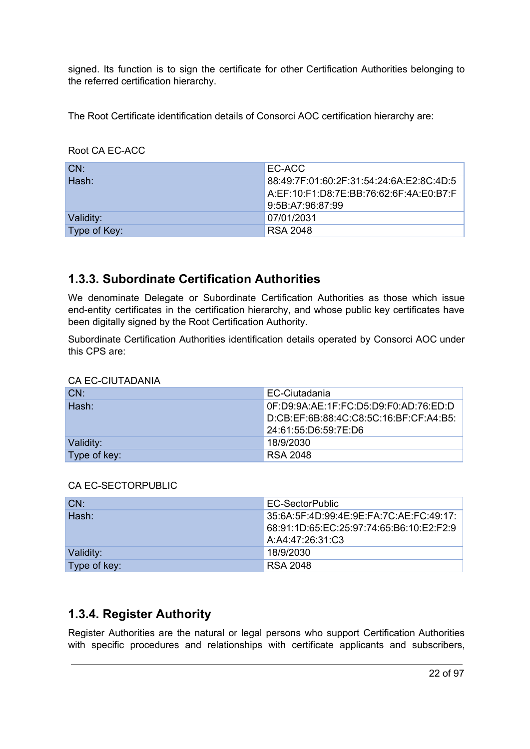signed. Its function is to sign the certificate for other Certification Authorities belonging to the referred certification hierarchy.

The Root Certificate identification details of Consorci AOC certification hierarchy are:

Root CA EC-ACC

| LCN:         | EC-ACC                                   |
|--------------|------------------------------------------|
| Hash:        | 88:49:7F:01:60:2F:31:54:24:6A:E2:8C:4D:5 |
|              | A:EF:10:F1:D8:7E:BB:76:62:6F:4A:E0:B7:F  |
|              | 9:5B:A7:96:87:99                         |
| Validity:    | 07/01/2031                               |
| Type of Key: | RSA 2048                                 |

### <span id="page-21-0"></span>**1.3.3. Subordinate Certification Authorities**

We denominate Delegate or Subordinate Certification Authorities as those which issue end-entity certificates in the certification hierarchy, and whose public key certificates have been digitally signed by the Root Certification Authority.

Subordinate Certification Authorities identification details operated by Consorci AOC under this CPS are:

| CN:          | EC-Ciutadania                          |
|--------------|----------------------------------------|
| Hash:        | 0F:D9:9A:AE:1F:FC:D5:D9:F0:AD:76:ED:D  |
|              | D:CB:EF:6B:88:4C:C8:5C:16:BF:CF:A4:B5: |
|              | 24:61:55:D6:59:7E:D6                   |
| Validity:    | 18/9/2030                              |
| Type of key: | <b>RSA 2048</b>                        |

CA EC-CIUTADANIA

#### CA EC-SECTORPUBLIC

| CN:          | EC-SectorPublic                           |
|--------------|-------------------------------------------|
| Hash:        | 35:6A:5F:4D:99:4E:9E:FA:7C:AE:FC:49:17:   |
|              | 68:91:1D:65:EC:25:97:74:65:B6:10:E2:F2:9_ |
|              | A:A4:47:26:31:C3                          |
| Validity:    | 18/9/2030                                 |
| Type of key: | <b>RSA 2048</b>                           |

# <span id="page-21-1"></span>**1.3.4. Register Authority**

Register Authorities are the natural or legal persons who support Certification Authorities with specific procedures and relationships with certificate applicants and subscribers,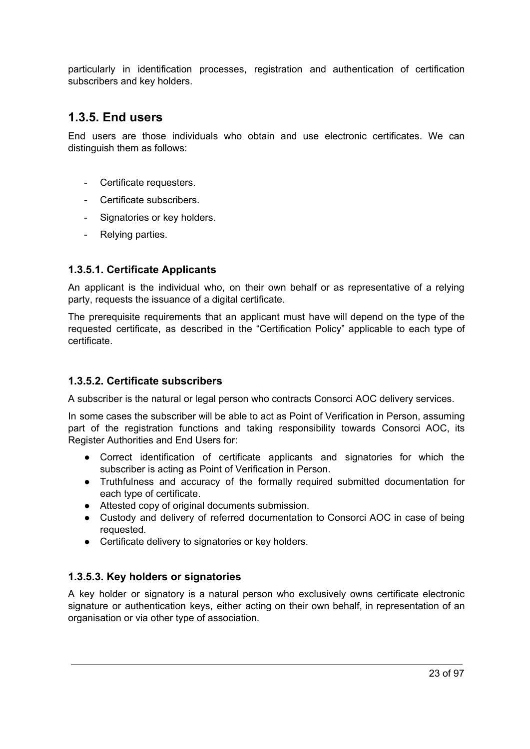particularly in identification processes, registration and authentication of certification subscribers and key holders.

### <span id="page-22-0"></span>**1.3.5. End users**

End users are those individuals who obtain and use electronic certificates. We can distinguish them as follows:

- Certificate requesters.
- Certificate subscribers.
- Signatories or key holders.
- Relying parties.

#### <span id="page-22-1"></span>**1.3.5.1. Certificate Applicants**

An applicant is the individual who, on their own behalf or as representative of a relying party, requests the issuance of a digital certificate.

The prerequisite requirements that an applicant must have will depend on the type of the requested certificate, as described in the "Certification Policy" applicable to each type of certificate.

#### <span id="page-22-2"></span>**1.3.5.2. Certificate subscribers**

A subscriber is the natural or legal person who contracts Consorci AOC delivery services.

In some cases the subscriber will be able to act as Point of Verification in Person, assuming part of the registration functions and taking responsibility towards Consorci AOC, its Register Authorities and End Users for:

- Correct identification of certificate applicants and signatories for which the subscriber is acting as Point of Verification in Person.
- Truthfulness and accuracy of the formally required submitted documentation for each type of certificate.
- Attested copy of original documents submission.
- Custody and delivery of referred documentation to Consorci AOC in case of being requested.
- Certificate delivery to signatories or key holders.

#### <span id="page-22-3"></span>**1.3.5.3. Key holders or signatories**

A key holder or signatory is a natural person who exclusively owns certificate electronic signature or authentication keys, either acting on their own behalf, in representation of an organisation or via other type of association.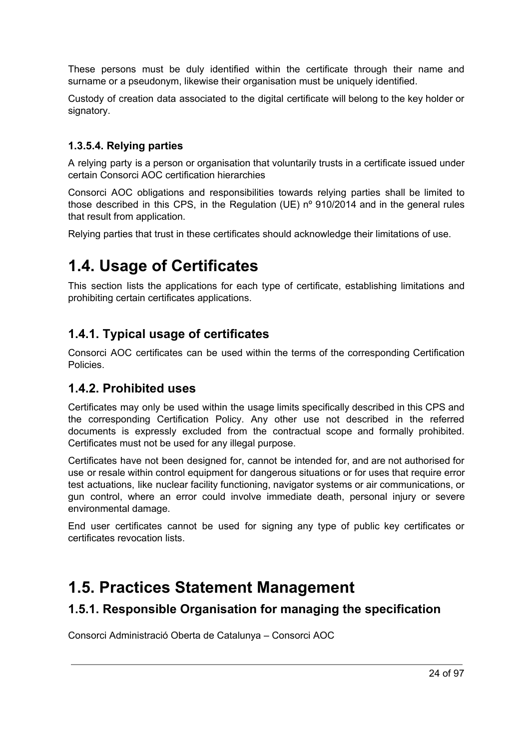These persons must be duly identified within the certificate through their name and surname or a pseudonym, likewise their organisation must be uniquely identified.

Custody of creation data associated to the digital certificate will belong to the key holder or signatory.

#### <span id="page-23-0"></span>**1.3.5.4. Relying parties**

A relying party is a person or organisation that voluntarily trusts in a certificate issued under certain Consorci AOC certification hierarchies

Consorci AOC obligations and responsibilities towards relying parties shall be limited to those described in this CPS, in the Regulation (UE) nº 910/2014 and in the general rules that result from application.

Relying parties that trust in these certificates should acknowledge their limitations of use.

# <span id="page-23-1"></span>**1.4. Usage of Certificates**

This section lists the applications for each type of certificate, establishing limitations and prohibiting certain certificates applications.

### <span id="page-23-2"></span>**1.4.1. Typical usage of certificates**

Consorci AOC certificates can be used within the terms of the corresponding Certification Policies.

#### <span id="page-23-3"></span>**1.4.2. Prohibited uses**

Certificates may only be used within the usage limits specifically described in this CPS and the corresponding Certification Policy. Any other use not described in the referred documents is expressly excluded from the contractual scope and formally prohibited. Certificates must not be used for any illegal purpose.

Certificates have not been designed for, cannot be intended for, and are not authorised for use or resale within control equipment for dangerous situations or for uses that require error test actuations, like nuclear facility functioning, navigator systems or air communications, or gun control, where an error could involve immediate death, personal injury or severe environmental damage.

End user certificates cannot be used for signing any type of public key certificates or certificates revocation lists.

# <span id="page-23-4"></span>**1.5. Practices Statement Management**

#### <span id="page-23-5"></span>**1.5.1. Responsible Organisation for managing the specification**

Consorci Administració Oberta de Catalunya – Consorci AOC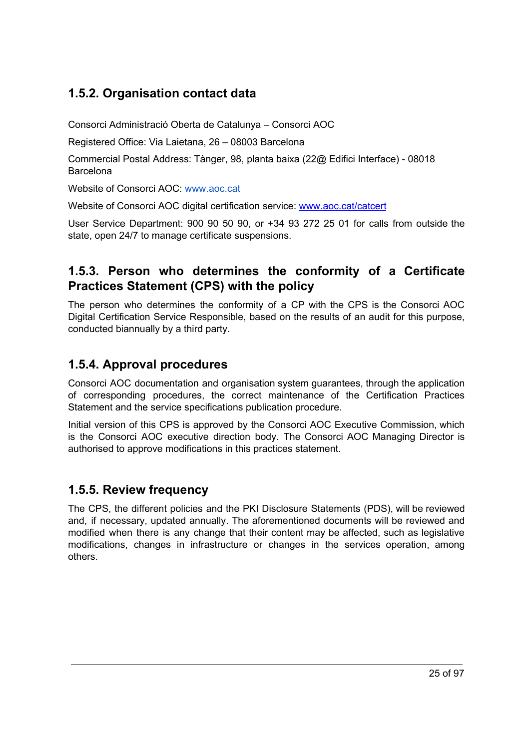# <span id="page-24-0"></span>**1.5.2. Organisation contact data**

Consorci Administració Oberta de Catalunya – Consorci AOC

Registered Office: Via Laietana, 26 – 08003 Barcelona

Commercial Postal Address: Tànger, 98, planta baixa (22@ Edifici Interface) - 08018 Barcelona

Website of Consorci AOC: [www.aoc.cat](http://www.aoc.cat/)

Website of Consorci AOC digital certification service: [www.aoc.cat/catcert](http://www.aoc.cat/catcert)

User Service Department: 900 90 50 90, or +34 93 272 25 01 for calls from outside the state, open 24/7 to manage certificate suspensions.

### <span id="page-24-1"></span>**1.5.3. Person who determines the conformity of a Certificate Practices Statement (CPS) with the policy**

The person who determines the conformity of a CP with the CPS is the Consorci AOC Digital Certification Service Responsible, based on the results of an audit for this purpose, conducted biannually by a third party.

# <span id="page-24-2"></span>**1.5.4. Approval procedures**

Consorci AOC documentation and organisation system guarantees, through the application of corresponding procedures, the correct maintenance of the Certification Practices Statement and the service specifications publication procedure.

Initial version of this CPS is approved by the Consorci AOC Executive Commission, which is the Consorci AOC executive direction body. The Consorci AOC Managing Director is authorised to approve modifications in this practices statement.

### <span id="page-24-3"></span>**1.5.5. Review frequency**

The CPS, the different policies and the PKI Disclosure Statements (PDS), will be reviewed and, if necessary, updated annually. The aforementioned documents will be reviewed and modified when there is any change that their content may be affected, such as legislative modifications, changes in infrastructure or changes in the services operation, among others.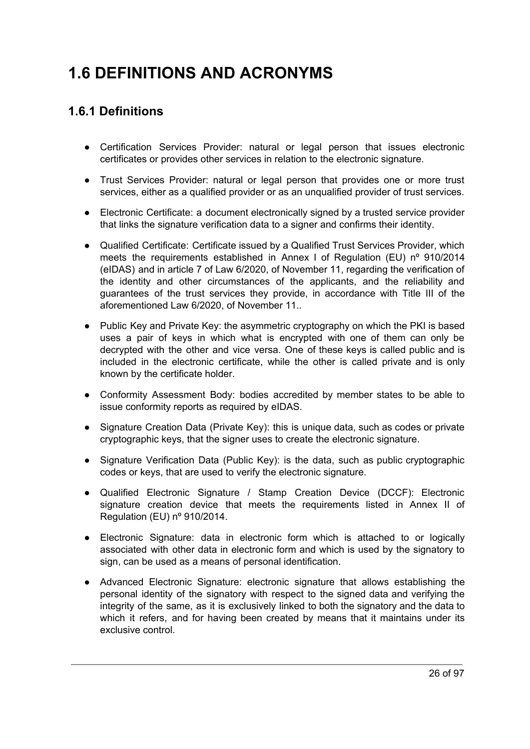# <span id="page-25-1"></span><span id="page-25-0"></span>**1.6 DEFINITIONS AND ACRONYMS**

# **1.6.1 Definitions**

- Certification Services Provider: natural or legal person that issues electronic certificates or provides other services in relation to the electronic signature.
- Trust Services Provider: natural or legal person that provides one or more trust services, either as a qualified provider or as an unqualified provider of trust services.
- Electronic Certificate: a document electronically signed by a trusted service provider that links the signature verification data to a signer and confirms their identity.
- Qualified Certificate: Certificate issued by a Qualified Trust Services Provider, which meets the requirements established in Annex I of Regulation (EU) nº 910/2014 (eIDAS) and in article 7 of Law 6/2020, of November 11, regarding the verification of the identity and other circumstances of the applicants, and the reliability and guarantees of the trust services they provide, in accordance with Title III of the aforementioned Law 6/2020, of November 11..
- Public Key and Private Key: the asymmetric cryptography on which the PKI is based uses a pair of keys in which what is encrypted with one of them can only be decrypted with the other and vice versa. One of these keys is called public and is included in the electronic certificate, while the other is called private and is only known by the certificate holder.
- Conformity Assessment Body: bodies accredited by member states to be able to issue conformity reports as required by eIDAS.
- Signature Creation Data (Private Key): this is unique data, such as codes or private cryptographic keys, that the signer uses to create the electronic signature.
- Signature Verification Data (Public Key): is the data, such as public cryptographic codes or keys, that are used to verify the electronic signature.
- Qualified Electronic Signature / Stamp Creation Device (DCCF): Electronic signature creation device that meets the requirements listed in Annex II of Regulation (EU) nº 910/2014.
- Electronic Signature: data in electronic form which is attached to or logically associated with other data in electronic form and which is used by the signatory to sign, can be used as a means of personal identification.
- Advanced Electronic Signature: electronic signature that allows establishing the personal identity of the signatory with respect to the signed data and verifying the integrity of the same, as it is exclusively linked to both the signatory and the data to which it refers, and for having been created by means that it maintains under its exclusive control.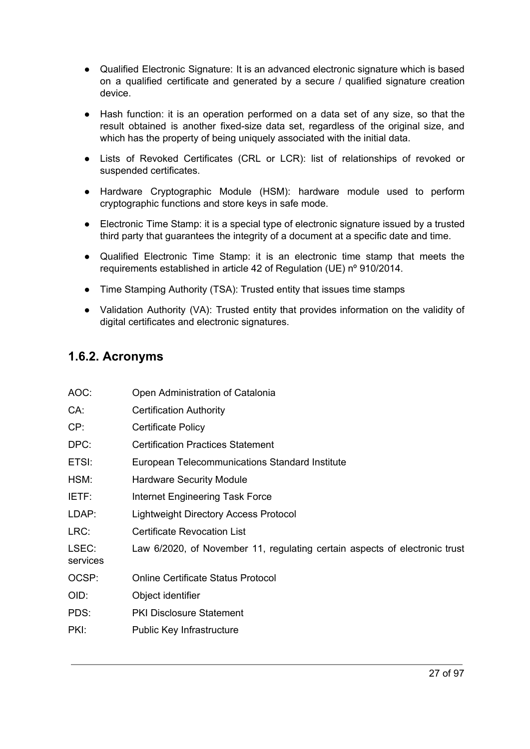- Qualified Electronic Signature: It is an advanced electronic signature which is based on a qualified certificate and generated by a secure / qualified signature creation device.
- Hash function: it is an operation performed on a data set of any size, so that the result obtained is another fixed-size data set, regardless of the original size, and which has the property of being uniquely associated with the initial data.
- Lists of Revoked Certificates (CRL or LCR): list of relationships of revoked or suspended certificates.
- Hardware Cryptographic Module (HSM): hardware module used to perform cryptographic functions and store keys in safe mode.
- Electronic Time Stamp: it is a special type of electronic signature issued by a trusted third party that guarantees the integrity of a document at a specific date and time.
- Qualified Electronic Time Stamp: it is an electronic time stamp that meets the requirements established in article 42 of Regulation (UE) nº 910/2014.
- Time Stamping Authority (TSA): Trusted entity that issues time stamps
- Validation Authority (VA): Trusted entity that provides information on the validity of digital certificates and electronic signatures.

### <span id="page-26-0"></span>**1.6.2. Acronyms**

| AOC:              | Open Administration of Catalonia                                           |
|-------------------|----------------------------------------------------------------------------|
| CA:               | <b>Certification Authority</b>                                             |
| CP:               | <b>Certificate Policy</b>                                                  |
| DPC:              | <b>Certification Practices Statement</b>                                   |
| ETSI:             | European Telecommunications Standard Institute                             |
| HSM:              | <b>Hardware Security Module</b>                                            |
| IETF:             | Internet Engineering Task Force                                            |
| LDAP:             | Lightweight Directory Access Protocol                                      |
| LRC:              | <b>Certificate Revocation List</b>                                         |
| LSEC:<br>services | Law 6/2020, of November 11, regulating certain aspects of electronic trust |
| OCSP:             | <b>Online Certificate Status Protocol</b>                                  |
| OID:              | Object identifier                                                          |
| PDS:              | <b>PKI Disclosure Statement</b>                                            |
| PKI:              | <b>Public Key Infrastructure</b>                                           |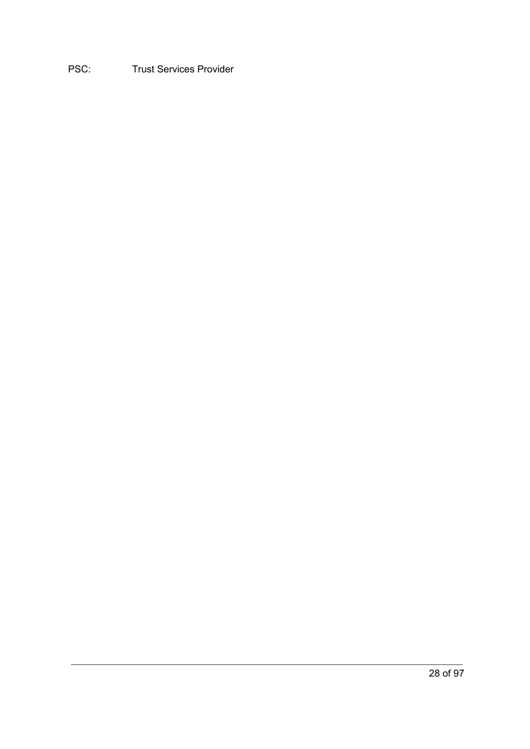### <span id="page-27-1"></span><span id="page-27-0"></span>PSC: Trust Services Provider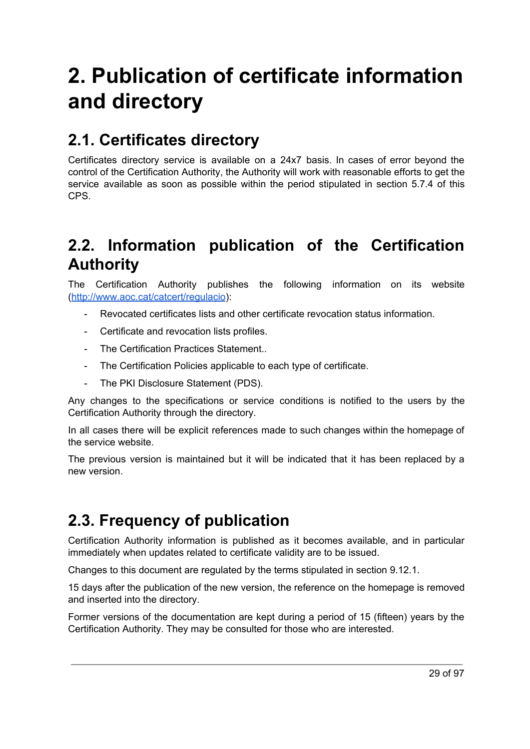# **2. Publication of certificate information and directory**

# <span id="page-28-0"></span>**2.1. Certificates directory**

Certificates directory service is available on a 24x7 basis. In cases of error beyond the control of the Certification Authority, the Authority will work with reasonable efforts to get the service available as soon as possible within the period stipulated in section 5.7.4 of this CPS.

# <span id="page-28-1"></span>**2.2. Information publication of the Certification Authority**

The Certification Authority publishes the following information on its website [\(http://www.aoc.cat/catcert/regulacio\)](http://www.aoc.cat/catcert/regulacio):

- Revocated certificates lists and other certificate revocation status information.
- Certificate and revocation lists profiles.
- The Certification Practices Statement..
- The Certification Policies applicable to each type of certificate.
- The PKI Disclosure Statement (PDS).

Any changes to the specifications or service conditions is notified to the users by the Certification Authority through the directory.

In all cases there will be explicit references made to such changes within the homepage of the service website.

The previous version is maintained but it will be indicated that it has been replaced by a new version.

# <span id="page-28-2"></span>**2.3. Frequency of publication**

Certification Authority information is published as it becomes available, and in particular immediately when updates related to certificate validity are to be issued.

Changes to this document are regulated by the terms stipulated in section 9.12.1.

15 days after the publication of the new version, the reference on the homepage is removed and inserted into the directory.

Former versions of the documentation are kept during a period of 15 (fifteen) years by the Certification Authority. They may be consulted for those who are interested.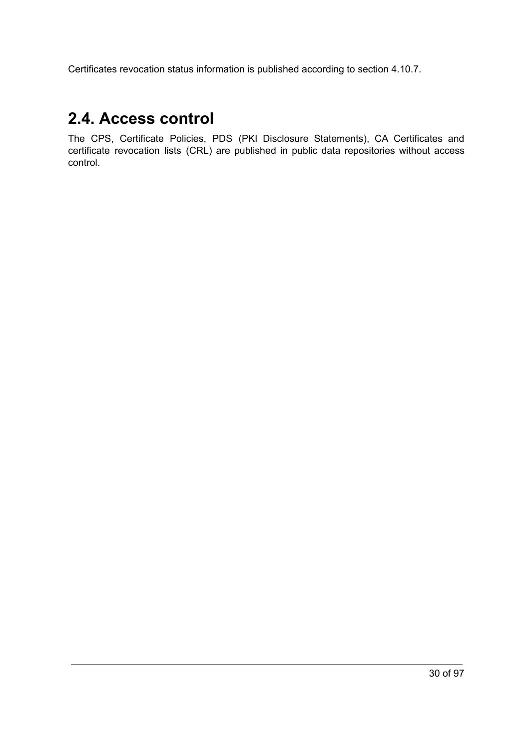Certificates revocation status information is published according to section 4.10.7.

# <span id="page-29-0"></span>**2.4. Access control**

<span id="page-29-1"></span>The CPS, Certificate Policies, PDS (PKI Disclosure Statements), CA Certificates and certificate revocation lists (CRL) are published in public data repositories without access control.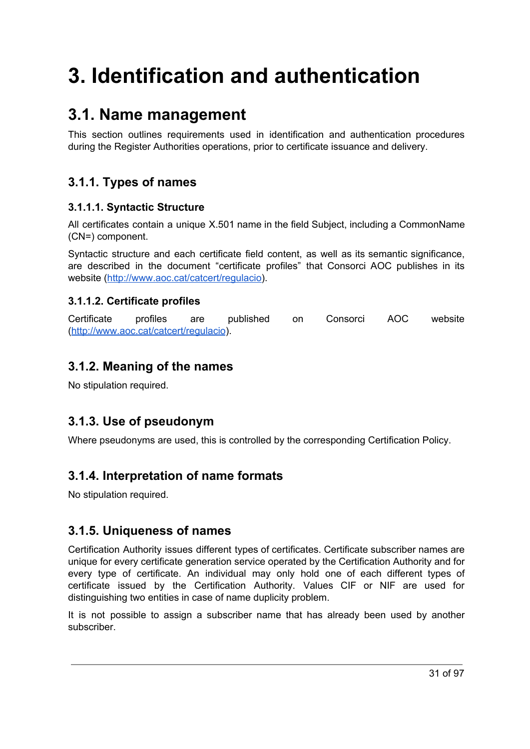# **3. Identification and authentication**

# <span id="page-30-0"></span>**3.1. Name management**

This section outlines requirements used in identification and authentication procedures during the Register Authorities operations, prior to certificate issuance and delivery.

# <span id="page-30-1"></span>**3.1.1. Types of names**

#### <span id="page-30-2"></span>**3.1.1.1. Syntactic Structure**

All certificates contain a unique X.501 name in the field Subject, including a CommonName (CN=) component.

Syntactic structure and each certificate field content, as well as its semantic significance, are described in the document "certificate profiles" that Consorci AOC publishes in its website (<http://www.aoc.cat/catcert/regulacio>).

#### <span id="page-30-3"></span>**3.1.1.2. Certificate profiles**

Certificate profiles are published on Consorci AOC website [\(http://www.aoc.cat/catcert/regulacio\)](http://www.aoc.cat/catcert/regulacio).

### <span id="page-30-4"></span>**3.1.2. Meaning of the names**

No stipulation required.

# <span id="page-30-5"></span>**3.1.3. Use of pseudonym**

Where pseudonyms are used, this is controlled by the corresponding Certification Policy.

# <span id="page-30-6"></span>**3.1.4. Interpretation of name formats**

No stipulation required.

### <span id="page-30-7"></span>**3.1.5. Uniqueness of names**

Certification Authority issues different types of certificates. Certificate subscriber names are unique for every certificate generation service operated by the Certification Authority and for every type of certificate. An individual may only hold one of each different types of certificate issued by the Certification Authority. Values CIF or NIF are used for distinguishing two entities in case of name duplicity problem.

It is not possible to assign a subscriber name that has already been used by another subscriber.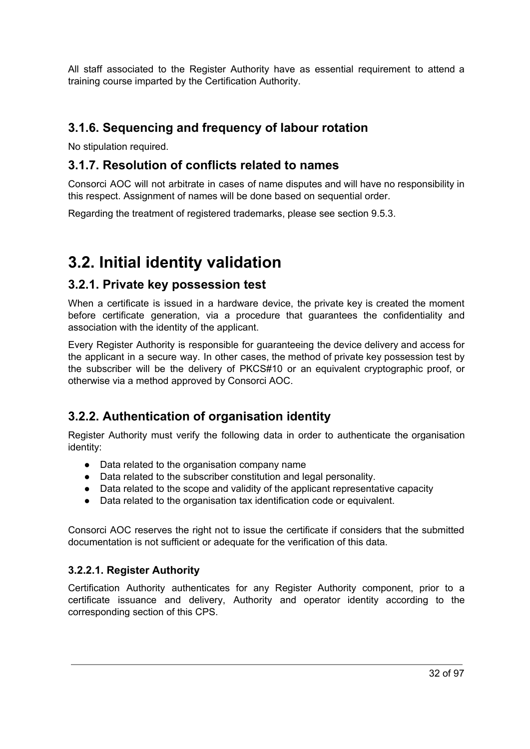All staff associated to the Register Authority have as essential requirement to attend a training course imparted by the Certification Authority.

### <span id="page-31-0"></span>**3.1.6. Sequencing and frequency of labour rotation**

No stipulation required.

### <span id="page-31-1"></span>**3.1.7. Resolution of conflicts related to names**

Consorci AOC will not arbitrate in cases of name disputes and will have no responsibility in this respect. Assignment of names will be done based on sequential order.

Regarding the treatment of registered trademarks, please see section 9.5.3.

# <span id="page-31-2"></span>**3.2. Initial identity validation**

#### <span id="page-31-3"></span>**3.2.1. Private key possession test**

When a certificate is issued in a hardware device, the private key is created the moment before certificate generation, via a procedure that guarantees the confidentiality and association with the identity of the applicant.

Every Register Authority is responsible for guaranteeing the device delivery and access for the applicant in a secure way. In other cases, the method of private key possession test by the subscriber will be the delivery of PKCS#10 or an equivalent cryptographic proof, or otherwise via a method approved by Consorci AOC.

# <span id="page-31-4"></span>**3.2.2. Authentication of organisation identity**

Register Authority must verify the following data in order to authenticate the organisation identity:

- Data related to the organisation company name
- Data related to the subscriber constitution and legal personality.
- Data related to the scope and validity of the applicant representative capacity
- Data related to the organisation tax identification code or equivalent.

Consorci AOC reserves the right not to issue the certificate if considers that the submitted documentation is not sufficient or adequate for the verification of this data.

#### <span id="page-31-5"></span>**3.2.2.1. Register Authority**

Certification Authority authenticates for any Register Authority component, prior to a certificate issuance and delivery, Authority and operator identity according to the corresponding section of this CPS.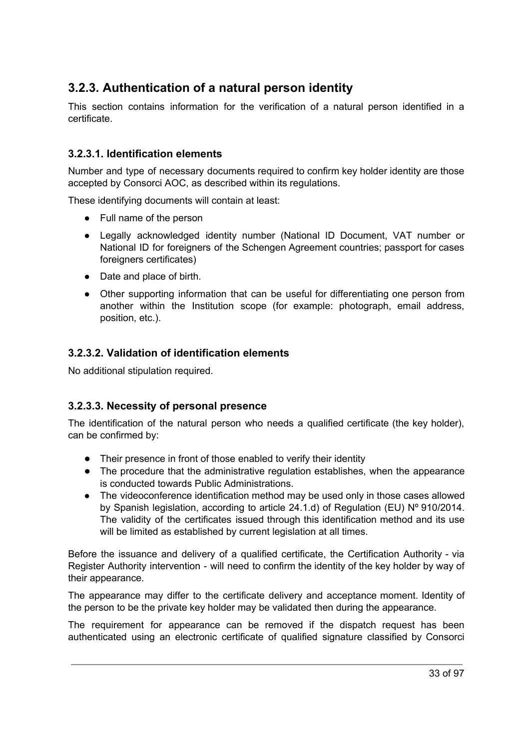# <span id="page-32-0"></span>**3.2.3. Authentication of a natural person identity**

This section contains information for the verification of a natural person identified in a certificate.

#### <span id="page-32-1"></span>**3.2.3.1. Identification elements**

Number and type of necessary documents required to confirm key holder identity are those accepted by Consorci AOC, as described within its regulations.

These identifying documents will contain at least:

- Full name of the person
- Legally acknowledged identity number (National ID Document, VAT number or National ID for foreigners of the Schengen Agreement countries; passport for cases foreigners certificates)
- Date and place of birth.
- Other supporting information that can be useful for differentiating one person from another within the Institution scope (for example: photograph, email address, position, etc.).

#### <span id="page-32-2"></span>**3.2.3.2. Validation of identification elements**

No additional stipulation required.

#### <span id="page-32-3"></span>**3.2.3.3. Necessity of personal presence**

The identification of the natural person who needs a qualified certificate (the key holder), can be confirmed by:

- Their presence in front of those enabled to verify their identity
- The procedure that the administrative regulation establishes, when the appearance is conducted towards Public Administrations.
- The videoconference identification method may be used only in those cases allowed by Spanish legislation, according to article 24.1.d) of Regulation (EU) Nº 910/2014. The validity of the certificates issued through this identification method and its use will be limited as established by current legislation at all times.

Before the issuance and delivery of a qualified certificate, the Certification Authority - via Register Authority intervention - will need to confirm the identity of the key holder by way of their appearance.

The appearance may differ to the certificate delivery and acceptance moment. Identity of the person to be the private key holder may be validated then during the appearance.

The requirement for appearance can be removed if the dispatch request has been authenticated using an electronic certificate of qualified signature classified by Consorci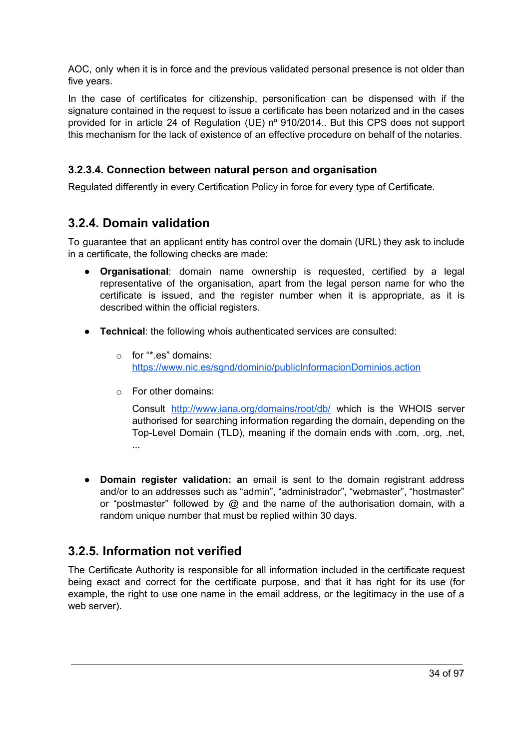AOC, only when it is in force and the previous validated personal presence is not older than five years.

In the case of certificates for citizenship, personification can be dispensed with if the signature contained in the request to issue a certificate has been notarized and in the cases provided for in article 24 of Regulation (UE) nº 910/2014.. But this CPS does not support this mechanism for the lack of existence of an effective procedure on behalf of the notaries.

#### <span id="page-33-0"></span>**3.2.3.4. Connection between natural person and organisation**

Regulated differently in every Certification Policy in force for every type of Certificate.

### <span id="page-33-1"></span>**3.2.4. Domain validation**

To guarantee that an applicant entity has control over the domain (URL) they ask to include in a certificate, the following checks are made:

- **Organisational**: domain name ownership is requested, certified by a legal representative of the organisation, apart from the legal person name for who the certificate is issued, and the register number when it is appropriate, as it is described within the official registers.
- **Technical**: the following whois authenticated services are consulted:
	- o for "\*.es" domains: <https://www.nic.es/sgnd/dominio/publicInformacionDominios.action>
	- o For other domains:

Consult <http://www.iana.org/domains/root/db/> which is the WHOIS server authorised for searching information regarding the domain, depending on the Top-Level Domain (TLD), meaning if the domain ends with .com, .org, .net, ...

● **Domain register validation: a**n email is sent to the domain registrant address and/or to an addresses such as "admin", "administrador", "webmaster", "hostmaster" or "postmaster" followed by @ and the name of the authorisation domain, with a random unique number that must be replied within 30 days.

# <span id="page-33-2"></span>**3.2.5. Information not verified**

The Certificate Authority is responsible for all information included in the certificate request being exact and correct for the certificate purpose, and that it has right for its use (for example, the right to use one name in the email address, or the legitimacy in the use of a web server).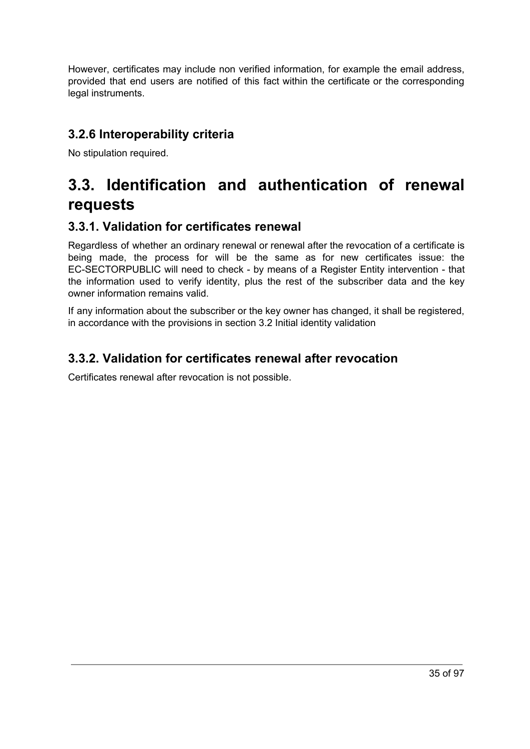However, certificates may include non verified information, for example the email address, provided that end users are notified of this fact within the certificate or the corresponding legal instruments.

### <span id="page-34-0"></span>**3.2.6 Interoperability criteria**

No stipulation required.

# <span id="page-34-1"></span>**3.3. Identification and authentication of renewal requests**

### <span id="page-34-2"></span>**3.3.1. Validation for certificates renewal**

Regardless of whether an ordinary renewal or renewal after the revocation of a certificate is being made, the process for will be the same as for new certificates issue: the EC-SECTORPUBLIC will need to check - by means of a Register Entity intervention - that the information used to verify identity, plus the rest of the subscriber data and the key owner information remains valid.

If any information about the subscriber or the key owner has changed, it shall be registered, in accordance with the provisions in section 3.2 Initial identity validation

### <span id="page-34-3"></span>**3.3.2. Validation for certificates renewal after revocation**

<span id="page-34-4"></span>Certificates renewal after revocation is not possible.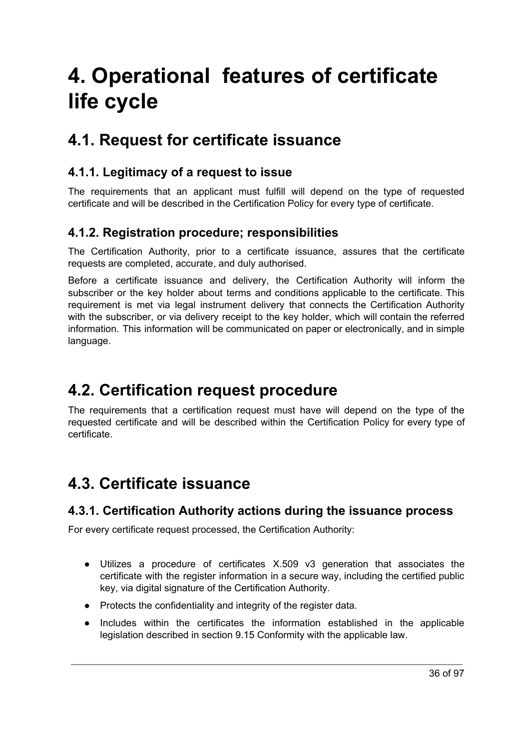# **4. Operational features of certificate life cycle**

# <span id="page-35-0"></span>**4.1. Request for certificate issuance**

### <span id="page-35-1"></span>**4.1.1. Legitimacy of a request to issue**

The requirements that an applicant must fulfill will depend on the type of requested certificate and will be described in the Certification Policy for every type of certificate.

### <span id="page-35-2"></span>**4.1.2. Registration procedure; responsibilities**

The Certification Authority, prior to a certificate issuance, assures that the certificate requests are completed, accurate, and duly authorised.

Before a certificate issuance and delivery, the Certification Authority will inform the subscriber or the key holder about terms and conditions applicable to the certificate. This requirement is met via legal instrument delivery that connects the Certification Authority with the subscriber, or via delivery receipt to the key holder, which will contain the referred information. This information will be communicated on paper or electronically, and in simple language.

# <span id="page-35-3"></span>**4.2. Certification request procedure**

The requirements that a certification request must have will depend on the type of the requested certificate and will be described within the Certification Policy for every type of certificate.

# <span id="page-35-4"></span>**4.3. Certificate issuance**

### <span id="page-35-5"></span>**4.3.1. Certification Authority actions during the issuance process**

For every certificate request processed, the Certification Authority:

- Utilizes a procedure of certificates X.509 v3 generation that associates the certificate with the register information in a secure way, including the certified public key, via digital signature of the Certification Authority.
- Protects the confidentiality and integrity of the register data.
- Includes within the certificates the information established in the applicable legislation described in section 9.15 Conformity with the applicable law.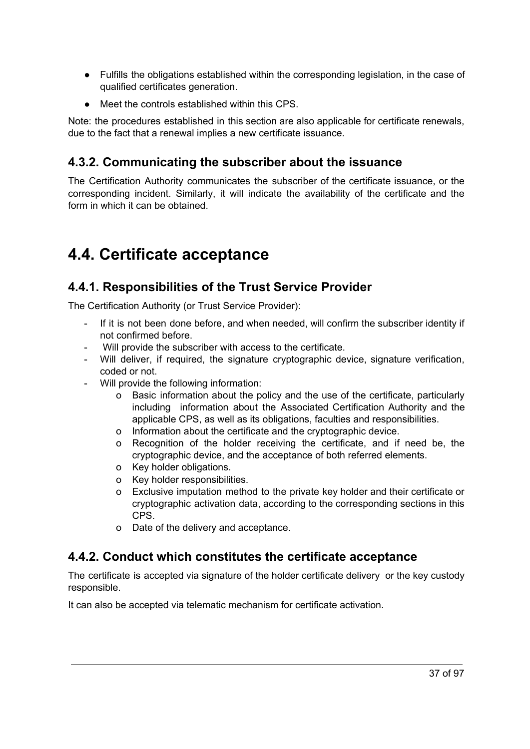- Fulfills the obligations established within the corresponding legislation, in the case of qualified certificates generation.
- Meet the controls established within this CPS.

Note: the procedures established in this section are also applicable for certificate renewals, due to the fact that a renewal implies a new certificate issuance.

### **4.3.2. Communicating the subscriber about the issuance**

The Certification Authority communicates the subscriber of the certificate issuance, or the corresponding incident. Similarly, it will indicate the availability of the certificate and the form in which it can be obtained.

# **4.4. Certificate acceptance**

### **4.4.1. Responsibilities of the Trust Service Provider**

The Certification Authority (or Trust Service Provider):

- If it is not been done before, and when needed, will confirm the subscriber identity if not confirmed before.
- Will provide the subscriber with access to the certificate.
- Will deliver, if required, the signature cryptographic device, signature verification, coded or not.
- Will provide the following information:
	- o Basic information about the policy and the use of the certificate, particularly including information about the Associated Certification Authority and the applicable CPS, as well as its obligations, faculties and responsibilities.
	- o Information about the certificate and the cryptographic device.
	- o Recognition of the holder receiving the certificate, and if need be, the cryptographic device, and the acceptance of both referred elements.
	- o Key holder obligations.
	- o Key holder responsibilities.
	- o Exclusive imputation method to the private key holder and their certificate or cryptographic activation data, according to the corresponding sections in this CPS.
	- o Date of the delivery and acceptance.

### **4.4.2. Conduct which constitutes the certificate acceptance**

The certificate is accepted via signature of the holder certificate delivery or the key custody responsible.

It can also be accepted via telematic mechanism for certificate activation.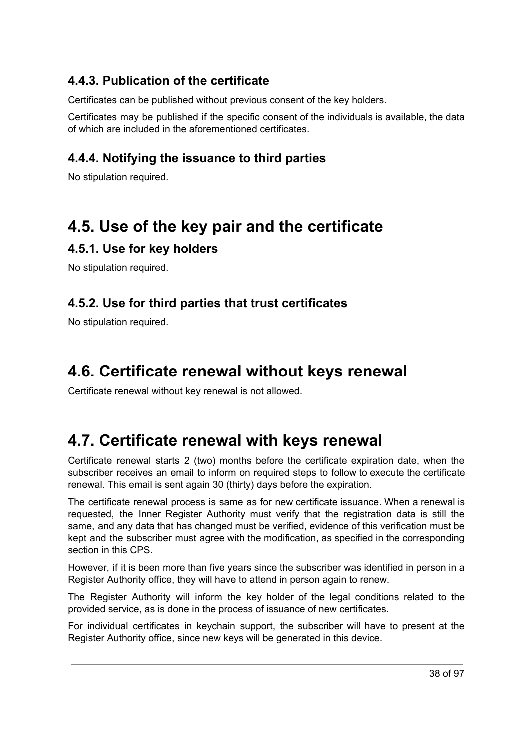### **4.4.3. Publication of the certificate**

Certificates can be published without previous consent of the key holders.

Certificates may be published if the specific consent of the individuals is available, the data of which are included in the aforementioned certificates.

### **4.4.4. Notifying the issuance to third parties**

No stipulation required.

## **4.5. Use of the key pair and the certificate**

### **4.5.1. Use for key holders**

No stipulation required.

### **4.5.2. Use for third parties that trust certificates**

No stipulation required.

# **4.6. Certificate renewal without keys renewal**

Certificate renewal without key renewal is not allowed.

# **4.7. Certificate renewal with keys renewal**

Certificate renewal starts 2 (two) months before the certificate expiration date, when the subscriber receives an email to inform on required steps to follow to execute the certificate renewal. This email is sent again 30 (thirty) days before the expiration.

The certificate renewal process is same as for new certificate issuance. When a renewal is requested, the Inner Register Authority must verify that the registration data is still the same, and any data that has changed must be verified, evidence of this verification must be kept and the subscriber must agree with the modification, as specified in the corresponding section in this CPS.

However, if it is been more than five years since the subscriber was identified in person in a Register Authority office, they will have to attend in person again to renew.

The Register Authority will inform the key holder of the legal conditions related to the provided service, as is done in the process of issuance of new certificates.

For individual certificates in keychain support, the subscriber will have to present at the Register Authority office, since new keys will be generated in this device.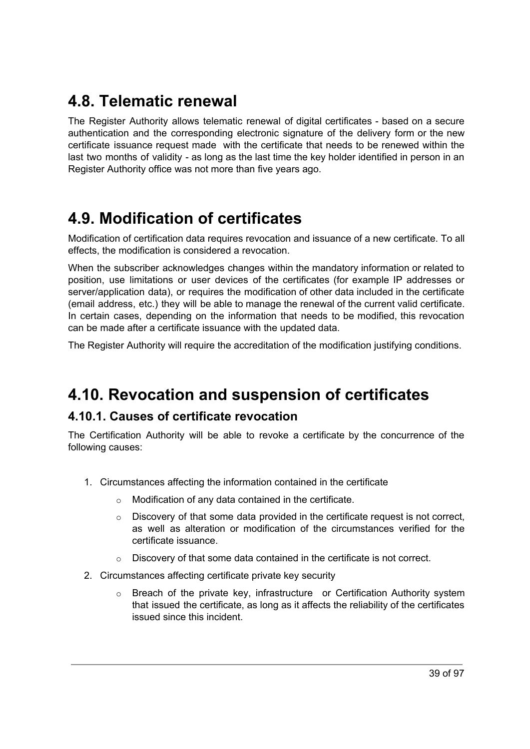# **4.8. Telematic renewal**

The Register Authority allows telematic renewal of digital certificates - based on a secure authentication and the corresponding electronic signature of the delivery form or the new certificate issuance request made with the certificate that needs to be renewed within the last two months of validity - as long as the last time the key holder identified in person in an Register Authority office was not more than five years ago.

# **4.9. Modification of certificates**

Modification of certification data requires revocation and issuance of a new certificate. To all effects, the modification is considered a revocation.

When the subscriber acknowledges changes within the mandatory information or related to position, use limitations or user devices of the certificates (for example IP addresses or server/application data), or requires the modification of other data included in the certificate (email address, etc.) they will be able to manage the renewal of the current valid certificate. In certain cases, depending on the information that needs to be modified, this revocation can be made after a certificate issuance with the updated data.

The Register Authority will require the accreditation of the modification justifying conditions.

# **4.10. Revocation and suspension of certificates**

### **4.10.1. Causes of certificate revocation**

The Certification Authority will be able to revoke a certificate by the concurrence of the following causes:

- 1. Circumstances affecting the information contained in the certificate
	- o Modification of any data contained in the certificate.
	- $\circ$  Discovery of that some data provided in the certificate request is not correct, as well as alteration or modification of the circumstances verified for the certificate issuance.
	- o Discovery of that some data contained in the certificate is not correct.
- 2. Circumstances affecting certificate private key security
	- $\circ$  Breach of the private key, infrastructure or Certification Authority system that issued the certificate, as long as it affects the reliability of the certificates issued since this incident.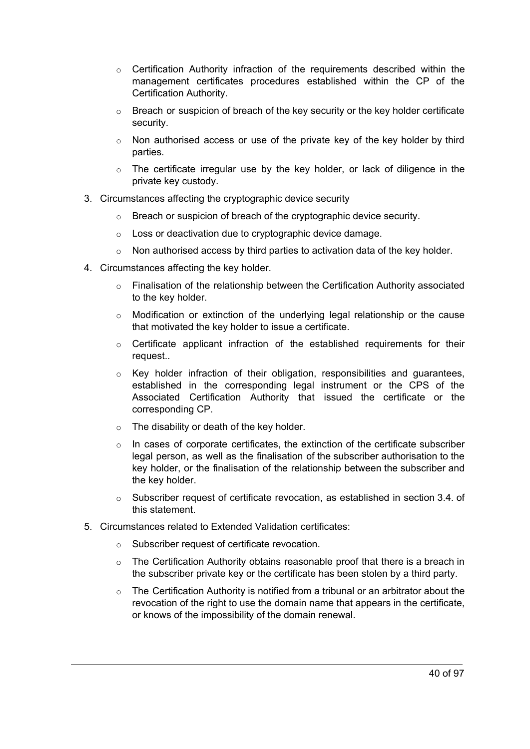- $\circ$  Certification Authority infraction of the requirements described within the management certificates procedures established within the CP of the Certification Authority.
- $\circ$  Breach or suspicion of breach of the key security or the key holder certificate security.
- $\circ$  Non authorised access or use of the private key of the key holder by third parties.
- $\circ$  The certificate irregular use by the key holder, or lack of diligence in the private key custody.
- 3. Circumstances affecting the cryptographic device security
	- o Breach or suspicion of breach of the cryptographic device security.
	- o Loss or deactivation due to cryptographic device damage.
	- $\circ$  Non authorised access by third parties to activation data of the key holder.
- 4. Circumstances affecting the key holder.
	- $\circ$  Finalisation of the relationship between the Certification Authority associated to the key holder.
	- $\circ$  Modification or extinction of the underlying legal relationship or the cause that motivated the key holder to issue a certificate.
	- o Certificate applicant infraction of the established requirements for their request..
	- $\circ$  Key holder infraction of their obligation, responsibilities and quarantees, established in the corresponding legal instrument or the CPS of the Associated Certification Authority that issued the certificate or the corresponding CP.
	- o The disability or death of the key holder.
	- $\circ$  In cases of corporate certificates, the extinction of the certificate subscriber legal person, as well as the finalisation of the subscriber authorisation to the key holder, or the finalisation of the relationship between the subscriber and the key holder.
	- o Subscriber request of certificate revocation, as established in section 3.4. of this statement.
- 5. Circumstances related to Extended Validation certificates:
	- o Subscriber request of certificate revocation.
	- $\circ$  The Certification Authority obtains reasonable proof that there is a breach in the subscriber private key or the certificate has been stolen by a third party.
	- $\circ$  The Certification Authority is notified from a tribunal or an arbitrator about the revocation of the right to use the domain name that appears in the certificate, or knows of the impossibility of the domain renewal.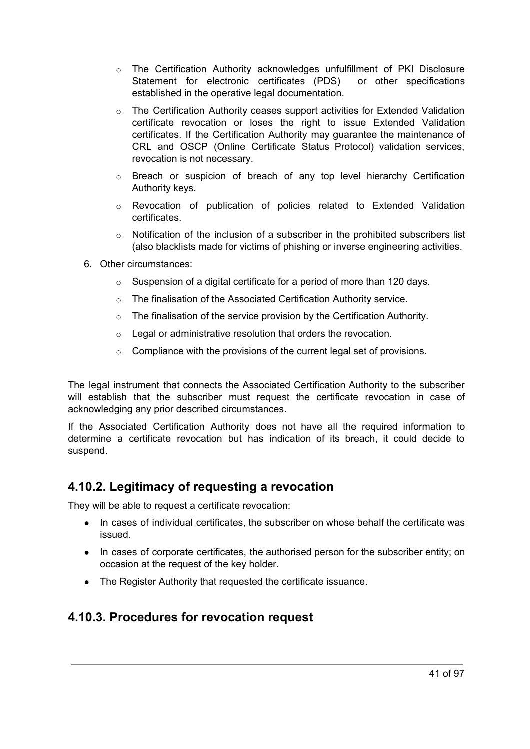- $\circ$  The Certification Authority acknowledges unfulfillment of PKI Disclosure Statement for electronic certificates (PDS) or other specifications established in the operative legal documentation.
- o The Certification Authority ceases support activities for Extended Validation certificate revocation or loses the right to issue Extended Validation certificates. If the Certification Authority may guarantee the maintenance of CRL and OSCP (Online Certificate Status Protocol) validation services, revocation is not necessary.
- $\circ$  Breach or suspicion of breach of any top level hierarchy Certification Authority keys.
- o Revocation of publication of policies related to Extended Validation certificates.
- $\circ$  Notification of the inclusion of a subscriber in the prohibited subscribers list (also blacklists made for victims of phishing or inverse engineering activities.
- 6. Other circumstances:
	- $\circ$  Suspension of a digital certificate for a period of more than 120 days.
	- o The finalisation of the Associated Certification Authority service.
	- $\circ$  The finalisation of the service provision by the Certification Authority.
	- o Legal or administrative resolution that orders the revocation.
	- $\circ$  Compliance with the provisions of the current legal set of provisions.

The legal instrument that connects the Associated Certification Authority to the subscriber will establish that the subscriber must request the certificate revocation in case of acknowledging any prior described circumstances.

If the Associated Certification Authority does not have all the required information to determine a certificate revocation but has indication of its breach, it could decide to suspend.

#### **4.10.2. Legitimacy of requesting a revocation**

They will be able to request a certificate revocation:

- In cases of individual certificates, the subscriber on whose behalf the certificate was issued.
- In cases of corporate certificates, the authorised person for the subscriber entity; on occasion at the request of the key holder.
- The Register Authority that requested the certificate issuance.

#### **4.10.3. Procedures for revocation request**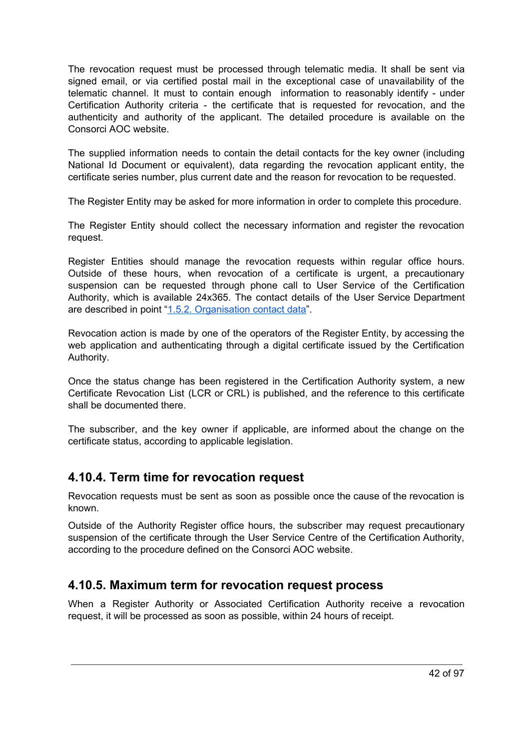The revocation request must be processed through telematic media. It shall be sent via signed email, or via certified postal mail in the exceptional case of unavailability of the telematic channel. It must to contain enough information to reasonably identify - under Certification Authority criteria - the certificate that is requested for revocation, and the authenticity and authority of the applicant. The detailed procedure is available on the Consorci AOC website.

The supplied information needs to contain the detail contacts for the key owner (including National Id Document or equivalent), data regarding the revocation applicant entity, the certificate series number, plus current date and the reason for revocation to be requested.

The Register Entity may be asked for more information in order to complete this procedure.

The Register Entity should collect the necessary information and register the revocation request.

Register Entities should manage the revocation requests within regular office hours. Outside of these hours, when revocation of a certificate is urgent, a precautionary suspension can be requested through phone call to User Service of the Certification Authority, which is available 24x365. The contact details of the User Service Department are described in point "1.5.2. [Organisation](#page-24-0) contact data".

Revocation action is made by one of the operators of the Register Entity, by accessing the web application and authenticating through a digital certificate issued by the Certification Authority.

Once the status change has been registered in the Certification Authority system, a new Certificate Revocation List (LCR or CRL) is published, and the reference to this certificate shall be documented there.

The subscriber, and the key owner if applicable, are informed about the change on the certificate status, according to applicable legislation.

#### **4.10.4. Term time for revocation request**

Revocation requests must be sent as soon as possible once the cause of the revocation is known.

Outside of the Authority Register office hours, the subscriber may request precautionary suspension of the certificate through the User Service Centre of the Certification Authority, according to the procedure defined on the Consorci AOC website.

### **4.10.5. Maximum term for revocation request process**

When a Register Authority or Associated Certification Authority receive a revocation request, it will be processed as soon as possible, within 24 hours of receipt.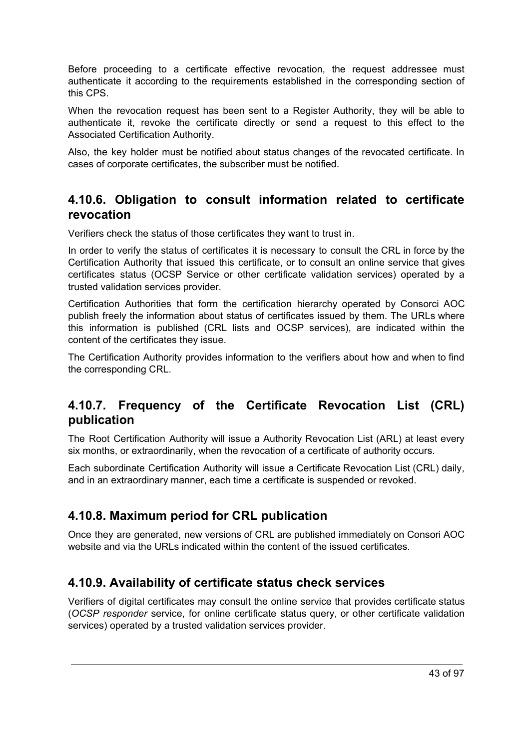Before proceeding to a certificate effective revocation, the request addressee must authenticate it according to the requirements established in the corresponding section of this CPS.

When the revocation request has been sent to a Register Authority, they will be able to authenticate it, revoke the certificate directly or send a request to this effect to the Associated Certification Authority.

Also, the key holder must be notified about status changes of the revocated certificate. In cases of corporate certificates, the subscriber must be notified.

#### **4.10.6. Obligation to consult information related to certificate revocation**

Verifiers check the status of those certificates they want to trust in.

In order to verify the status of certificates it is necessary to consult the CRL in force by the Certification Authority that issued this certificate, or to consult an online service that gives certificates status (OCSP Service or other certificate validation services) operated by a trusted validation services provider.

Certification Authorities that form the certification hierarchy operated by Consorci AOC publish freely the information about status of certificates issued by them. The URLs where this information is published (CRL lists and OCSP services), are indicated within the content of the certificates they issue.

The Certification Authority provides information to the verifiers about how and when to find the corresponding CRL.

### **4.10.7. Frequency of the Certificate Revocation List (CRL) publication**

The Root Certification Authority will issue a Authority Revocation List (ARL) at least every six months, or extraordinarily, when the revocation of a certificate of authority occurs.

Each subordinate Certification Authority will issue a Certificate Revocation List (CRL) daily, and in an extraordinary manner, each time a certificate is suspended or revoked.

### **4.10.8. Maximum period for CRL publication**

Once they are generated, new versions of CRL are published immediately on Consori AOC website and via the URLs indicated within the content of the issued certificates.

### **4.10.9. Availability of certificate status check services**

Verifiers of digital certificates may consult the online service that provides certificate status (*OCSP responder* service, for online certificate status query, or other certificate validation services) operated by a trusted validation services provider.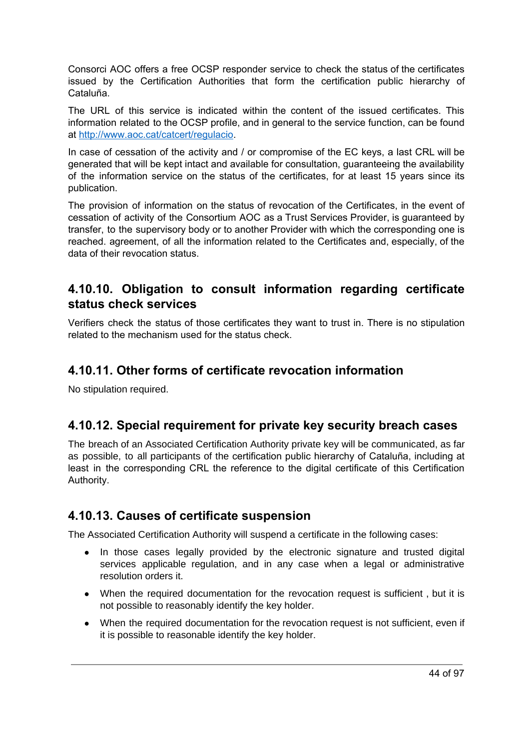Consorci AOC offers a free OCSP responder service to check the status of the certificates issued by the Certification Authorities that form the certification public hierarchy of Cataluña.

The URL of this service is indicated within the content of the issued certificates. This information related to the OCSP profile, and in general to the service function, can be found at [http://www.aoc.cat/catcert/regulacio.](http://www.aoc.cat/catcert/regulacio)

In case of cessation of the activity and / or compromise of the EC keys, a last CRL will be generated that will be kept intact and available for consultation, guaranteeing the availability of the information service on the status of the certificates, for at least 15 years since its publication.

The provision of information on the status of revocation of the Certificates, in the event of cessation of activity of the Consortium AOC as a Trust Services Provider, is guaranteed by transfer, to the supervisory body or to another Provider with which the corresponding one is reached. agreement, of all the information related to the Certificates and, especially, of the data of their revocation status.

### **4.10.10. Obligation to consult information regarding certificate status check services**

Verifiers check the status of those certificates they want to trust in. There is no stipulation related to the mechanism used for the status check.

### **4.10.11. Other forms of certificate revocation information**

No stipulation required.

### **4.10.12. Special requirement for private key security breach cases**

The breach of an Associated Certification Authority private key will be communicated, as far as possible, to all participants of the certification public hierarchy of Cataluña, including at least in the corresponding CRL the reference to the digital certificate of this Certification Authority.

### **4.10.13. Causes of certificate suspension**

The Associated Certification Authority will suspend a certificate in the following cases:

- In those cases legally provided by the electronic signature and trusted digital services applicable regulation, and in any case when a legal or administrative resolution orders it.
- When the required documentation for the revocation request is sufficient, but it is not possible to reasonably identify the key holder.
- When the required documentation for the revocation request is not sufficient, even if it is possible to reasonable identify the key holder.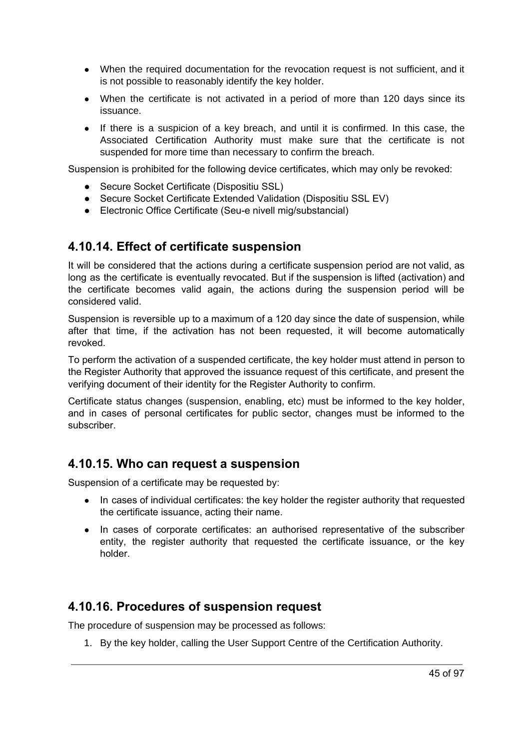- When the required documentation for the revocation request is not sufficient, and it is not possible to reasonably identify the key holder.
- When the certificate is not activated in a period of more than 120 days since its issuance.
- If there is a suspicion of a key breach, and until it is confirmed. In this case, the Associated Certification Authority must make sure that the certificate is not suspended for more time than necessary to confirm the breach.

Suspension is prohibited for the following device certificates, which may only be revoked:

- Secure Socket Certificate (Dispositiu SSL)
- Secure Socket Certificate Extended Validation (Dispositiu SSL EV)
- Electronic Office Certificate (Seu-e nivell mig/substancial)

#### **4.10.14. Effect of certificate suspension**

It will be considered that the actions during a certificate suspension period are not valid, as long as the certificate is eventually revocated. But if the suspension is lifted (activation) and the certificate becomes valid again, the actions during the suspension period will be considered valid.

Suspension is reversible up to a maximum of a 120 day since the date of suspension, while after that time, if the activation has not been requested, it will become automatically revoked.

To perform the activation of a suspended certificate, the key holder must attend in person to the Register Authority that approved the issuance request of this certificate, and present the verifying document of their identity for the Register Authority to confirm.

Certificate status changes (suspension, enabling, etc) must be informed to the key holder, and in cases of personal certificates for public sector, changes must be informed to the subscriber.

#### **4.10.15. Who can request a suspension**

Suspension of a certificate may be requested by:

- In cases of individual certificates: the key holder the register authority that requested the certificate issuance, acting their name.
- In cases of corporate certificates: an authorised representative of the subscriber entity, the register authority that requested the certificate issuance, or the key holder.

### **4.10.16. Procedures of suspension request**

The procedure of suspension may be processed as follows:

1. By the key holder, calling the User Support Centre of the Certification Authority.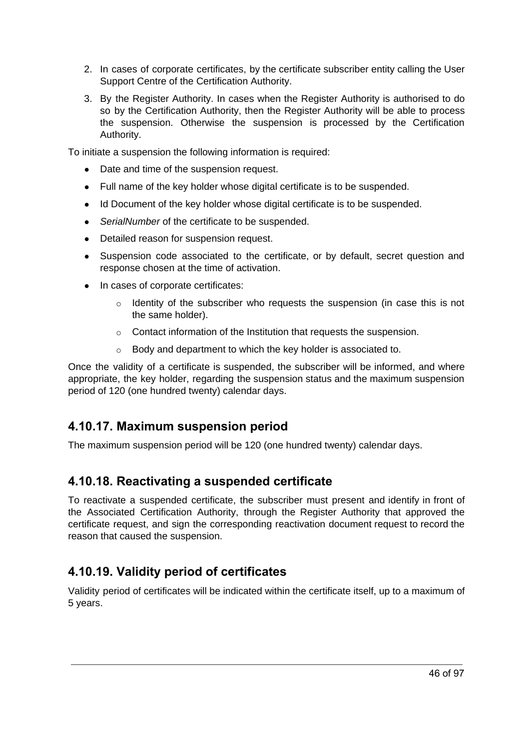- 2. In cases of corporate certificates, by the certificate subscriber entity calling the User Support Centre of the Certification Authority.
- 3. By the Register Authority. In cases when the Register Authority is authorised to do so by the Certification Authority, then the Register Authority will be able to process the suspension. Otherwise the suspension is processed by the Certification Authority.

To initiate a suspension the following information is required:

- Date and time of the suspension request.
- Full name of the key holder whose digital certificate is to be suspended.
- Id Document of the key holder whose digital certificate is to be suspended.
- *SerialNumber* of the certificate to be suspended.
- Detailed reason for suspension request.
- Suspension code associated to the certificate, or by default, secret question and response chosen at the time of activation.
- In cases of corporate certificates:
	- $\circ$  Identity of the subscriber who requests the suspension (in case this is not the same holder).
	- o Contact information of the Institution that requests the suspension.
	- o Body and department to which the key holder is associated to.

Once the validity of a certificate is suspended, the subscriber will be informed, and where appropriate, the key holder, regarding the suspension status and the maximum suspension period of 120 (one hundred twenty) calendar days.

### **4.10.17. Maximum suspension period**

The maximum suspension period will be 120 (one hundred twenty) calendar days.

### **4.10.18. Reactivating a suspended certificate**

To reactivate a suspended certificate, the subscriber must present and identify in front of the Associated Certification Authority, through the Register Authority that approved the certificate request, and sign the corresponding reactivation document request to record the reason that caused the suspension.

### **4.10.19. Validity period of certificates**

Validity period of certificates will be indicated within the certificate itself, up to a maximum of 5 years.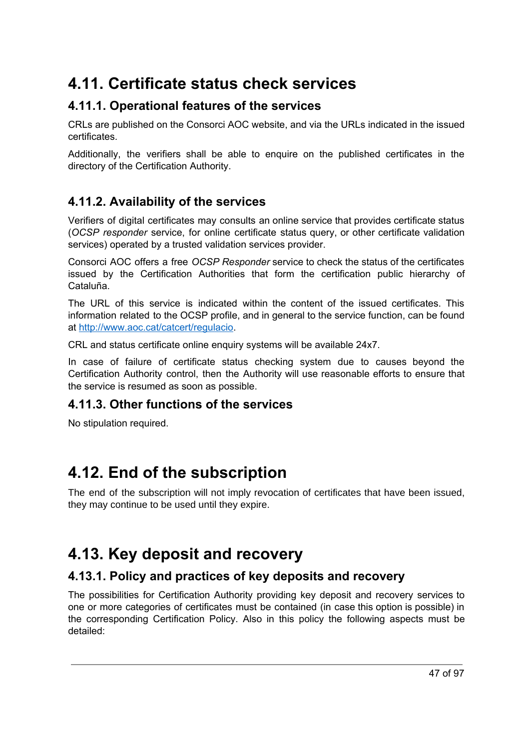# **4.11. Certificate status check services**

### **4.11.1. Operational features of the services**

CRLs are published on the Consorci AOC website, and via the URLs indicated in the issued certificates.

Additionally, the verifiers shall be able to enquire on the published certificates in the directory of the Certification Authority.

### **4.11.2. Availability of the services**

Verifiers of digital certificates may consults an online service that provides certificate status (*OCSP responder* service, for online certificate status query, or other certificate validation services) operated by a trusted validation services provider.

Consorci AOC offers a free *OCSP Responder* service to check the status of the certificates issued by the Certification Authorities that form the certification public hierarchy of Cataluña.

The URL of this service is indicated within the content of the issued certificates. This information related to the OCSP profile, and in general to the service function, can be found at [http://www.aoc.cat/catcert/regulacio.](http://www.aoc.cat/catcert/regulacio)

CRL and status certificate online enquiry systems will be available 24x7.

In case of failure of certificate status checking system due to causes beyond the Certification Authority control, then the Authority will use reasonable efforts to ensure that the service is resumed as soon as possible.

### **4.11.3. Other functions of the services**

No stipulation required.

# **4.12. End of the subscription**

The end of the subscription will not imply revocation of certificates that have been issued, they may continue to be used until they expire.

# **4.13. Key deposit and recovery**

### **4.13.1. Policy and practices of key deposits and recovery**

The possibilities for Certification Authority providing key deposit and recovery services to one or more categories of certificates must be contained (in case this option is possible) in the corresponding Certification Policy. Also in this policy the following aspects must be detailed: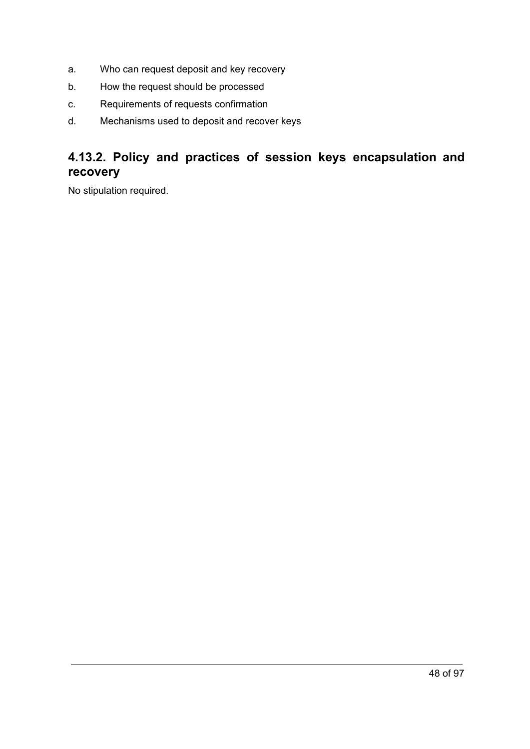- a. Who can request deposit and key recovery
- b. How the request should be processed
- c. Requirements of requests confirmation
- d. Mechanisms used to deposit and recover keys

### **4.13.2. Policy and practices of session keys encapsulation and recovery**

No stipulation required.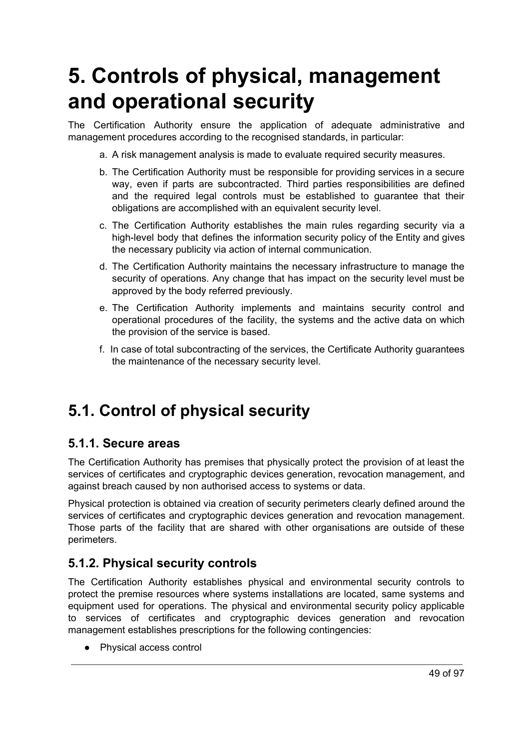# **5. Controls of physical, management and operational security**

The Certification Authority ensure the application of adequate administrative and management procedures according to the recognised standards, in particular:

- a. A risk management analysis is made to evaluate required security measures.
- b. The Certification Authority must be responsible for providing services in a secure way, even if parts are subcontracted. Third parties responsibilities are defined and the required legal controls must be established to guarantee that their obligations are accomplished with an equivalent security level.
- c. The Certification Authority establishes the main rules regarding security via a high-level body that defines the information security policy of the Entity and gives the necessary publicity via action of internal communication.
- d. The Certification Authority maintains the necessary infrastructure to manage the security of operations. Any change that has impact on the security level must be approved by the body referred previously.
- e. The Certification Authority implements and maintains security control and operational procedures of the facility, the systems and the active data on which the provision of the service is based.
- f. In case of total subcontracting of the services, the Certificate Authority guarantees the maintenance of the necessary security level.

# **5.1. Control of physical security**

#### **5.1.1. Secure areas**

The Certification Authority has premises that physically protect the provision of at least the services of certificates and cryptographic devices generation, revocation management, and against breach caused by non authorised access to systems or data.

Physical protection is obtained via creation of security perimeters clearly defined around the services of certificates and cryptographic devices generation and revocation management. Those parts of the facility that are shared with other organisations are outside of these perimeters.

#### **5.1.2. Physical security controls**

The Certification Authority establishes physical and environmental security controls to protect the premise resources where systems installations are located, same systems and equipment used for operations. The physical and environmental security policy applicable to services of certificates and cryptographic devices generation and revocation management establishes prescriptions for the following contingencies:

● Physical access control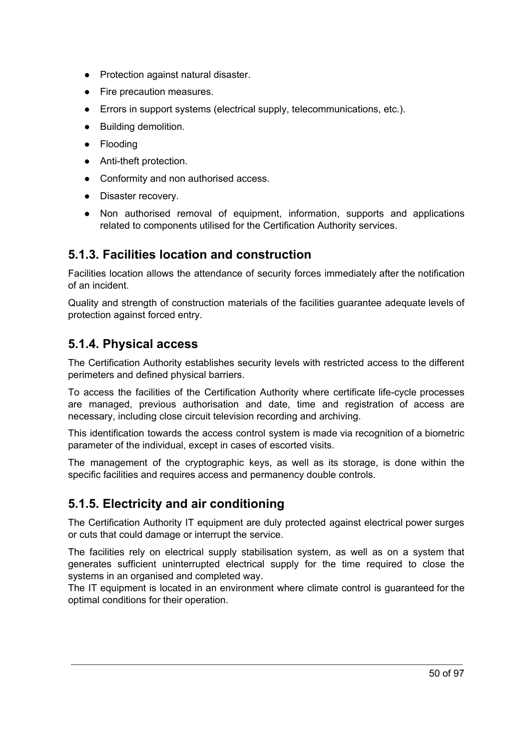- Protection against natural disaster.
- Fire precaution measures.
- Errors in support systems (electrical supply, telecommunications, etc.).
- Building demolition.
- Flooding
- Anti-theft protection.
- Conformity and non authorised access.
- Disaster recovery.
- Non authorised removal of equipment, information, supports and applications related to components utilised for the Certification Authority services.

### **5.1.3. Facilities location and construction**

Facilities location allows the attendance of security forces immediately after the notification of an incident.

Quality and strength of construction materials of the facilities guarantee adequate levels of protection against forced entry.

#### **5.1.4. Physical access**

The Certification Authority establishes security levels with restricted access to the different perimeters and defined physical barriers.

To access the facilities of the Certification Authority where certificate life-cycle processes are managed, previous authorisation and date, time and registration of access are necessary, including close circuit television recording and archiving.

This identification towards the access control system is made via recognition of a biometric parameter of the individual, except in cases of escorted visits.

The management of the cryptographic keys, as well as its storage, is done within the specific facilities and requires access and permanency double controls.

### **5.1.5. Electricity and air conditioning**

The Certification Authority IT equipment are duly protected against electrical power surges or cuts that could damage or interrupt the service.

The facilities rely on electrical supply stabilisation system, as well as on a system that generates sufficient uninterrupted electrical supply for the time required to close the systems in an organised and completed way.

The IT equipment is located in an environment where climate control is guaranteed for the optimal conditions for their operation.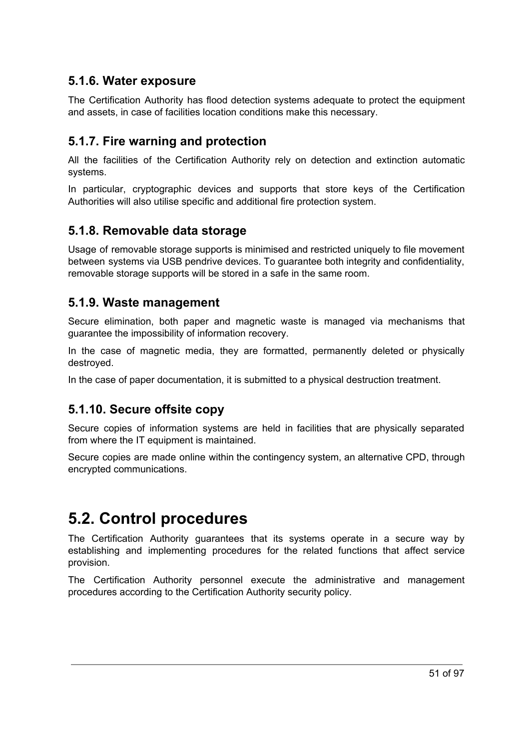### **5.1.6. Water exposure**

The Certification Authority has flood detection systems adequate to protect the equipment and assets, in case of facilities location conditions make this necessary.

### **5.1.7. Fire warning and protection**

All the facilities of the Certification Authority rely on detection and extinction automatic systems.

In particular, cryptographic devices and supports that store keys of the Certification Authorities will also utilise specific and additional fire protection system.

### **5.1.8. Removable data storage**

Usage of removable storage supports is minimised and restricted uniquely to file movement between systems via USB pendrive devices. To guarantee both integrity and confidentiality, removable storage supports will be stored in a safe in the same room.

#### **5.1.9. Waste management**

Secure elimination, both paper and magnetic waste is managed via mechanisms that guarantee the impossibility of information recovery.

In the case of magnetic media, they are formatted, permanently deleted or physically destroyed.

In the case of paper documentation, it is submitted to a physical destruction treatment.

### **5.1.10. Secure offsite copy**

Secure copies of information systems are held in facilities that are physically separated from where the IT equipment is maintained.

Secure copies are made online within the contingency system, an alternative CPD, through encrypted communications.

# **5.2. Control procedures**

The Certification Authority guarantees that its systems operate in a secure way by establishing and implementing procedures for the related functions that affect service provision.

The Certification Authority personnel execute the administrative and management procedures according to the Certification Authority security policy.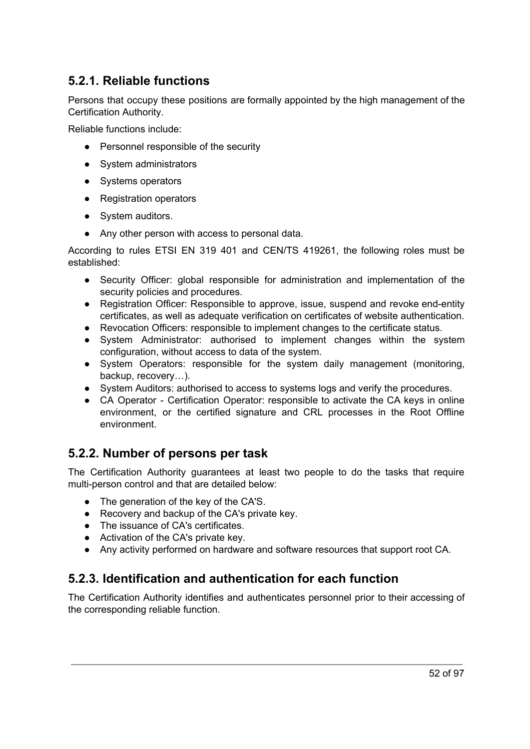### **5.2.1. Reliable functions**

Persons that occupy these positions are formally appointed by the high management of the Certification Authority.

Reliable functions include:

- Personnel responsible of the security
- System administrators
- Systems operators
- Registration operators
- System auditors.
- Any other person with access to personal data.

According to rules ETSI EN 319 401 and CEN/TS 419261, the following roles must be established:

- Security Officer: global responsible for administration and implementation of the security policies and procedures.
- Registration Officer: Responsible to approve, issue, suspend and revoke end-entity certificates, as well as adequate verification on certificates of website authentication.
- Revocation Officers: responsible to implement changes to the certificate status.
- System Administrator: authorised to implement changes within the system configuration, without access to data of the system.
- System Operators: responsible for the system daily management (monitoring, backup, recovery…).
- System Auditors: authorised to access to systems logs and verify the procedures.
- CA Operator Certification Operator: responsible to activate the CA keys in online environment, or the certified signature and CRL processes in the Root Offline environment.

### **5.2.2. Number of persons per task**

The Certification Authority guarantees at least two people to do the tasks that require multi-person control and that are detailed below:

- The generation of the key of the CA'S.
- Recovery and backup of the CA's private key.
- The issuance of CA's certificates.
- Activation of the CA's private key.
- Any activity performed on hardware and software resources that support root CA.

### **5.2.3. Identification and authentication for each function**

The Certification Authority identifies and authenticates personnel prior to their accessing of the corresponding reliable function.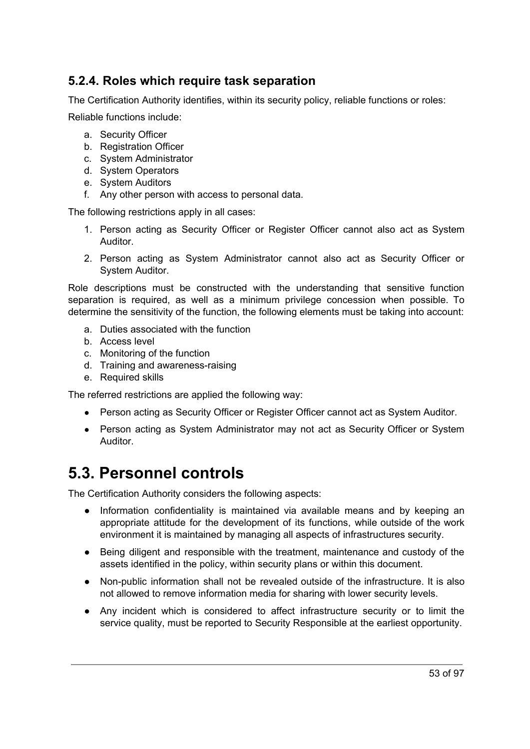### **5.2.4. Roles which require task separation**

The Certification Authority identifies, within its security policy, reliable functions or roles:

Reliable functions include:

- a. Security Officer
- b. Registration Officer
- c. System Administrator
- d. System Operators
- e. System Auditors
- f. Any other person with access to personal data.

The following restrictions apply in all cases:

- 1. Person acting as Security Officer or Register Officer cannot also act as System Auditor.
- 2. Person acting as System Administrator cannot also act as Security Officer or System Auditor.

Role descriptions must be constructed with the understanding that sensitive function separation is required, as well as a minimum privilege concession when possible. To determine the sensitivity of the function, the following elements must be taking into account:

- a. Duties associated with the function
- b. Access level
- c. Monitoring of the function
- d. Training and awareness-raising
- e. Required skills

The referred restrictions are applied the following way:

- Person acting as Security Officer or Register Officer cannot act as System Auditor.
- Person acting as System Administrator may not act as Security Officer or System Auditor.

### **5.3. Personnel controls**

The Certification Authority considers the following aspects:

- Information confidentiality is maintained via available means and by keeping an appropriate attitude for the development of its functions, while outside of the work environment it is maintained by managing all aspects of infrastructures security.
- Being diligent and responsible with the treatment, maintenance and custody of the assets identified in the policy, within security plans or within this document.
- Non-public information shall not be revealed outside of the infrastructure. It is also not allowed to remove information media for sharing with lower security levels.
- Any incident which is considered to affect infrastructure security or to limit the service quality, must be reported to Security Responsible at the earliest opportunity.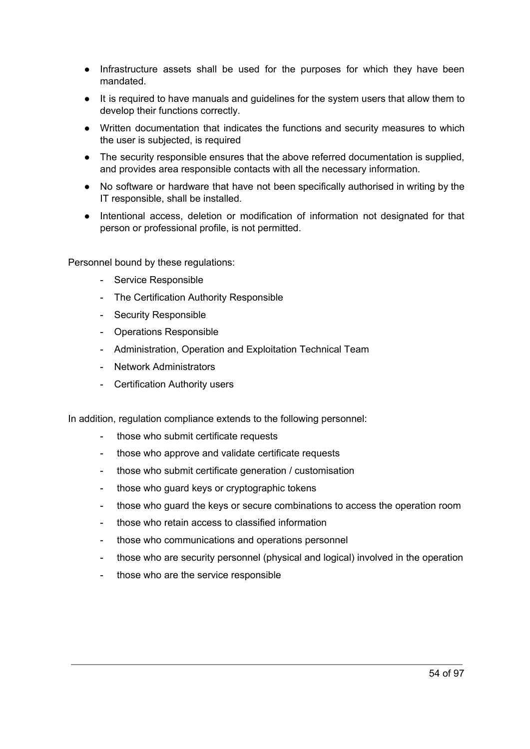- Infrastructure assets shall be used for the purposes for which they have been mandated.
- It is required to have manuals and guidelines for the system users that allow them to develop their functions correctly.
- Written documentation that indicates the functions and security measures to which the user is subjected, is required
- The security responsible ensures that the above referred documentation is supplied, and provides area responsible contacts with all the necessary information.
- No software or hardware that have not been specifically authorised in writing by the IT responsible, shall be installed.
- Intentional access, deletion or modification of information not designated for that person or professional profile, is not permitted.

Personnel bound by these regulations:

- Service Responsible
- The Certification Authority Responsible
- Security Responsible
- Operations Responsible
- Administration, Operation and Exploitation Technical Team
- Network Administrators
- Certification Authority users

In addition, regulation compliance extends to the following personnel:

- those who submit certificate requests
- those who approve and validate certificate requests
- those who submit certificate generation / customisation
- those who guard keys or cryptographic tokens
- those who guard the keys or secure combinations to access the operation room
- those who retain access to classified information
- those who communications and operations personnel
- those who are security personnel (physical and logical) involved in the operation
- those who are the service responsible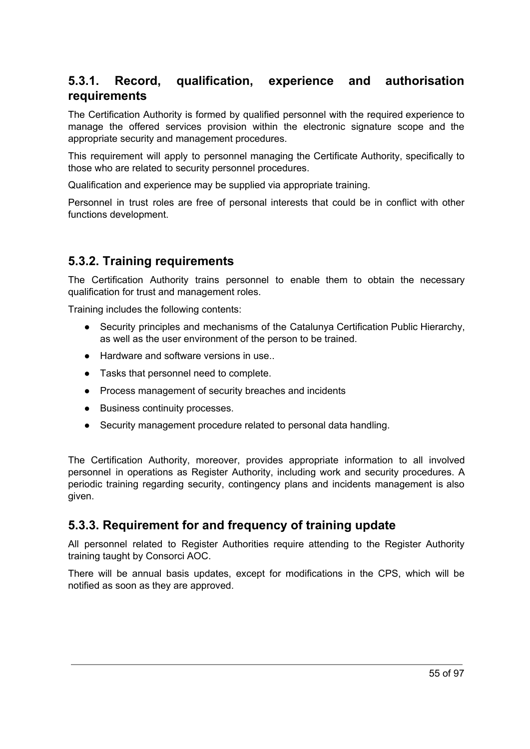### **5.3.1. Record, qualification, experience and authorisation requirements**

The Certification Authority is formed by qualified personnel with the required experience to manage the offered services provision within the electronic signature scope and the appropriate security and management procedures.

This requirement will apply to personnel managing the Certificate Authority, specifically to those who are related to security personnel procedures.

Qualification and experience may be supplied via appropriate training.

Personnel in trust roles are free of personal interests that could be in conflict with other functions development.

#### **5.3.2. Training requirements**

The Certification Authority trains personnel to enable them to obtain the necessary qualification for trust and management roles.

Training includes the following contents:

- Security principles and mechanisms of the Catalunya Certification Public Hierarchy, as well as the user environment of the person to be trained.
- Hardware and software versions in use...
- Tasks that personnel need to complete.
- Process management of security breaches and incidents
- Business continuity processes.
- Security management procedure related to personal data handling.

The Certification Authority, moreover, provides appropriate information to all involved personnel in operations as Register Authority, including work and security procedures. A periodic training regarding security, contingency plans and incidents management is also given.

#### **5.3.3. Requirement for and frequency of training update**

All personnel related to Register Authorities require attending to the Register Authority training taught by Consorci AOC.

There will be annual basis updates, except for modifications in the CPS, which will be notified as soon as they are approved.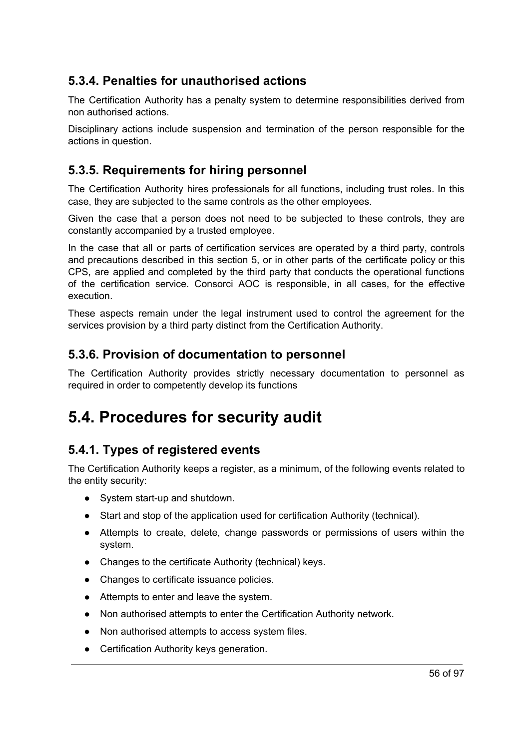### **5.3.4. Penalties for unauthorised actions**

The Certification Authority has a penalty system to determine responsibilities derived from non authorised actions.

Disciplinary actions include suspension and termination of the person responsible for the actions in question.

### **5.3.5. Requirements for hiring personnel**

The Certification Authority hires professionals for all functions, including trust roles. In this case, they are subjected to the same controls as the other employees.

Given the case that a person does not need to be subjected to these controls, they are constantly accompanied by a trusted employee.

In the case that all or parts of certification services are operated by a third party, controls and precautions described in this section 5, or in other parts of the certificate policy or this CPS, are applied and completed by the third party that conducts the operational functions of the certification service. Consorci AOC is responsible, in all cases, for the effective execution.

These aspects remain under the legal instrument used to control the agreement for the services provision by a third party distinct from the Certification Authority.

### **5.3.6. Provision of documentation to personnel**

The Certification Authority provides strictly necessary documentation to personnel as required in order to competently develop its functions

# **5.4. Procedures for security audit**

### **5.4.1. Types of registered events**

The Certification Authority keeps a register, as a minimum, of the following events related to the entity security:

- System start-up and shutdown.
- Start and stop of the application used for certification Authority (technical).
- Attempts to create, delete, change passwords or permissions of users within the system.
- Changes to the certificate Authority (technical) keys.
- Changes to certificate issuance policies.
- Attempts to enter and leave the system.
- Non authorised attempts to enter the Certification Authority network.
- Non authorised attempts to access system files.
- Certification Authority keys generation.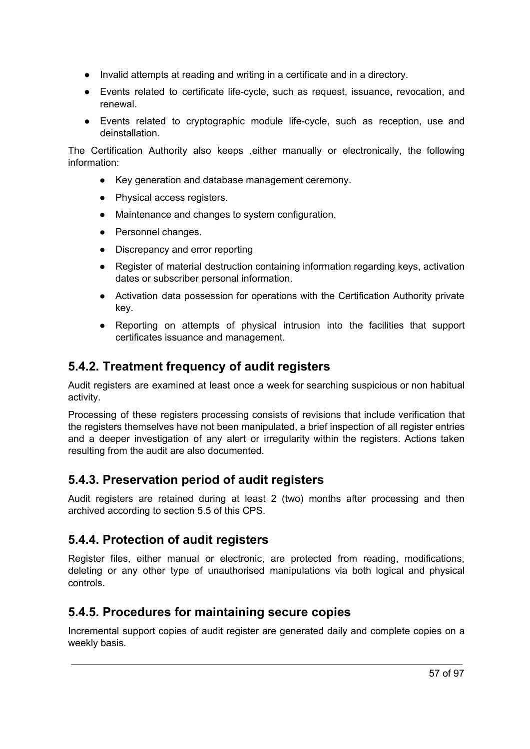- Invalid attempts at reading and writing in a certificate and in a directory.
- Events related to certificate life-cycle, such as request, issuance, revocation, and renewal.
- Events related to cryptographic module life-cycle, such as reception, use and deinstallation.

The Certification Authority also keeps ,either manually or electronically, the following information:

- Key generation and database management ceremony.
- Physical access registers.
- Maintenance and changes to system configuration.
- Personnel changes.
- Discrepancy and error reporting
- Register of material destruction containing information regarding keys, activation dates or subscriber personal information.
- Activation data possession for operations with the Certification Authority private key.
- Reporting on attempts of physical intrusion into the facilities that support certificates issuance and management.

### **5.4.2. Treatment frequency of audit registers**

Audit registers are examined at least once a week for searching suspicious or non habitual activity.

Processing of these registers processing consists of revisions that include verification that the registers themselves have not been manipulated, a brief inspection of all register entries and a deeper investigation of any alert or irregularity within the registers. Actions taken resulting from the audit are also documented.

### **5.4.3. Preservation period of audit registers**

Audit registers are retained during at least 2 (two) months after processing and then archived according to section 5.5 of this CPS.

### **5.4.4. Protection of audit registers**

Register files, either manual or electronic, are protected from reading, modifications, deleting or any other type of unauthorised manipulations via both logical and physical controls.

### **5.4.5. Procedures for maintaining secure copies**

Incremental support copies of audit register are generated daily and complete copies on a weekly basis.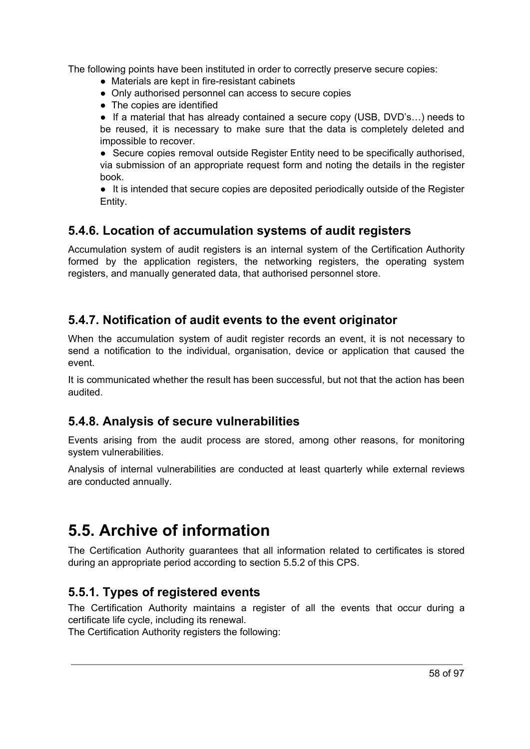The following points have been instituted in order to correctly preserve secure copies:

- Materials are kept in fire-resistant cabinets
- Only authorised personnel can access to secure copies
- The copies are identified

● If a material that has already contained a secure copy (USB, DVD's...) needs to be reused, it is necessary to make sure that the data is completely deleted and impossible to recover.

● Secure copies removal outside Register Entity need to be specifically authorised, via submission of an appropriate request form and noting the details in the register book.

● It is intended that secure copies are deposited periodically outside of the Register Entity.

### **5.4.6. Location of accumulation systems of audit registers**

Accumulation system of audit registers is an internal system of the Certification Authority formed by the application registers, the networking registers, the operating system registers, and manually generated data, that authorised personnel store.

### **5.4.7. Notification of audit events to the event originator**

When the accumulation system of audit register records an event, it is not necessary to send a notification to the individual, organisation, device or application that caused the event.

It is communicated whether the result has been successful, but not that the action has been audited.

### **5.4.8. Analysis of secure vulnerabilities**

Events arising from the audit process are stored, among other reasons, for monitoring system vulnerabilities.

Analysis of internal vulnerabilities are conducted at least quarterly while external reviews are conducted annually.

# **5.5. Archive of information**

The Certification Authority guarantees that all information related to certificates is stored during an appropriate period according to section 5.5.2 of this CPS.

### **5.5.1. Types of registered events**

The Certification Authority maintains a register of all the events that occur during a certificate life cycle, including its renewal.

The Certification Authority registers the following: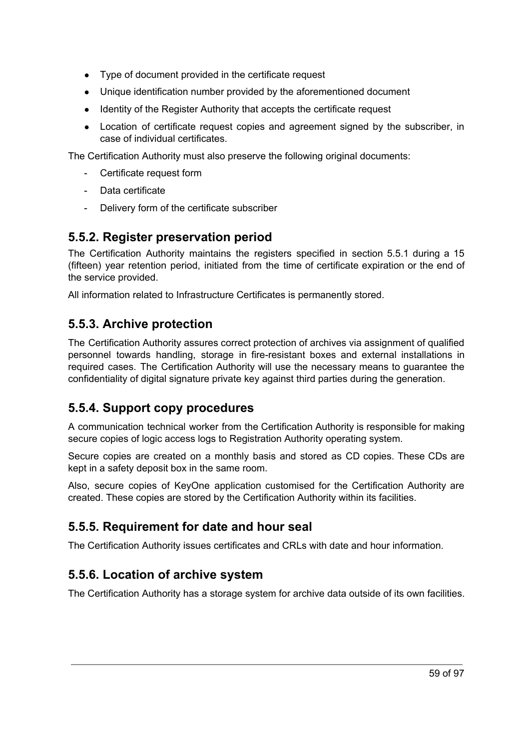- Type of document provided in the certificate request
- Unique identification number provided by the aforementioned document
- Identity of the Register Authority that accepts the certificate request
- Location of certificate request copies and agreement signed by the subscriber, in case of individual certificates.

The Certification Authority must also preserve the following original documents:

- Certificate request form
- Data certificate
- Delivery form of the certificate subscriber

### **5.5.2. Register preservation period**

The Certification Authority maintains the registers specified in section 5.5.1 during a 15 (fifteen) year retention period, initiated from the time of certificate expiration or the end of the service provided.

All information related to Infrastructure Certificates is permanently stored.

### **5.5.3. Archive protection**

The Certification Authority assures correct protection of archives via assignment of qualified personnel towards handling, storage in fire-resistant boxes and external installations in required cases. The Certification Authority will use the necessary means to guarantee the confidentiality of digital signature private key against third parties during the generation.

### **5.5.4. Support copy procedures**

A communication technical worker from the Certification Authority is responsible for making secure copies of logic access logs to Registration Authority operating system.

Secure copies are created on a monthly basis and stored as CD copies. These CDs are kept in a safety deposit box in the same room.

Also, secure copies of KeyOne application customised for the Certification Authority are created. These copies are stored by the Certification Authority within its facilities.

### **5.5.5. Requirement for date and hour seal**

The Certification Authority issues certificates and CRLs with date and hour information.

### **5.5.6. Location of archive system**

The Certification Authority has a storage system for archive data outside of its own facilities.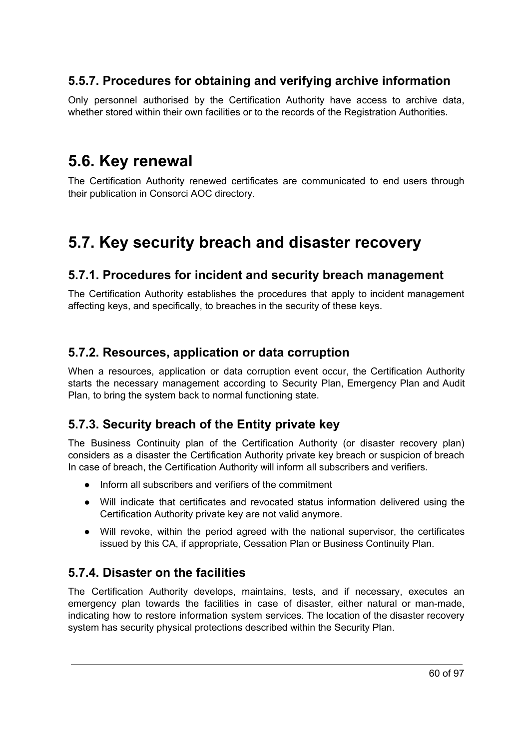### **5.5.7. Procedures for obtaining and verifying archive information**

Only personnel authorised by the Certification Authority have access to archive data, whether stored within their own facilities or to the records of the Registration Authorities.

### **5.6. Key renewal**

The Certification Authority renewed certificates are communicated to end users through their publication in Consorci AOC directory.

## **5.7. Key security breach and disaster recovery**

#### **5.7.1. Procedures for incident and security breach management**

The Certification Authority establishes the procedures that apply to incident management affecting keys, and specifically, to breaches in the security of these keys.

#### **5.7.2. Resources, application or data corruption**

When a resources, application or data corruption event occur, the Certification Authority starts the necessary management according to Security Plan, Emergency Plan and Audit Plan, to bring the system back to normal functioning state.

### **5.7.3. Security breach of the Entity private key**

The Business Continuity plan of the Certification Authority (or disaster recovery plan) considers as a disaster the Certification Authority private key breach or suspicion of breach In case of breach, the Certification Authority will inform all subscribers and verifiers.

- Inform all subscribers and verifiers of the commitment
- Will indicate that certificates and revocated status information delivered using the Certification Authority private key are not valid anymore.
- Will revoke, within the period agreed with the national supervisor, the certificates issued by this CA, if appropriate, Cessation Plan or Business Continuity Plan.

### **5.7.4. Disaster on the facilities**

The Certification Authority develops, maintains, tests, and if necessary, executes an emergency plan towards the facilities in case of disaster, either natural or man-made, indicating how to restore information system services. The location of the disaster recovery system has security physical protections described within the Security Plan.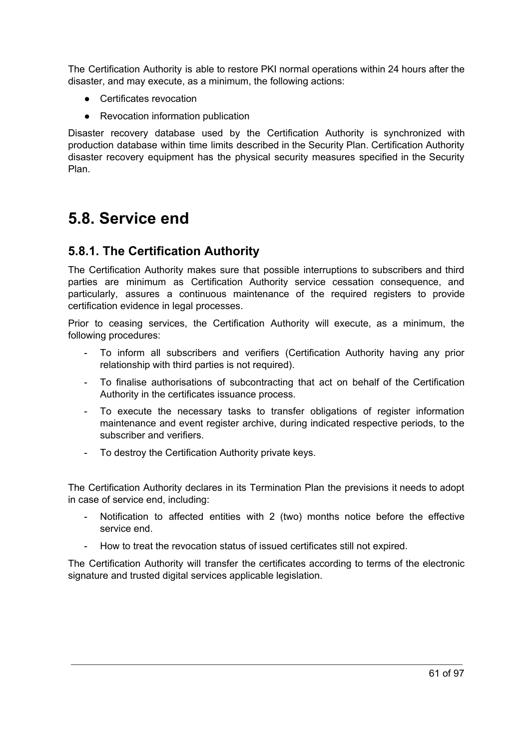The Certification Authority is able to restore PKI normal operations within 24 hours after the disaster, and may execute, as a minimum, the following actions:

- Certificates revocation
- Revocation information publication

Disaster recovery database used by the Certification Authority is synchronized with production database within time limits described in the Security Plan. Certification Authority disaster recovery equipment has the physical security measures specified in the Security Plan.

### **5.8. Service end**

#### **5.8.1. The Certification Authority**

The Certification Authority makes sure that possible interruptions to subscribers and third parties are minimum as Certification Authority service cessation consequence, and particularly, assures a continuous maintenance of the required registers to provide certification evidence in legal processes.

Prior to ceasing services, the Certification Authority will execute, as a minimum, the following procedures:

- To inform all subscribers and verifiers (Certification Authority having any prior relationship with third parties is not required).
- To finalise authorisations of subcontracting that act on behalf of the Certification Authority in the certificates issuance process.
- To execute the necessary tasks to transfer obligations of register information maintenance and event register archive, during indicated respective periods, to the subscriber and verifiers.
- To destroy the Certification Authority private keys.

The Certification Authority declares in its Termination Plan the previsions it needs to adopt in case of service end, including:

- Notification to affected entities with 2 (two) months notice before the effective service end.
- How to treat the revocation status of issued certificates still not expired.

The Certification Authority will transfer the certificates according to terms of the electronic signature and trusted digital services applicable legislation.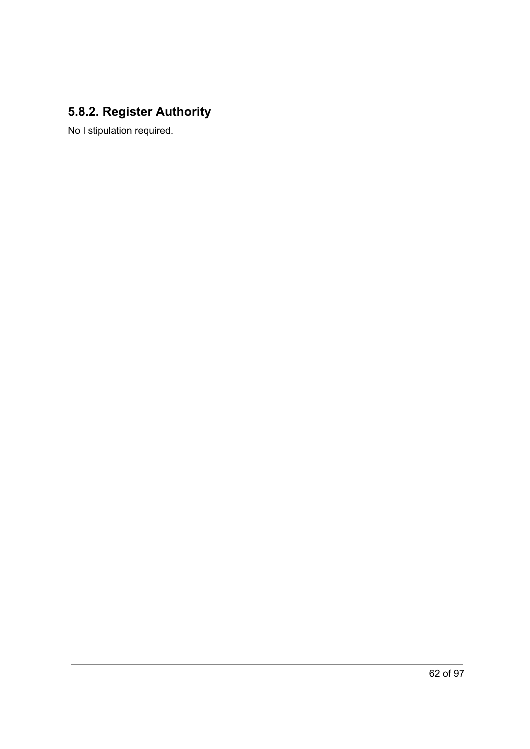### **5.8.2. Register Authority**

No l stipulation required.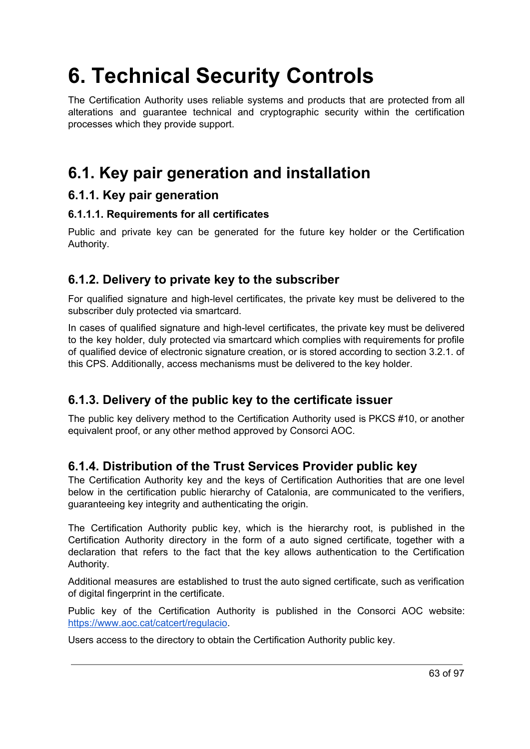# **6. Technical Security Controls**

The Certification Authority uses reliable systems and products that are protected from all alterations and guarantee technical and cryptographic security within the certification processes which they provide support.

# **6.1. Key pair generation and installation**

#### **6.1.1. Key pair generation**

#### **6.1.1.1. Requirements for all certificates**

Public and private key can be generated for the future key holder or the Certification Authority.

### **6.1.2. Delivery to private key to the subscriber**

For qualified signature and high-level certificates, the private key must be delivered to the subscriber duly protected via smartcard.

In cases of qualified signature and high-level certificates, the private key must be delivered to the key holder, duly protected via smartcard which complies with requirements for profile of qualified device of electronic signature creation, or is stored according to section 3.2.1. of this CPS. Additionally, access mechanisms must be delivered to the key holder.

### **6.1.3. Delivery of the public key to the certificate issuer**

The public key delivery method to the Certification Authority used is PKCS #10, or another equivalent proof, or any other method approved by Consorci AOC.

### **6.1.4. Distribution of the Trust Services Provider public key**

The Certification Authority key and the keys of Certification Authorities that are one level below in the certification public hierarchy of Catalonia, are communicated to the verifiers, guaranteeing key integrity and authenticating the origin.

The Certification Authority public key, which is the hierarchy root, is published in the Certification Authority directory in the form of a auto signed certificate, together with a declaration that refers to the fact that the key allows authentication to the Certification Authority.

Additional measures are established to trust the auto signed certificate, such as verification of digital fingerprint in the certificate.

Public key of the Certification Authority is published in the Consorci AOC website: [https://www.aoc.cat/catcert/regulacio.](https://www.aoc.cat/catcert/regulacio)

Users access to the directory to obtain the Certification Authority public key.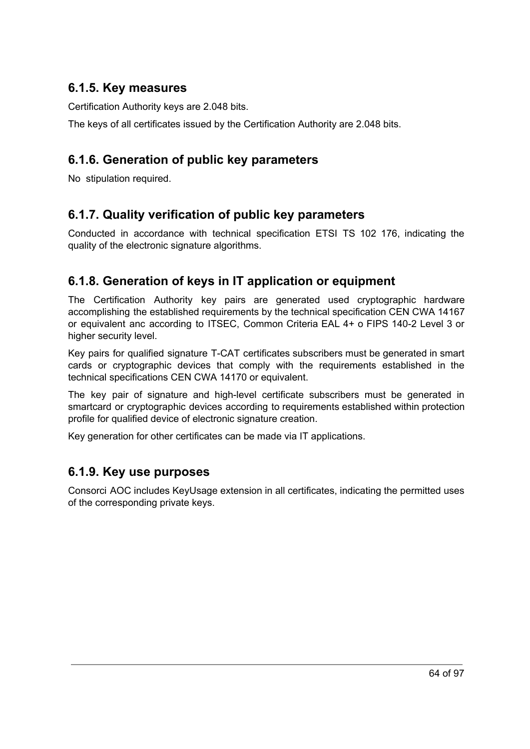### **6.1.5. Key measures**

Certification Authority keys are 2.048 bits.

The keys of all certificates issued by the Certification Authority are 2.048 bits.

### **6.1.6. Generation of public key parameters**

No stipulation required.

### **6.1.7. Quality verification of public key parameters**

Conducted in accordance with technical specification ETSI TS 102 176, indicating the quality of the electronic signature algorithms.

### **6.1.8. Generation of keys in IT application or equipment**

The Certification Authority key pairs are generated used cryptographic hardware accomplishing the established requirements by the technical specification CEN CWA 14167 or equivalent anc according to ITSEC, Common Criteria EAL 4+ o FIPS 140-2 Level 3 or higher security level.

Key pairs for qualified signature T-CAT certificates subscribers must be generated in smart cards or cryptographic devices that comply with the requirements established in the technical specifications CEN CWA 14170 or equivalent.

The key pair of signature and high-level certificate subscribers must be generated in smartcard or cryptographic devices according to requirements established within protection profile for qualified device of electronic signature creation.

Key generation for other certificates can be made via IT applications.

### **6.1.9. Key use purposes**

Consorci AOC includes KeyUsage extension in all certificates, indicating the permitted uses of the corresponding private keys.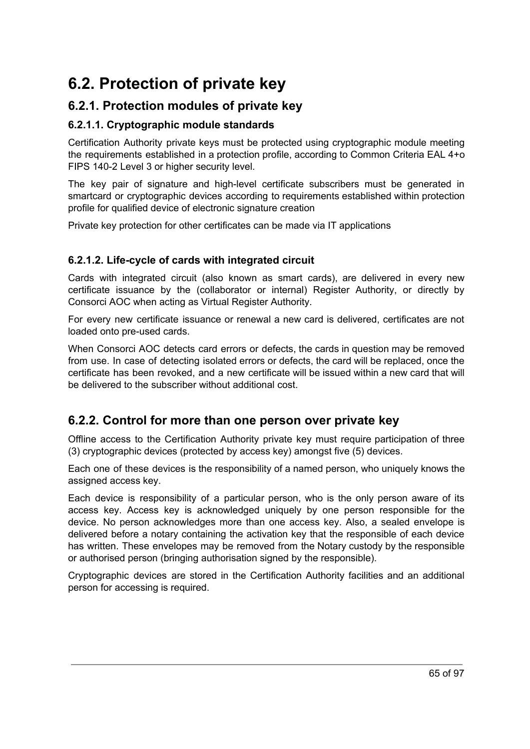# **6.2. Protection of private key**

### **6.2.1. Protection modules of private key**

#### **6.2.1.1. Cryptographic module standards**

Certification Authority private keys must be protected using cryptographic module meeting the requirements established in a protection profile, according to Common Criteria EAL 4+o FIPS 140-2 Level 3 or higher security level.

The key pair of signature and high-level certificate subscribers must be generated in smartcard or cryptographic devices according to requirements established within protection profile for qualified device of electronic signature creation

Private key protection for other certificates can be made via IT applications

#### **6.2.1.2. Life-cycle of cards with integrated circuit**

Cards with integrated circuit (also known as smart cards), are delivered in every new certificate issuance by the (collaborator or internal) Register Authority, or directly by Consorci AOC when acting as Virtual Register Authority.

For every new certificate issuance or renewal a new card is delivered, certificates are not loaded onto pre-used cards.

When Consorci AOC detects card errors or defects, the cards in question may be removed from use. In case of detecting isolated errors or defects, the card will be replaced, once the certificate has been revoked, and a new certificate will be issued within a new card that will be delivered to the subscriber without additional cost.

### **6.2.2. Control for more than one person over private key**

Offline access to the Certification Authority private key must require participation of three (3) cryptographic devices (protected by access key) amongst five (5) devices.

Each one of these devices is the responsibility of a named person, who uniquely knows the assigned access key.

Each device is responsibility of a particular person, who is the only person aware of its access key. Access key is acknowledged uniquely by one person responsible for the device. No person acknowledges more than one access key. Also, a sealed envelope is delivered before a notary containing the activation key that the responsible of each device has written. These envelopes may be removed from the Notary custody by the responsible or authorised person (bringing authorisation signed by the responsible).

Cryptographic devices are stored in the Certification Authority facilities and an additional person for accessing is required.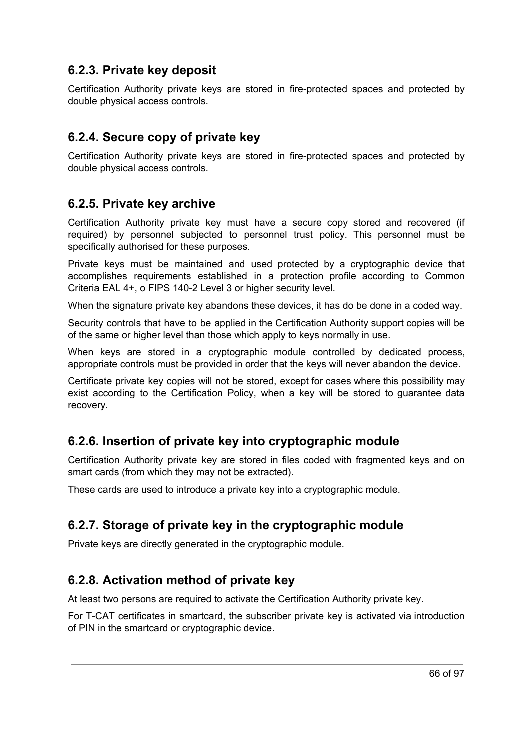### **6.2.3. Private key deposit**

Certification Authority private keys are stored in fire-protected spaces and protected by double physical access controls.

### **6.2.4. Secure copy of private key**

Certification Authority private keys are stored in fire-protected spaces and protected by double physical access controls.

### **6.2.5. Private key archive**

Certification Authority private key must have a secure copy stored and recovered (if required) by personnel subjected to personnel trust policy. This personnel must be specifically authorised for these purposes.

Private keys must be maintained and used protected by a cryptographic device that accomplishes requirements established in a protection profile according to Common Criteria EAL 4+, o FIPS 140-2 Level 3 or higher security level.

When the signature private key abandons these devices, it has do be done in a coded way.

Security controls that have to be applied in the Certification Authority support copies will be of the same or higher level than those which apply to keys normally in use.

When keys are stored in a cryptographic module controlled by dedicated process. appropriate controls must be provided in order that the keys will never abandon the device.

Certificate private key copies will not be stored, except for cases where this possibility may exist according to the Certification Policy, when a key will be stored to guarantee data recovery.

### **6.2.6. Insertion of private key into cryptographic module**

Certification Authority private key are stored in files coded with fragmented keys and on smart cards (from which they may not be extracted).

These cards are used to introduce a private key into a cryptographic module.

### **6.2.7. Storage of private key in the cryptographic module**

Private keys are directly generated in the cryptographic module.

### **6.2.8. Activation method of private key**

At least two persons are required to activate the Certification Authority private key.

For T-CAT certificates in smartcard, the subscriber private key is activated via introduction of PIN in the smartcard or cryptographic device.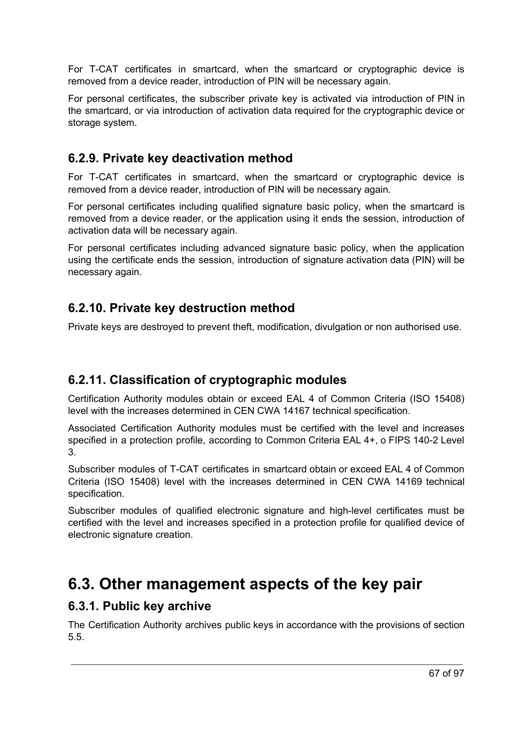For T-CAT certificates in smartcard, when the smartcard or cryptographic device is removed from a device reader, introduction of PIN will be necessary again.

For personal certificates, the subscriber private key is activated via introduction of PIN in the smartcard, or via introduction of activation data required for the cryptographic device or storage system.

### **6.2.9. Private key deactivation method**

For T-CAT certificates in smartcard, when the smartcard or cryptographic device is removed from a device reader, introduction of PIN will be necessary again.

For personal certificates including qualified signature basic policy, when the smartcard is removed from a device reader, or the application using it ends the session, introduction of activation data will be necessary again.

For personal certificates including advanced signature basic policy, when the application using the certificate ends the session, introduction of signature activation data (PIN) will be necessary again.

### **6.2.10. Private key destruction method**

Private keys are destroyed to prevent theft, modification, divulgation or non authorised use.

### **6.2.11. Classification of cryptographic modules**

Certification Authority modules obtain or exceed EAL 4 of Common Criteria (ISO 15408) level with the increases determined in CEN CWA 14167 technical specification.

Associated Certification Authority modules must be certified with the level and increases specified in a protection profile, according to Common Criteria EAL 4+, o FIPS 140-2 Level 3.

Subscriber modules of T-CAT certificates in smartcard obtain or exceed EAL 4 of Common Criteria (ISO 15408) level with the increases determined in CEN CWA 14169 technical specification.

Subscriber modules of qualified electronic signature and high-level certificates must be certified with the level and increases specified in a protection profile for qualified device of electronic signature creation.

### **6.3. Other management aspects of the key pair**

#### **6.3.1. Public key archive**

The Certification Authority archives public keys in accordance with the provisions of section 5.5.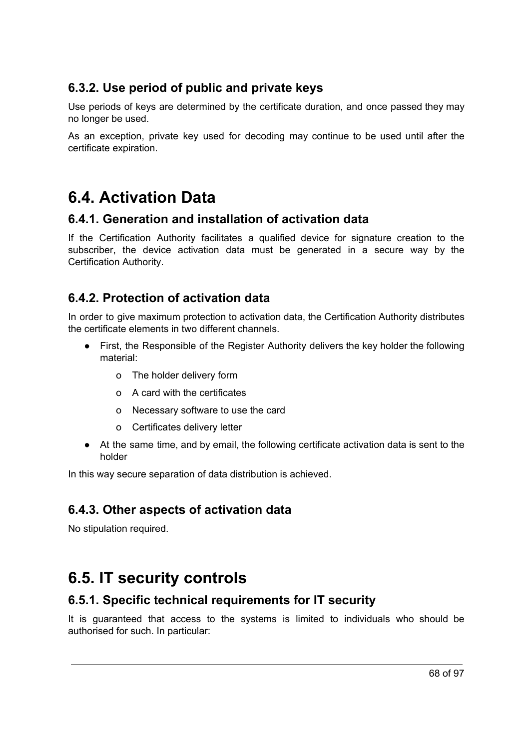### **6.3.2. Use period of public and private keys**

Use periods of keys are determined by the certificate duration, and once passed they may no longer be used.

As an exception, private key used for decoding may continue to be used until after the certificate expiration.

# **6.4. Activation Data**

#### **6.4.1. Generation and installation of activation data**

If the Certification Authority facilitates a qualified device for signature creation to the subscriber, the device activation data must be generated in a secure way by the Certification Authority.

### **6.4.2. Protection of activation data**

In order to give maximum protection to activation data, the Certification Authority distributes the certificate elements in two different channels.

- First, the Responsible of the Register Authority delivers the key holder the following material:
	- o The holder delivery form
	- o A card with the certificates
	- o Necessary software to use the card
	- o Certificates delivery letter
- At the same time, and by email, the following certificate activation data is sent to the holder

In this way secure separation of data distribution is achieved.

### **6.4.3. Other aspects of activation data**

No stipulation required.

# **6.5. IT security controls**

### **6.5.1. Specific technical requirements for IT security**

It is guaranteed that access to the systems is limited to individuals who should be authorised for such. In particular: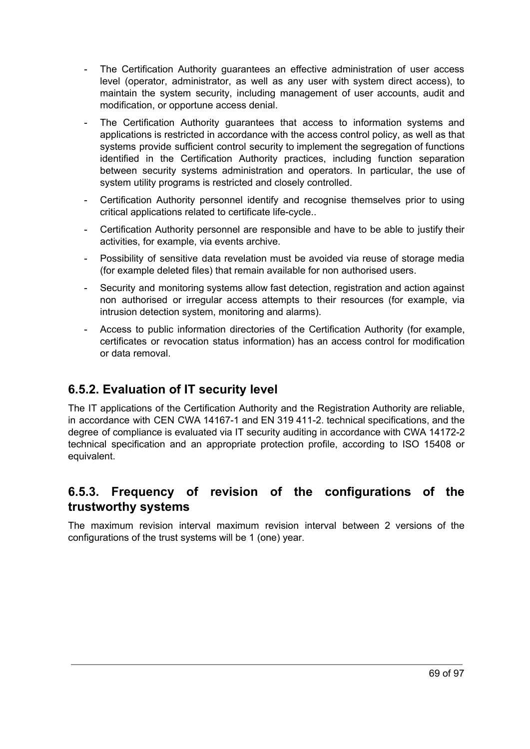- The Certification Authority guarantees an effective administration of user access level (operator, administrator, as well as any user with system direct access), to maintain the system security, including management of user accounts, audit and modification, or opportune access denial.
- The Certification Authority guarantees that access to information systems and applications is restricted in accordance with the access control policy, as well as that systems provide sufficient control security to implement the segregation of functions identified in the Certification Authority practices, including function separation between security systems administration and operators. In particular, the use of system utility programs is restricted and closely controlled.
- Certification Authority personnel identify and recognise themselves prior to using critical applications related to certificate life-cycle..
- Certification Authority personnel are responsible and have to be able to justify their activities, for example, via events archive.
- Possibility of sensitive data revelation must be avoided via reuse of storage media (for example deleted files) that remain available for non authorised users.
- Security and monitoring systems allow fast detection, registration and action against non authorised or irregular access attempts to their resources (for example, via intrusion detection system, monitoring and alarms).
- Access to public information directories of the Certification Authority (for example, certificates or revocation status information) has an access control for modification or data removal.

### **6.5.2. Evaluation of IT security level**

The IT applications of the Certification Authority and the Registration Authority are reliable, in accordance with CEN CWA 14167-1 and EN 319 411-2. technical specifications, and the degree of compliance is evaluated via IT security auditing in accordance with CWA 14172-2 technical specification and an appropriate protection profile, according to ISO 15408 or equivalent.

### **6.5.3. Frequency of revision of the configurations of the trustworthy systems**

The maximum revision interval maximum revision interval between 2 versions of the configurations of the trust systems will be 1 (one) year.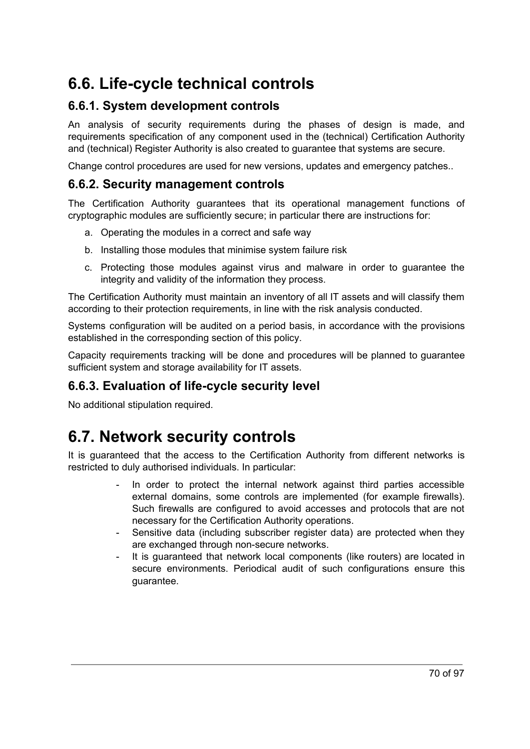# **6.6. Life-cycle technical controls**

### **6.6.1. System development controls**

An analysis of security requirements during the phases of design is made, and requirements specification of any component used in the (technical) Certification Authority and (technical) Register Authority is also created to guarantee that systems are secure.

Change control procedures are used for new versions, updates and emergency patches..

#### **6.6.2. Security management controls**

The Certification Authority guarantees that its operational management functions of cryptographic modules are sufficiently secure; in particular there are instructions for:

- a. Operating the modules in a correct and safe way
- b. Installing those modules that minimise system failure risk
- c. Protecting those modules against virus and malware in order to guarantee the integrity and validity of the information they process.

The Certification Authority must maintain an inventory of all IT assets and will classify them according to their protection requirements, in line with the risk analysis conducted.

Systems configuration will be audited on a period basis, in accordance with the provisions established in the corresponding section of this policy.

Capacity requirements tracking will be done and procedures will be planned to guarantee sufficient system and storage availability for IT assets.

#### **6.6.3. Evaluation of life-cycle security level**

No additional stipulation required.

### **6.7. Network security controls**

It is guaranteed that the access to the Certification Authority from different networks is restricted to duly authorised individuals. In particular:

- In order to protect the internal network against third parties accessible external domains, some controls are implemented (for example firewalls). Such firewalls are configured to avoid accesses and protocols that are not necessary for the Certification Authority operations.
- Sensitive data (including subscriber register data) are protected when they are exchanged through non-secure networks.
- It is guaranteed that network local components (like routers) are located in secure environments. Periodical audit of such configurations ensure this guarantee.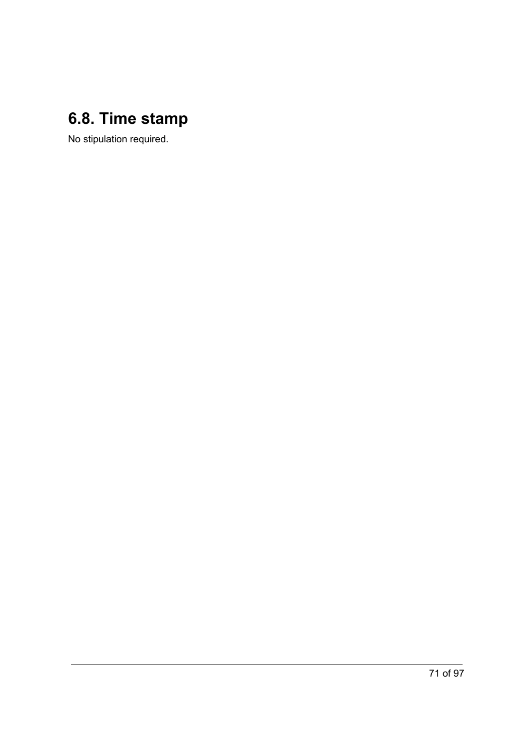# **6.8. Time stamp**

No stipulation required.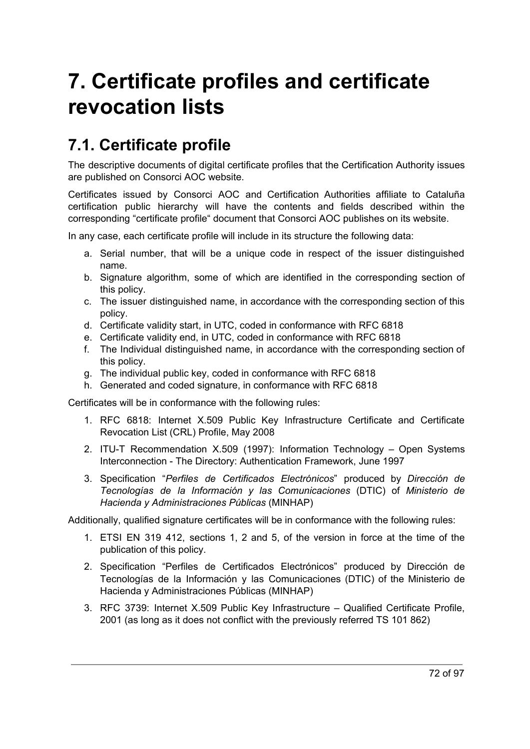# **7. Certificate profiles and certificate revocation lists**

# **7.1. Certificate profile**

The descriptive documents of digital certificate profiles that the Certification Authority issues are published on Consorci AOC website.

Certificates issued by Consorci AOC and Certification Authorities affiliate to Cataluña certification public hierarchy will have the contents and fields described within the corresponding "certificate profile" document that Consorci AOC publishes on its website.

In any case, each certificate profile will include in its structure the following data:

- a. Serial number, that will be a unique code in respect of the issuer distinguished name.
- b. Signature algorithm, some of which are identified in the corresponding section of this policy.
- c. The issuer distinguished name, in accordance with the corresponding section of this policy.
- d. Certificate validity start, in UTC, coded in conformance with RFC 6818
- e. Certificate validity end, in UTC, coded in conformance with RFC 6818
- f. The Individual distinguished name, in accordance with the corresponding section of this policy.
- g. The individual public key, coded in conformance with RFC 6818
- h. Generated and coded signature, in conformance with RFC 6818

Certificates will be in conformance with the following rules:

- 1. RFC 6818: Internet X.509 Public Key Infrastructure Certificate and Certificate Revocation List (CRL) Profile, May 2008
- 2. ITU-T Recommendation X.509 (1997): Information Technology Open Systems Interconnection - The Directory: Authentication Framework, June 1997
- 3. Specification "*Perfiles de Certificados Electrónicos*" produced by *Dirección de Tecnologías de la Información y las Comunicaciones* (DTIC) of *Ministerio de Hacienda y Administraciones Públicas* (MINHAP)

Additionally, qualified signature certificates will be in conformance with the following rules:

- 1. ETSI EN 319 412, sections 1, 2 and 5, of the version in force at the time of the publication of this policy.
- 2. Specification "Perfiles de Certificados Electrónicos" produced by Dirección de Tecnologías de la Información y las Comunicaciones (DTIC) of the Ministerio de Hacienda y Administraciones Públicas (MINHAP)
- 3. RFC 3739: Internet X.509 Public Key Infrastructure Qualified Certificate Profile, 2001 (as long as it does not conflict with the previously referred TS 101 862)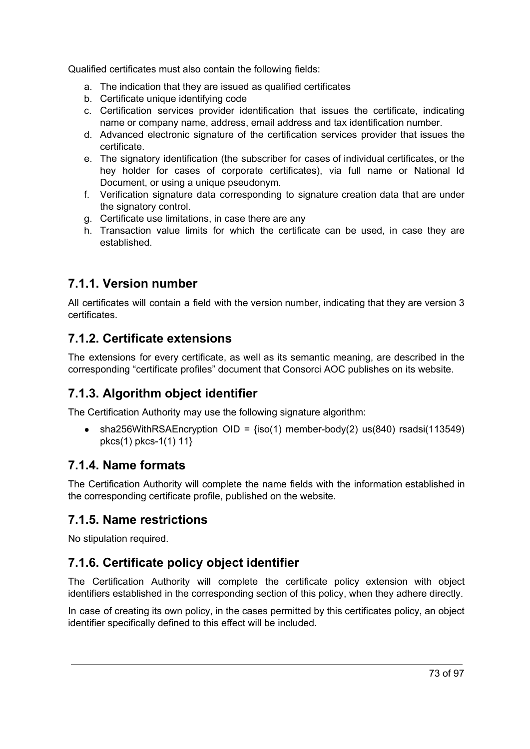Qualified certificates must also contain the following fields:

- a. The indication that they are issued as qualified certificates
- b. Certificate unique identifying code
- c. Certification services provider identification that issues the certificate, indicating name or company name, address, email address and tax identification number.
- d. Advanced electronic signature of the certification services provider that issues the certificate.
- e. The signatory identification (the subscriber for cases of individual certificates, or the hey holder for cases of corporate certificates), via full name or National Id Document, or using a unique pseudonym.
- f. Verification signature data corresponding to signature creation data that are under the signatory control.
- g. Certificate use limitations, in case there are any
- h. Transaction value limits for which the certificate can be used, in case they are established.

## **7.1.1. Version number**

All certificates will contain a field with the version number, indicating that they are version 3 certificates.

## **7.1.2. Certificate extensions**

The extensions for every certificate, as well as its semantic meaning, are described in the corresponding "certificate profiles" document that Consorci AOC publishes on its website.

## **7.1.3. Algorithm object identifier**

The Certification Authority may use the following signature algorithm:

• sha256WithRSAEncryption OID =  $\{iso(1)$  member-body(2) us(840) rsadsi(113549) pkcs(1) pkcs-1(1) 11}

## **7.1.4. Name formats**

The Certification Authority will complete the name fields with the information established in the corresponding certificate profile, published on the website.

## **7.1.5. Name restrictions**

No stipulation required.

## **7.1.6. Certificate policy object identifier**

The Certification Authority will complete the certificate policy extension with object identifiers established in the corresponding section of this policy, when they adhere directly.

In case of creating its own policy, in the cases permitted by this certificates policy, an object identifier specifically defined to this effect will be included.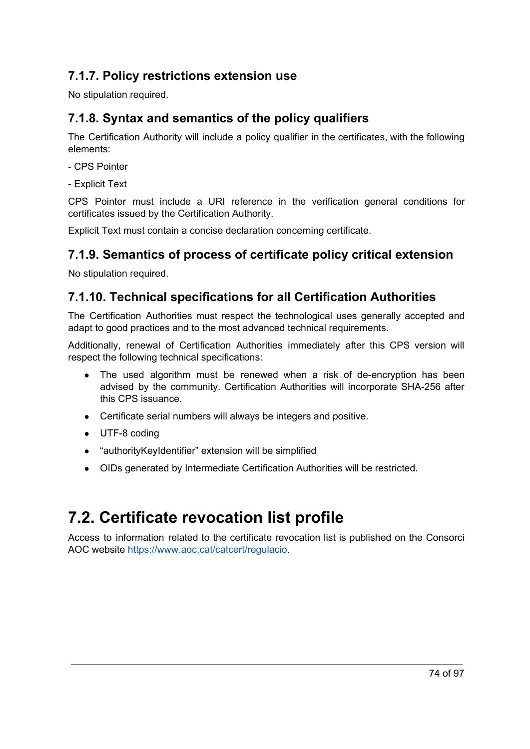## **7.1.7. Policy restrictions extension use**

No stipulation required.

## **7.1.8. Syntax and semantics of the policy qualifiers**

The Certification Authority will include a policy qualifier in the certificates, with the following elements:

- CPS Pointer
- Explicit Text

CPS Pointer must include a URI reference in the verification general conditions for certificates issued by the Certification Authority.

Explicit Text must contain a concise declaration concerning certificate.

## **7.1.9. Semantics of process of certificate policy critical extension**

No stipulation required.

## **7.1.10. Technical specifications for all Certification Authorities**

The Certification Authorities must respect the technological uses generally accepted and adapt to good practices and to the most advanced technical requirements.

Additionally, renewal of Certification Authorities immediately after this CPS version will respect the following technical specifications:

- The used algorithm must be renewed when a risk of de-encryption has been advised by the community. Certification Authorities will incorporate SHA-256 after this CPS issuance.
- Certificate serial numbers will always be integers and positive.
- UTF-8 coding
- "authorityKeyIdentifier" extension will be simplified
- OIDs generated by Intermediate Certification Authorities will be restricted.

# **7.2. Certificate revocation list profile**

Access to information related to the certificate revocation list is published on the Consorci AOC website <https://www.aoc.cat/catcert/regulacio>.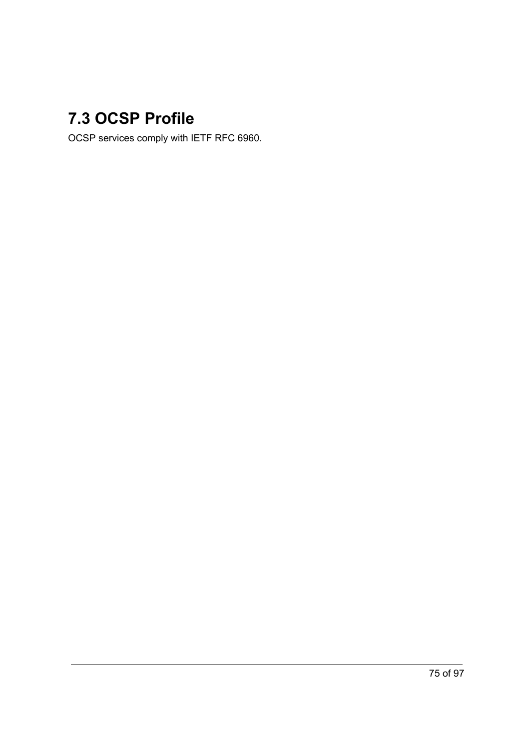# **7.3 OCSP Profile**

OCSP services comply with IETF RFC 6960.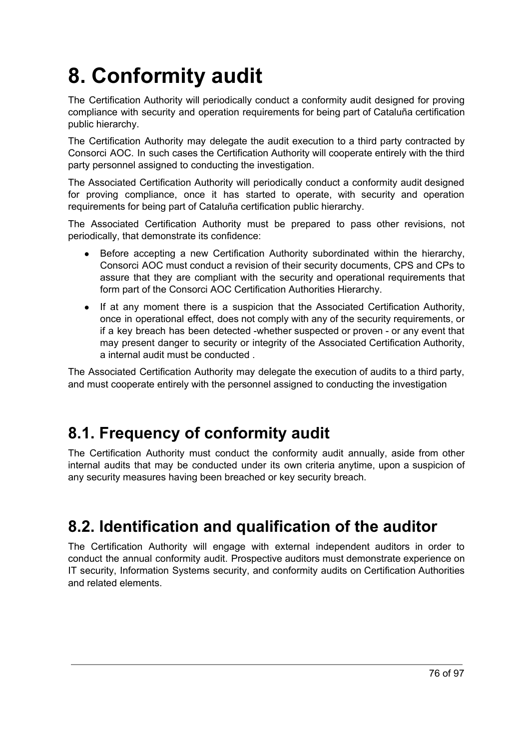# **8. Conformity audit**

The Certification Authority will periodically conduct a conformity audit designed for proving compliance with security and operation requirements for being part of Cataluña certification public hierarchy.

The Certification Authority may delegate the audit execution to a third party contracted by Consorci AOC. In such cases the Certification Authority will cooperate entirely with the third party personnel assigned to conducting the investigation.

The Associated Certification Authority will periodically conduct a conformity audit designed for proving compliance, once it has started to operate, with security and operation requirements for being part of Cataluña certification public hierarchy.

The Associated Certification Authority must be prepared to pass other revisions, not periodically, that demonstrate its confidence:

- Before accepting a new Certification Authority subordinated within the hierarchy, Consorci AOC must conduct a revision of their security documents, CPS and CPs to assure that they are compliant with the security and operational requirements that form part of the Consorci AOC Certification Authorities Hierarchy.
- If at any moment there is a suspicion that the Associated Certification Authority, once in operational effect, does not comply with any of the security requirements, or if a key breach has been detected -whether suspected or proven - or any event that may present danger to security or integrity of the Associated Certification Authority, a internal audit must be conducted .

The Associated Certification Authority may delegate the execution of audits to a third party, and must cooperate entirely with the personnel assigned to conducting the investigation

# **8.1. Frequency of conformity audit**

The Certification Authority must conduct the conformity audit annually, aside from other internal audits that may be conducted under its own criteria anytime, upon a suspicion of any security measures having been breached or key security breach.

# **8.2. Identification and qualification of the auditor**

The Certification Authority will engage with external independent auditors in order to conduct the annual conformity audit. Prospective auditors must demonstrate experience on IT security, Information Systems security, and conformity audits on Certification Authorities and related elements.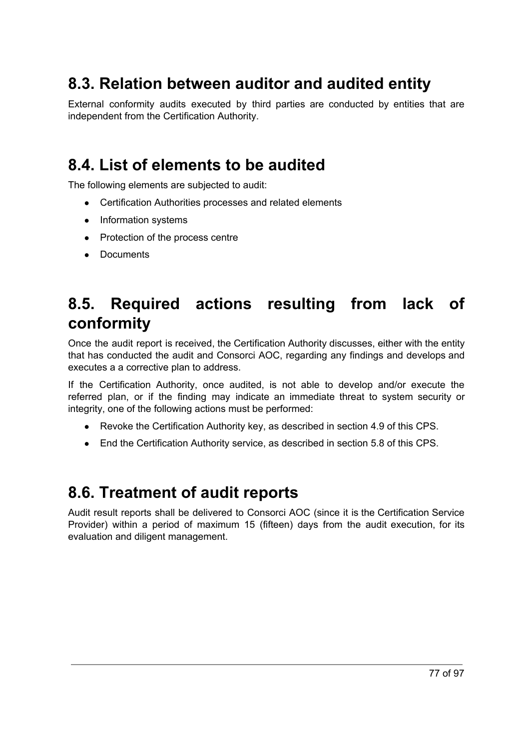# **8.3. Relation between auditor and audited entity**

External conformity audits executed by third parties are conducted by entities that are independent from the Certification Authority.

# **8.4. List of elements to be audited**

The following elements are subjected to audit:

- Certification Authorities processes and related elements
- Information systems
- Protection of the process centre
- Documents

# **8.5. Required actions resulting from lack of conformity**

Once the audit report is received, the Certification Authority discusses, either with the entity that has conducted the audit and Consorci AOC, regarding any findings and develops and executes a a corrective plan to address.

If the Certification Authority, once audited, is not able to develop and/or execute the referred plan, or if the finding may indicate an immediate threat to system security or integrity, one of the following actions must be performed:

- Revoke the Certification Authority key, as described in section 4.9 of this CPS.
- End the Certification Authority service, as described in section 5.8 of this CPS.

## **8.6. Treatment of audit reports**

Audit result reports shall be delivered to Consorci AOC (since it is the Certification Service Provider) within a period of maximum 15 (fifteen) days from the audit execution, for its evaluation and diligent management.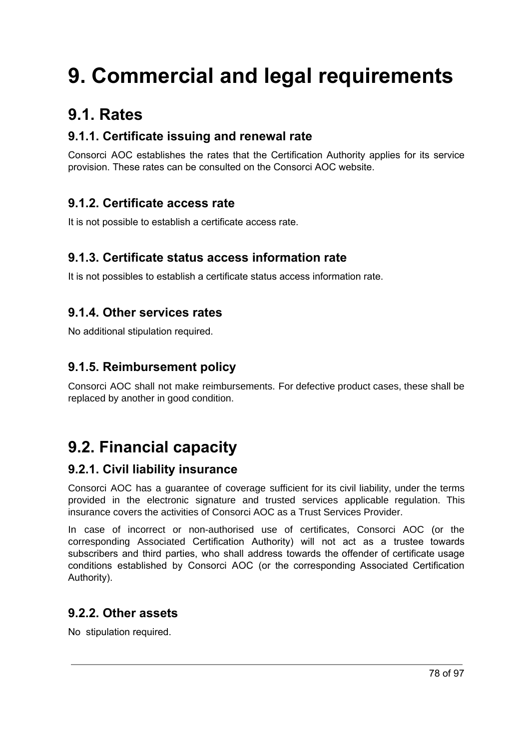# **9. Commercial and legal requirements**

# **9.1. Rates**

## **9.1.1. Certificate issuing and renewal rate**

Consorci AOC establishes the rates that the Certification Authority applies for its service provision. These rates can be consulted on the Consorci AOC website.

## **9.1.2. Certificate access rate**

It is not possible to establish a certificate access rate.

## **9.1.3. Certificate status access information rate**

It is not possibles to establish a certificate status access information rate.

## **9.1.4. Other services rates**

No additional stipulation required.

## **9.1.5. Reimbursement policy**

Consorci AOC shall not make reimbursements. For defective product cases, these shall be replaced by another in good condition.

# **9.2. Financial capacity**

## **9.2.1. Civil liability insurance**

Consorci AOC has a guarantee of coverage sufficient for its civil liability, under the terms provided in the electronic signature and trusted services applicable regulation. This insurance covers the activities of Consorci AOC as a Trust Services Provider.

In case of incorrect or non-authorised use of certificates, Consorci AOC (or the corresponding Associated Certification Authority) will not act as a trustee towards subscribers and third parties, who shall address towards the offender of certificate usage conditions established by Consorci AOC (or the corresponding Associated Certification Authority).

## **9.2.2. Other assets**

No stipulation required.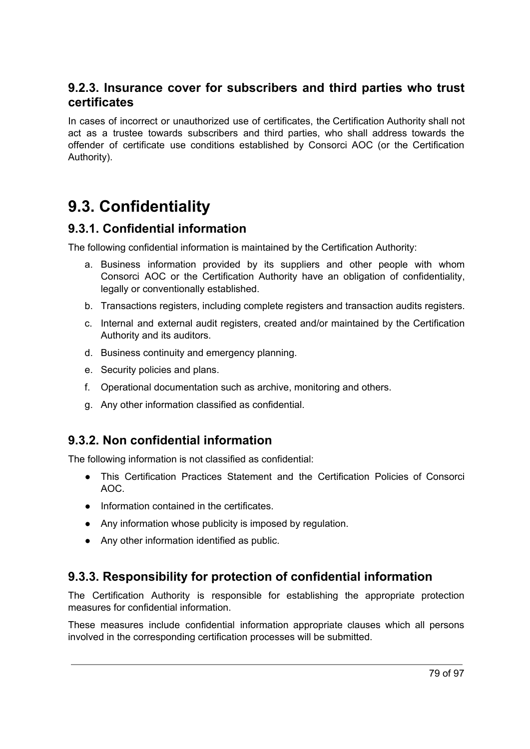## **9.2.3. Insurance cover for subscribers and third parties who trust certificates**

In cases of incorrect or unauthorized use of certificates, the Certification Authority shall not act as a trustee towards subscribers and third parties, who shall address towards the offender of certificate use conditions established by Consorci AOC (or the Certification Authority).

# **9.3. Confidentiality**

## **9.3.1. Confidential information**

The following confidential information is maintained by the Certification Authority:

- a. Business information provided by its suppliers and other people with whom Consorci AOC or the Certification Authority have an obligation of confidentiality, legally or conventionally established.
- b. Transactions registers, including complete registers and transaction audits registers.
- c. Internal and external audit registers, created and/or maintained by the Certification Authority and its auditors.
- d. Business continuity and emergency planning.
- e. Security policies and plans.
- f. Operational documentation such as archive, monitoring and others.
- g. Any other information classified as confidential.

## **9.3.2. Non confidential information**

The following information is not classified as confidential:

- This Certification Practices Statement and the Certification Policies of Consorci AOC.
- Information contained in the certificates.
- Any information whose publicity is imposed by regulation.
- Any other information identified as public.

## **9.3.3. Responsibility for protection of confidential information**

The Certification Authority is responsible for establishing the appropriate protection measures for confidential information.

These measures include confidential information appropriate clauses which all persons involved in the corresponding certification processes will be submitted.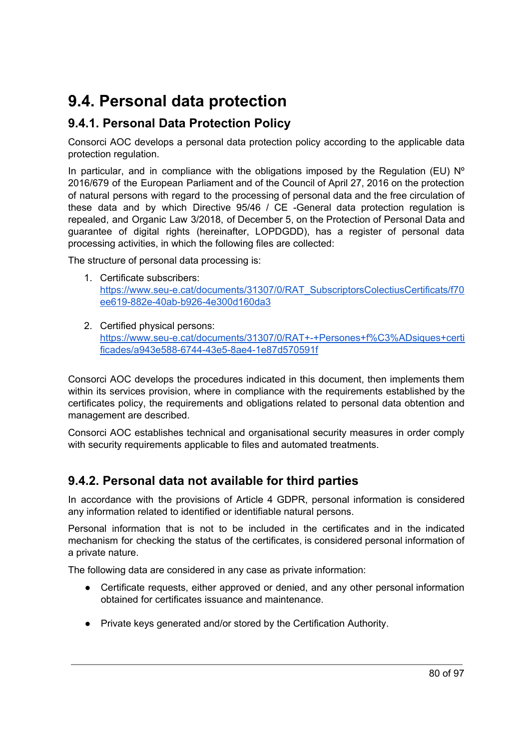# **9.4. Personal data protection**

## **9.4.1. Personal Data Protection Policy**

Consorci AOC develops a personal data protection policy according to the applicable data protection regulation.

In particular, and in compliance with the obligations imposed by the Regulation (EU)  $N^{\circ}$ 2016/679 of the European Parliament and of the Council of April 27, 2016 on the protection of natural persons with regard to the processing of personal data and the free circulation of these data and by which Directive 95/46 / CE -General data protection regulation is repealed, and Organic Law 3/2018, of December 5, on the Protection of Personal Data and guarantee of digital rights (hereinafter, LOPDGDD), has a register of personal data processing activities, in which the following files are collected:

The structure of personal data processing is:

- 1. Certificate subscribers: [https://www.seu-e.cat/documents/31307/0/RAT\\_SubscriptorsColectiusCertificats/f70](https://www.seu-e.cat/documents/31307/0/RAT_SubscriptorsColectiusCertificats/f70ee619-882e-40ab-b926-4e300d160da3) [ee619-882e-40ab-b926-4e300d160da3](https://www.seu-e.cat/documents/31307/0/RAT_SubscriptorsColectiusCertificats/f70ee619-882e-40ab-b926-4e300d160da3)
- 2. Certified physical persons: [https://www.seu-e.cat/documents/31307/0/RAT+-+Persones+f%C3%ADsiques+certi](https://www.seu-e.cat/documents/31307/0/RAT+-+Persones+f%C3%ADsiques+certificades/a943e588-6744-43e5-8ae4-1e87d570591f) [ficades/a943e588-6744-43e5-8ae4-1e87d570591f](https://www.seu-e.cat/documents/31307/0/RAT+-+Persones+f%C3%ADsiques+certificades/a943e588-6744-43e5-8ae4-1e87d570591f)

Consorci AOC develops the procedures indicated in this document, then implements them within its services provision, where in compliance with the requirements established by the certificates policy, the requirements and obligations related to personal data obtention and management are described.

Consorci AOC establishes technical and organisational security measures in order comply with security requirements applicable to files and automated treatments.

## **9.4.2. Personal data not available for third parties**

In accordance with the provisions of Article 4 GDPR, personal information is considered any information related to identified or identifiable natural persons.

Personal information that is not to be included in the certificates and in the indicated mechanism for checking the status of the certificates, is considered personal information of a private nature.

The following data are considered in any case as private information:

- Certificate requests, either approved or denied, and any other personal information obtained for certificates issuance and maintenance.
- Private keys generated and/or stored by the Certification Authority.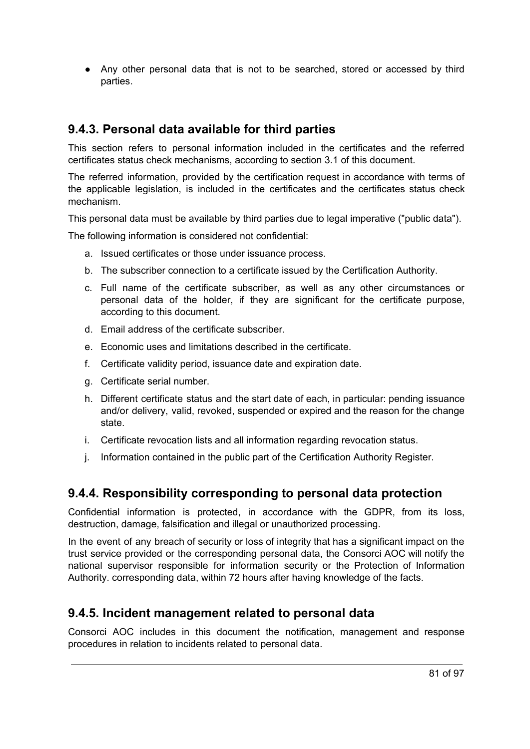● Any other personal data that is not to be searched, stored or accessed by third parties.

## **9.4.3. Personal data available for third parties**

This section refers to personal information included in the certificates and the referred certificates status check mechanisms, according to section 3.1 of this document.

The referred information, provided by the certification request in accordance with terms of the applicable legislation, is included in the certificates and the certificates status check mechanism.

This personal data must be available by third parties due to legal imperative ("public data").

The following information is considered not confidential:

- a. Issued certificates or those under issuance process.
- b. The subscriber connection to a certificate issued by the Certification Authority.
- c. Full name of the certificate subscriber, as well as any other circumstances or personal data of the holder, if they are significant for the certificate purpose, according to this document.
- d. Email address of the certificate subscriber.
- e. Economic uses and limitations described in the certificate.
- f. Certificate validity period, issuance date and expiration date.
- g. Certificate serial number.
- h. Different certificate status and the start date of each, in particular: pending issuance and/or delivery, valid, revoked, suspended or expired and the reason for the change state.
- i. Certificate revocation lists and all information regarding revocation status.
- j. Information contained in the public part of the Certification Authority Register.

## **9.4.4. Responsibility corresponding to personal data protection**

Confidential information is protected, in accordance with the GDPR, from its loss, destruction, damage, falsification and illegal or unauthorized processing.

In the event of any breach of security or loss of integrity that has a significant impact on the trust service provided or the corresponding personal data, the Consorci AOC will notify the national supervisor responsible for information security or the Protection of Information Authority. corresponding data, within 72 hours after having knowledge of the facts.

## **9.4.5. Incident management related to personal data**

Consorci AOC includes in this document the notification, management and response procedures in relation to incidents related to personal data.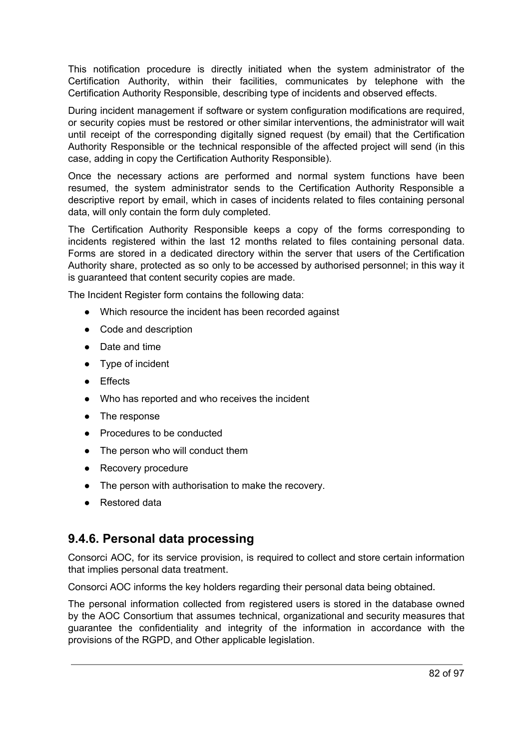This notification procedure is directly initiated when the system administrator of the Certification Authority, within their facilities, communicates by telephone with the Certification Authority Responsible, describing type of incidents and observed effects.

During incident management if software or system configuration modifications are required, or security copies must be restored or other similar interventions, the administrator will wait until receipt of the corresponding digitally signed request (by email) that the Certification Authority Responsible or the technical responsible of the affected project will send (in this case, adding in copy the Certification Authority Responsible).

Once the necessary actions are performed and normal system functions have been resumed, the system administrator sends to the Certification Authority Responsible a descriptive report by email, which in cases of incidents related to files containing personal data, will only contain the form duly completed.

The Certification Authority Responsible keeps a copy of the forms corresponding to incidents registered within the last 12 months related to files containing personal data. Forms are stored in a dedicated directory within the server that users of the Certification Authority share, protected as so only to be accessed by authorised personnel; in this way it is guaranteed that content security copies are made.

The Incident Register form contains the following data:

- Which resource the incident has been recorded against
- Code and description
- Date and time
- Type of incident
- Effects
- Who has reported and who receives the incident
- The response
- Procedures to be conducted
- The person who will conduct them
- Recovery procedure
- The person with authorisation to make the recovery.
- Restored data

## **9.4.6. Personal data processing**

Consorci AOC, for its service provision, is required to collect and store certain information that implies personal data treatment.

Consorci AOC informs the key holders regarding their personal data being obtained.

The personal information collected from registered users is stored in the database owned by the AOC Consortium that assumes technical, organizational and security measures that guarantee the confidentiality and integrity of the information in accordance with the provisions of the RGPD, and Other applicable legislation.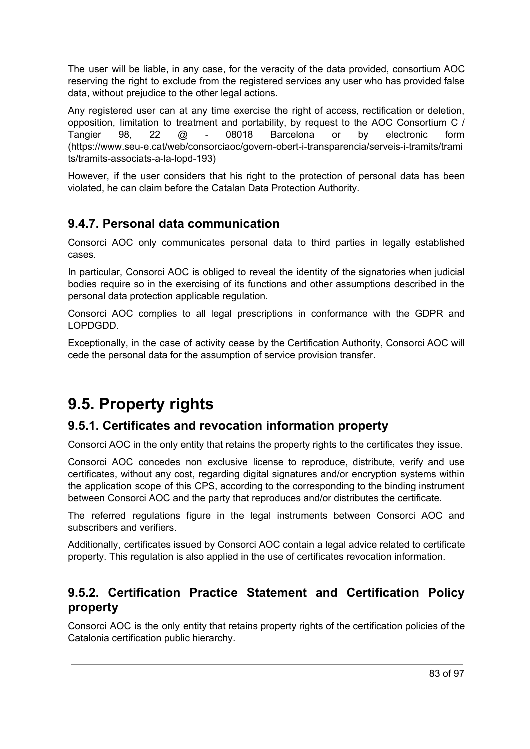The user will be liable, in any case, for the veracity of the data provided, consortium AOC reserving the right to exclude from the registered services any user who has provided false data, without prejudice to the other legal actions.

Any registered user can at any time exercise the right of access, rectification or deletion, opposition, limitation to treatment and portability, by request to the AOC Consortium C / Tangier 98, 22 @ - 08018 Barcelona or by electronic form (https://www.seu-e.cat/web/consorciaoc/govern-obert-i-transparencia/serveis-i-tramits/trami ts/tramits-associats-a-la-lopd-193)

However, if the user considers that his right to the protection of personal data has been violated, he can claim before the Catalan Data Protection Authority.

## **9.4.7. Personal data communication**

Consorci AOC only communicates personal data to third parties in legally established cases.

In particular, Consorci AOC is obliged to reveal the identity of the signatories when judicial bodies require so in the exercising of its functions and other assumptions described in the personal data protection applicable regulation.

Consorci AOC complies to all legal prescriptions in conformance with the GDPR and LOPDGDD.

Exceptionally, in the case of activity cease by the Certification Authority, Consorci AOC will cede the personal data for the assumption of service provision transfer.

# **9.5. Property rights**

## **9.5.1. Certificates and revocation information property**

Consorci AOC in the only entity that retains the property rights to the certificates they issue.

Consorci AOC concedes non exclusive license to reproduce, distribute, verify and use certificates, without any cost, regarding digital signatures and/or encryption systems within the application scope of this CPS, according to the corresponding to the binding instrument between Consorci AOC and the party that reproduces and/or distributes the certificate.

The referred regulations figure in the legal instruments between Consorci AOC and subscribers and verifiers.

Additionally, certificates issued by Consorci AOC contain a legal advice related to certificate property. This regulation is also applied in the use of certificates revocation information.

## **9.5.2. Certification Practice Statement and Certification Policy property**

Consorci AOC is the only entity that retains property rights of the certification policies of the Catalonia certification public hierarchy.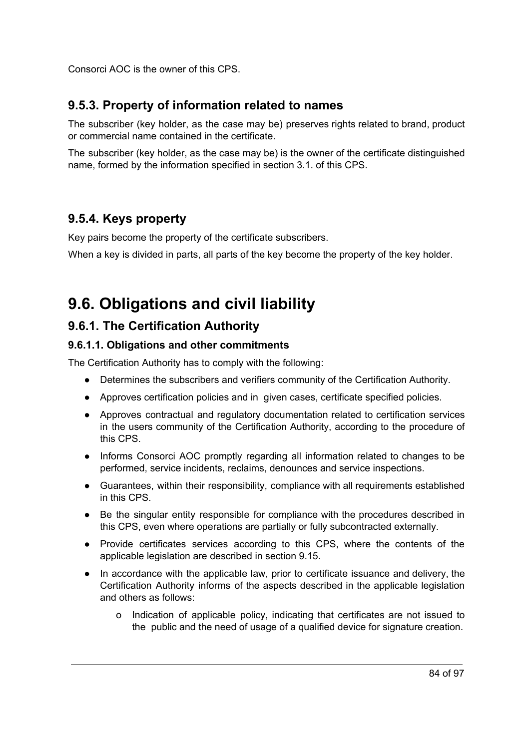Consorci AOC is the owner of this CPS.

## **9.5.3. Property of information related to names**

The subscriber (key holder, as the case may be) preserves rights related to brand, product or commercial name contained in the certificate.

The subscriber (key holder, as the case may be) is the owner of the certificate distinguished name, formed by the information specified in section 3.1. of this CPS.

## **9.5.4. Keys property**

Key pairs become the property of the certificate subscribers.

When a key is divided in parts, all parts of the key become the property of the key holder.

# **9.6. Obligations and civil liability**

## **9.6.1. The Certification Authority**

#### **9.6.1.1. Obligations and other commitments**

The Certification Authority has to comply with the following:

- Determines the subscribers and verifiers community of the Certification Authority.
- Approves certification policies and in given cases, certificate specified policies.
- Approves contractual and regulatory documentation related to certification services in the users community of the Certification Authority, according to the procedure of this CPS.
- Informs Consorci AOC promptly regarding all information related to changes to be performed, service incidents, reclaims, denounces and service inspections.
- Guarantees, within their responsibility, compliance with all requirements established in this CPS.
- Be the singular entity responsible for compliance with the procedures described in this CPS, even where operations are partially or fully subcontracted externally.
- Provide certificates services according to this CPS, where the contents of the applicable legislation are described in section 9.15.
- In accordance with the applicable law, prior to certificate issuance and delivery, the Certification Authority informs of the aspects described in the applicable legislation and others as follows:
	- o Indication of applicable policy, indicating that certificates are not issued to the public and the need of usage of a qualified device for signature creation.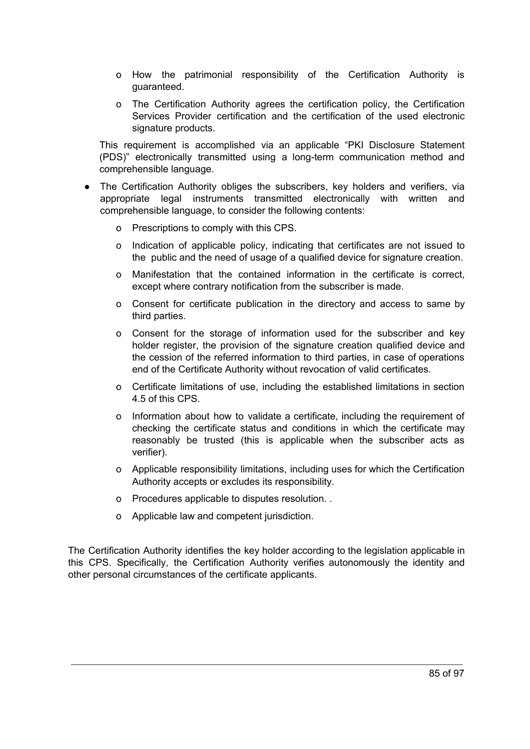- o How the patrimonial responsibility of the Certification Authority is guaranteed.
- o The Certification Authority agrees the certification policy, the Certification Services Provider certification and the certification of the used electronic signature products.

This requirement is accomplished via an applicable "PKI Disclosure Statement (PDS)" electronically transmitted using a long-term communication method and comprehensible language.

- The Certification Authority obliges the subscribers, key holders and verifiers, via appropriate legal instruments transmitted electronically with written and comprehensible language, to consider the following contents:
	- o Prescriptions to comply with this CPS.
	- o Indication of applicable policy, indicating that certificates are not issued to the public and the need of usage of a qualified device for signature creation.
	- o Manifestation that the contained information in the certificate is correct, except where contrary notification from the subscriber is made.
	- o Consent for certificate publication in the directory and access to same by third parties.
	- o Consent for the storage of information used for the subscriber and key holder register, the provision of the signature creation qualified device and the cession of the referred information to third parties, in case of operations end of the Certificate Authority without revocation of valid certificates.
	- o Certificate limitations of use, including the established limitations in section 4.5 of this CPS.
	- o Information about how to validate a certificate, including the requirement of checking the certificate status and conditions in which the certificate may reasonably be trusted (this is applicable when the subscriber acts as verifier).
	- o Applicable responsibility limitations, including uses for which the Certification Authority accepts or excludes its responsibility.
	- o Procedures applicable to disputes resolution. .
	- o Applicable law and competent jurisdiction.

The Certification Authority identifies the key holder according to the legislation applicable in this CPS. Specifically, the Certification Authority verifies autonomously the identity and other personal circumstances of the certificate applicants.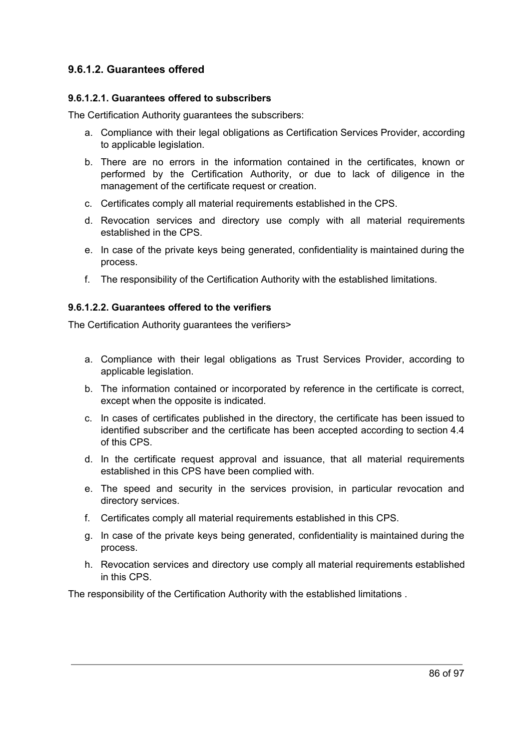#### **9.6.1.2. Guarantees offered**

#### **9.6.1.2.1. Guarantees offered to subscribers**

The Certification Authority guarantees the subscribers:

- a. Compliance with their legal obligations as Certification Services Provider, according to applicable legislation.
- b. There are no errors in the information contained in the certificates, known or performed by the Certification Authority, or due to lack of diligence in the management of the certificate request or creation.
- c. Certificates comply all material requirements established in the CPS.
- d. Revocation services and directory use comply with all material requirements established in the CPS.
- e. In case of the private keys being generated, confidentiality is maintained during the process.
- f. The responsibility of the Certification Authority with the established limitations.

#### **9.6.1.2.2. Guarantees offered to the verifiers**

The Certification Authority guarantees the verifiers>

- a. Compliance with their legal obligations as Trust Services Provider, according to applicable legislation.
- b. The information contained or incorporated by reference in the certificate is correct, except when the opposite is indicated.
- c. In cases of certificates published in the directory, the certificate has been issued to identified subscriber and the certificate has been accepted according to section 4.4 of this CPS.
- d. In the certificate request approval and issuance, that all material requirements established in this CPS have been complied with.
- e. The speed and security in the services provision, in particular revocation and directory services.
- f. Certificates comply all material requirements established in this CPS.
- g. In case of the private keys being generated, confidentiality is maintained during the process.
- h. Revocation services and directory use comply all material requirements established in this CPS.

The responsibility of the Certification Authority with the established limitations .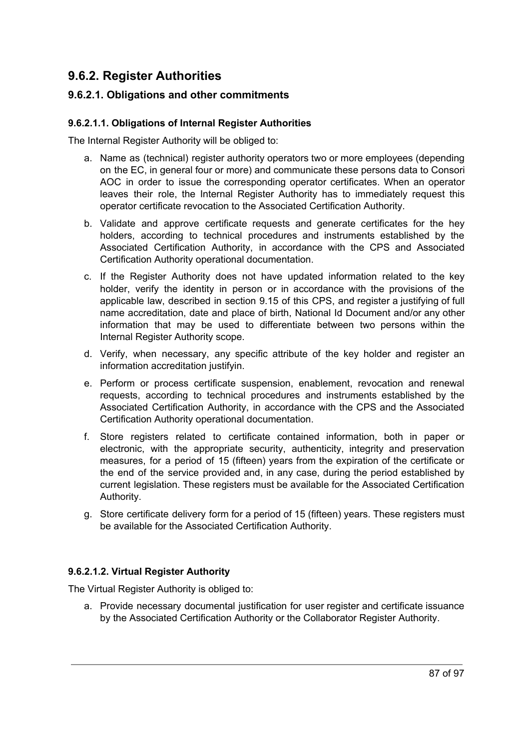## **9.6.2. Register Authorities**

#### **9.6.2.1. Obligations and other commitments**

#### **9.6.2.1.1. Obligations of Internal Register Authorities**

The Internal Register Authority will be obliged to:

- a. Name as (technical) register authority operators two or more employees (depending on the EC, in general four or more) and communicate these persons data to Consori AOC in order to issue the corresponding operator certificates. When an operator leaves their role, the Internal Register Authority has to immediately request this operator certificate revocation to the Associated Certification Authority.
- b. Validate and approve certificate requests and generate certificates for the hey holders, according to technical procedures and instruments established by the Associated Certification Authority, in accordance with the CPS and Associated Certification Authority operational documentation.
- c. If the Register Authority does not have updated information related to the key holder, verify the identity in person or in accordance with the provisions of the applicable law, described in section 9.15 of this CPS, and register a justifying of full name accreditation, date and place of birth, National Id Document and/or any other information that may be used to differentiate between two persons within the Internal Register Authority scope.
- d. Verify, when necessary, any specific attribute of the key holder and register an information accreditation justifyin.
- e. Perform or process certificate suspension, enablement, revocation and renewal requests, according to technical procedures and instruments established by the Associated Certification Authority, in accordance with the CPS and the Associated Certification Authority operational documentation.
- f. Store registers related to certificate contained information, both in paper or electronic, with the appropriate security, authenticity, integrity and preservation measures, for a period of 15 (fifteen) years from the expiration of the certificate or the end of the service provided and, in any case, during the period established by current legislation. These registers must be available for the Associated Certification Authority.
- g. Store certificate delivery form for a period of 15 (fifteen) years. These registers must be available for the Associated Certification Authority.

#### **9.6.2.1.2. Virtual Register Authority**

The Virtual Register Authority is obliged to:

a. Provide necessary documental justification for user register and certificate issuance by the Associated Certification Authority or the Collaborator Register Authority.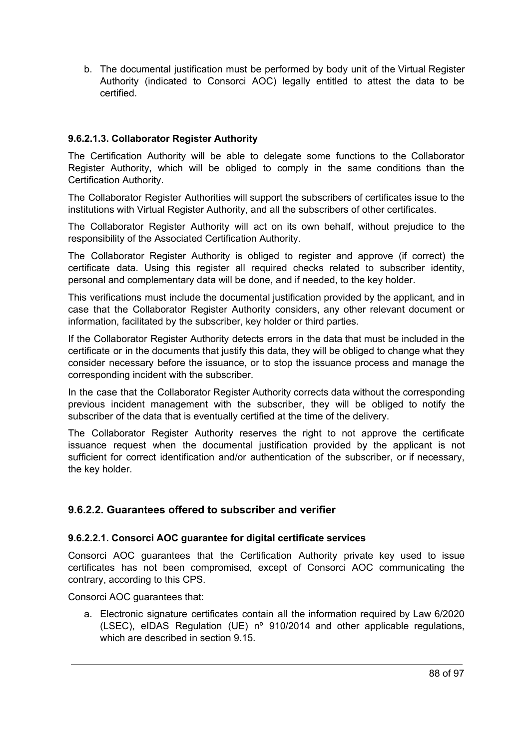b. The documental justification must be performed by body unit of the Virtual Register Authority (indicated to Consorci AOC) legally entitled to attest the data to be certified.

#### **9.6.2.1.3. Collaborator Register Authority**

The Certification Authority will be able to delegate some functions to the Collaborator Register Authority, which will be obliged to comply in the same conditions than the Certification Authority.

The Collaborator Register Authorities will support the subscribers of certificates issue to the institutions with Virtual Register Authority, and all the subscribers of other certificates.

The Collaborator Register Authority will act on its own behalf, without prejudice to the responsibility of the Associated Certification Authority.

The Collaborator Register Authority is obliged to register and approve (if correct) the certificate data. Using this register all required checks related to subscriber identity, personal and complementary data will be done, and if needed, to the key holder.

This verifications must include the documental justification provided by the applicant, and in case that the Collaborator Register Authority considers, any other relevant document or information, facilitated by the subscriber, key holder or third parties.

If the Collaborator Register Authority detects errors in the data that must be included in the certificate or in the documents that justify this data, they will be obliged to change what they consider necessary before the issuance, or to stop the issuance process and manage the corresponding incident with the subscriber.

In the case that the Collaborator Register Authority corrects data without the corresponding previous incident management with the subscriber, they will be obliged to notify the subscriber of the data that is eventually certified at the time of the delivery.

The Collaborator Register Authority reserves the right to not approve the certificate issuance request when the documental justification provided by the applicant is not sufficient for correct identification and/or authentication of the subscriber, or if necessary, the key holder.

#### **9.6.2.2. Guarantees offered to subscriber and verifier**

#### **9.6.2.2.1. Consorci AOC guarantee for digital certificate services**

Consorci AOC guarantees that the Certification Authority private key used to issue certificates has not been compromised, except of Consorci AOC communicating the contrary, according to this CPS.

Consorci AOC guarantees that:

a. Electronic signature certificates contain all the information required by Law 6/2020 (LSEC), eIDAS Regulation (UE) nº 910/2014 and other applicable regulations, which are described in section 9.15.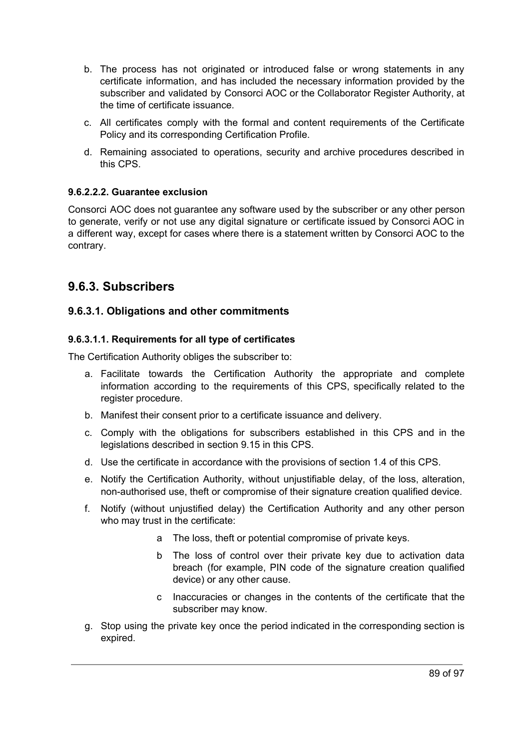- b. The process has not originated or introduced false or wrong statements in any certificate information, and has included the necessary information provided by the subscriber and validated by Consorci AOC or the Collaborator Register Authority, at the time of certificate issuance.
- c. All certificates comply with the formal and content requirements of the Certificate Policy and its corresponding Certification Profile.
- d. Remaining associated to operations, security and archive procedures described in this CPS.

#### **9.6.2.2.2. Guarantee exclusion**

Consorci AOC does not guarantee any software used by the subscriber or any other person to generate, verify or not use any digital signature or certificate issued by Consorci AOC in a different way, except for cases where there is a statement written by Consorci AOC to the contrary.

## **9.6.3. Subscribers**

#### **9.6.3.1. Obligations and other commitments**

#### **9.6.3.1.1. Requirements for all type of certificates**

The Certification Authority obliges the subscriber to:

- a. Facilitate towards the Certification Authority the appropriate and complete information according to the requirements of this CPS, specifically related to the register procedure.
- b. Manifest their consent prior to a certificate issuance and delivery.
- c. Comply with the obligations for subscribers established in this CPS and in the legislations described in section 9.15 in this CPS.
- d. Use the certificate in accordance with the provisions of section 1.4 of this CPS.
- e. Notify the Certification Authority, without unjustifiable delay, of the loss, alteration, non-authorised use, theft or compromise of their signature creation qualified device.
- f. Notify (without unjustified delay) the Certification Authority and any other person who may trust in the certificate:
	- a The loss, theft or potential compromise of private keys.
	- b The loss of control over their private key due to activation data breach (for example, PIN code of the signature creation qualified device) or any other cause.
	- c Inaccuracies or changes in the contents of the certificate that the subscriber may know.
- g. Stop using the private key once the period indicated in the corresponding section is expired.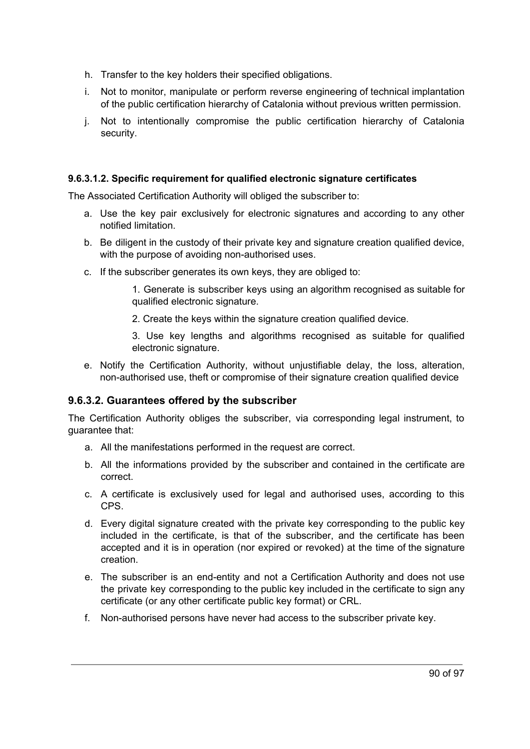- h. Transfer to the key holders their specified obligations.
- i. Not to monitor, manipulate or perform reverse engineering of technical implantation of the public certification hierarchy of Catalonia without previous written permission.
- j. Not to intentionally compromise the public certification hierarchy of Catalonia security.

#### **9.6.3.1.2. Specific requirement for qualified electronic signature certificates**

The Associated Certification Authority will obliged the subscriber to:

- a. Use the key pair exclusively for electronic signatures and according to any other notified limitation.
- b. Be diligent in the custody of their private key and signature creation qualified device, with the purpose of avoiding non-authorised uses.
- c. If the subscriber generates its own keys, they are obliged to:

1. Generate is subscriber keys using an algorithm recognised as suitable for qualified electronic signature.

2. Create the keys within the signature creation qualified device.

3. Use key lengths and algorithms recognised as suitable for qualified electronic signature.

e. Notify the Certification Authority, without unjustifiable delay, the loss, alteration, non-authorised use, theft or compromise of their signature creation qualified device

#### **9.6.3.2. Guarantees offered by the subscriber**

The Certification Authority obliges the subscriber, via corresponding legal instrument, to guarantee that:

- a. All the manifestations performed in the request are correct.
- b. All the informations provided by the subscriber and contained in the certificate are correct.
- c. A certificate is exclusively used for legal and authorised uses, according to this CPS.
- d. Every digital signature created with the private key corresponding to the public key included in the certificate, is that of the subscriber, and the certificate has been accepted and it is in operation (nor expired or revoked) at the time of the signature creation.
- e. The subscriber is an end-entity and not a Certification Authority and does not use the private key corresponding to the public key included in the certificate to sign any certificate (or any other certificate public key format) or CRL.
- f. Non-authorised persons have never had access to the subscriber private key.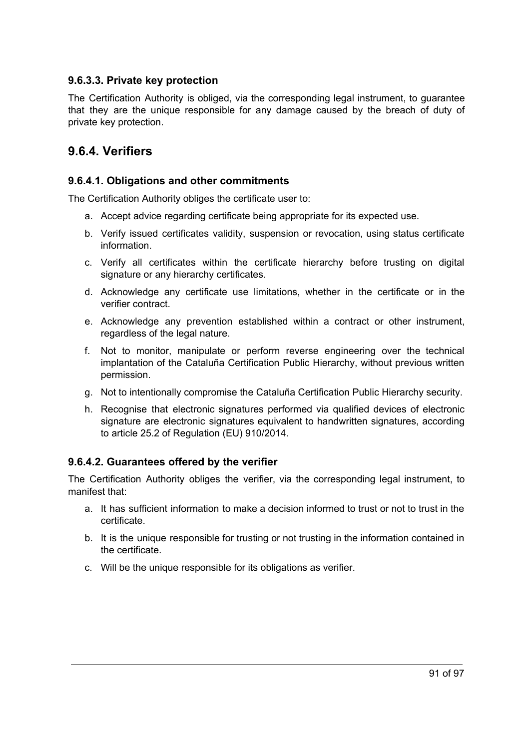#### **9.6.3.3. Private key protection**

The Certification Authority is obliged, via the corresponding legal instrument, to guarantee that they are the unique responsible for any damage caused by the breach of duty of private key protection.

## **9.6.4. Verifiers**

#### **9.6.4.1. Obligations and other commitments**

The Certification Authority obliges the certificate user to:

- a. Accept advice regarding certificate being appropriate for its expected use.
- b. Verify issued certificates validity, suspension or revocation, using status certificate information.
- c. Verify all certificates within the certificate hierarchy before trusting on digital signature or any hierarchy certificates.
- d. Acknowledge any certificate use limitations, whether in the certificate or in the verifier contract.
- e. Acknowledge any prevention established within a contract or other instrument, regardless of the legal nature.
- f. Not to monitor, manipulate or perform reverse engineering over the technical implantation of the Cataluña Certification Public Hierarchy, without previous written permission.
- g. Not to intentionally compromise the Cataluña Certification Public Hierarchy security.
- h. Recognise that electronic signatures performed via qualified devices of electronic signature are electronic signatures equivalent to handwritten signatures, according to article 25.2 of Regulation (EU) 910/2014.

#### **9.6.4.2. Guarantees offered by the verifier**

The Certification Authority obliges the verifier, via the corresponding legal instrument, to manifest that:

- a. It has sufficient information to make a decision informed to trust or not to trust in the certificate.
- b. It is the unique responsible for trusting or not trusting in the information contained in the certificate.
- c. Will be the unique responsible for its obligations as verifier.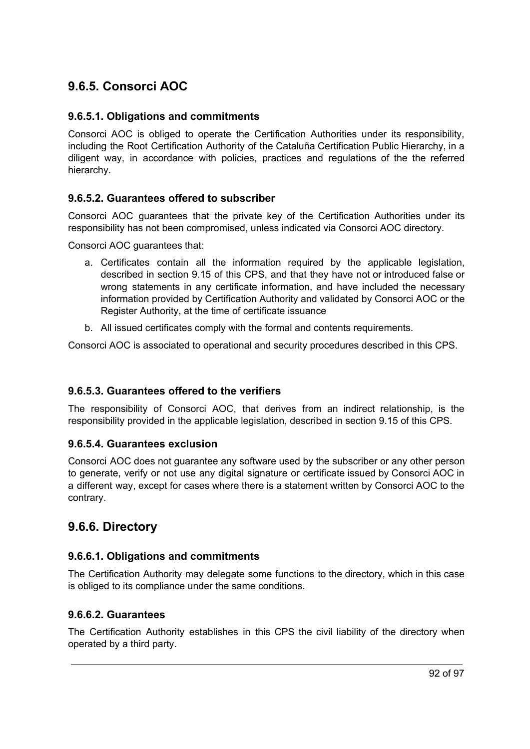## **9.6.5. Consorci AOC**

#### **9.6.5.1. Obligations and commitments**

Consorci AOC is obliged to operate the Certification Authorities under its responsibility, including the Root Certification Authority of the Cataluña Certification Public Hierarchy, in a diligent way, in accordance with policies, practices and regulations of the the referred hierarchy.

#### **9.6.5.2. Guarantees offered to subscriber**

Consorci AOC guarantees that the private key of the Certification Authorities under its responsibility has not been compromised, unless indicated via Consorci AOC directory.

Consorci AOC guarantees that:

- a. Certificates contain all the information required by the applicable legislation, described in section 9.15 of this CPS, and that they have not or introduced false or wrong statements in any certificate information, and have included the necessary information provided by Certification Authority and validated by Consorci AOC or the Register Authority, at the time of certificate issuance
- b. All issued certificates comply with the formal and contents requirements.

Consorci AOC is associated to operational and security procedures described in this CPS.

#### **9.6.5.3. Guarantees offered to the verifiers**

The responsibility of Consorci AOC, that derives from an indirect relationship, is the responsibility provided in the applicable legislation, described in section 9.15 of this CPS.

#### **9.6.5.4. Guarantees exclusion**

Consorci AOC does not guarantee any software used by the subscriber or any other person to generate, verify or not use any digital signature or certificate issued by Consorci AOC in a different way, except for cases where there is a statement written by Consorci AOC to the contrary.

## **9.6.6. Directory**

#### **9.6.6.1. Obligations and commitments**

The Certification Authority may delegate some functions to the directory, which in this case is obliged to its compliance under the same conditions.

#### **9.6.6.2. Guarantees**

The Certification Authority establishes in this CPS the civil liability of the directory when operated by a third party.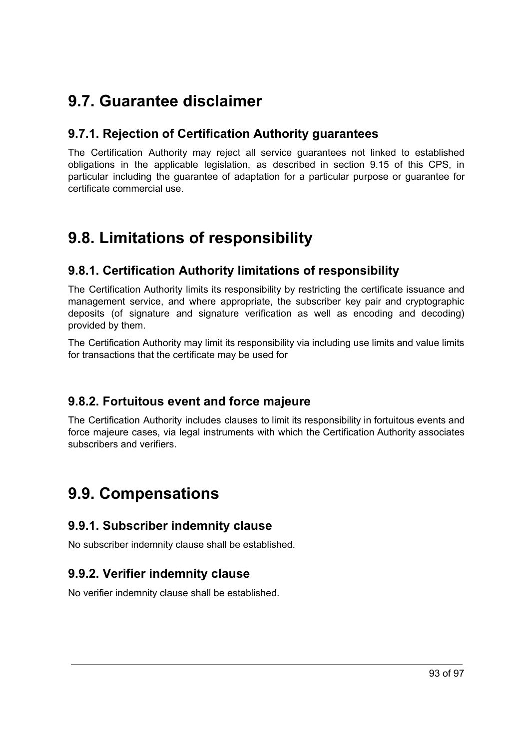# **9.7. Guarantee disclaimer**

## **9.7.1. Rejection of Certification Authority guarantees**

The Certification Authority may reject all service guarantees not linked to established obligations in the applicable legislation, as described in section 9.15 of this CPS, in particular including the guarantee of adaptation for a particular purpose or guarantee for certificate commercial use.

# **9.8. Limitations of responsibility**

## **9.8.1. Certification Authority limitations of responsibility**

The Certification Authority limits its responsibility by restricting the certificate issuance and management service, and where appropriate, the subscriber key pair and cryptographic deposits (of signature and signature verification as well as encoding and decoding) provided by them.

The Certification Authority may limit its responsibility via including use limits and value limits for transactions that the certificate may be used for

## **9.8.2. Fortuitous event and force majeure**

The Certification Authority includes clauses to limit its responsibility in fortuitous events and force majeure cases, via legal instruments with which the Certification Authority associates subscribers and verifiers.

# **9.9. Compensations**

## **9.9.1. Subscriber indemnity clause**

No subscriber indemnity clause shall be established.

## **9.9.2. Verifier indemnity clause**

No verifier indemnity clause shall be established.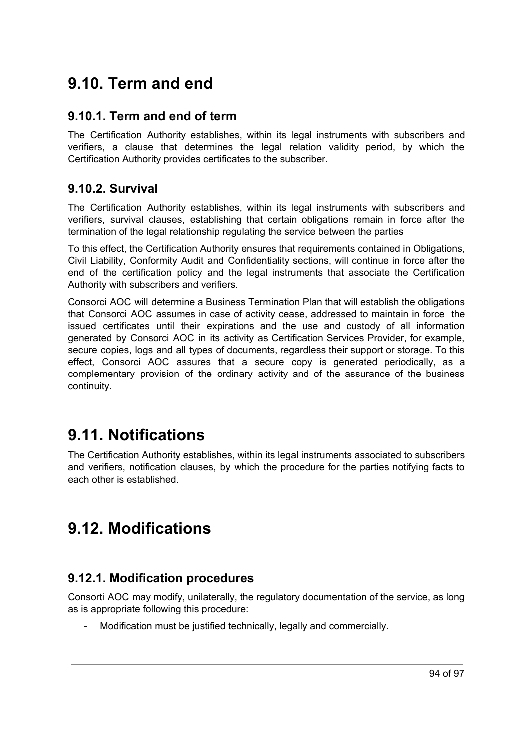# **9.10. Term and end**

## **9.10.1. Term and end of term**

The Certification Authority establishes, within its legal instruments with subscribers and verifiers, a clause that determines the legal relation validity period, by which the Certification Authority provides certificates to the subscriber.

## **9.10.2. Survival**

The Certification Authority establishes, within its legal instruments with subscribers and verifiers, survival clauses, establishing that certain obligations remain in force after the termination of the legal relationship regulating the service between the parties

To this effect, the Certification Authority ensures that requirements contained in Obligations, Civil Liability, Conformity Audit and Confidentiality sections, will continue in force after the end of the certification policy and the legal instruments that associate the Certification Authority with subscribers and verifiers.

Consorci AOC will determine a Business Termination Plan that will establish the obligations that Consorci AOC assumes in case of activity cease, addressed to maintain in force the issued certificates until their expirations and the use and custody of all information generated by Consorci AOC in its activity as Certification Services Provider, for example, secure copies, logs and all types of documents, regardless their support or storage. To this effect, Consorci AOC assures that a secure copy is generated periodically, as a complementary provision of the ordinary activity and of the assurance of the business continuity.

# **9.11. Notifications**

The Certification Authority establishes, within its legal instruments associated to subscribers and verifiers, notification clauses, by which the procedure for the parties notifying facts to each other is established.

# **9.12. Modifications**

## **9.12.1. Modification procedures**

Consorti AOC may modify, unilaterally, the regulatory documentation of the service, as long as is appropriate following this procedure:

Modification must be justified technically, legally and commercially.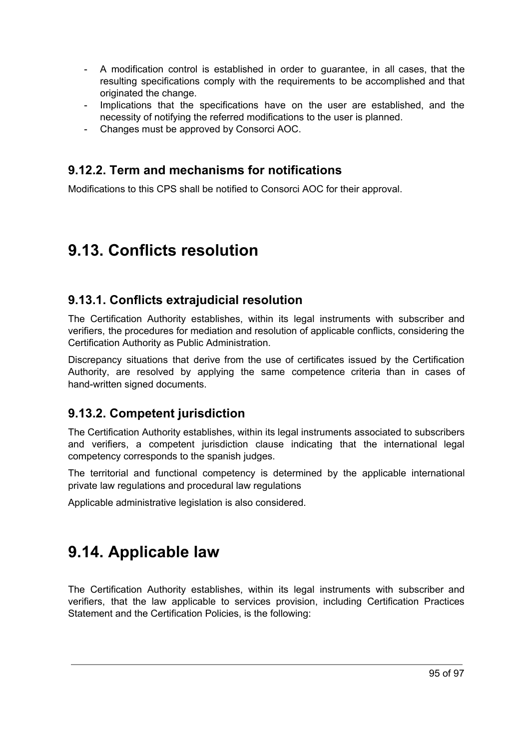- A modification control is established in order to guarantee, in all cases, that the resulting specifications comply with the requirements to be accomplished and that originated the change.
- Implications that the specifications have on the user are established, and the necessity of notifying the referred modifications to the user is planned.
- Changes must be approved by Consorci AOC.

## **9.12.2. Term and mechanisms for notifications**

Modifications to this CPS shall be notified to Consorci AOC for their approval.

# **9.13. Conflicts resolution**

## **9.13.1. Conflicts extrajudicial resolution**

The Certification Authority establishes, within its legal instruments with subscriber and verifiers, the procedures for mediation and resolution of applicable conflicts, considering the Certification Authority as Public Administration.

Discrepancy situations that derive from the use of certificates issued by the Certification Authority, are resolved by applying the same competence criteria than in cases of hand-written signed documents.

## **9.13.2. Competent jurisdiction**

The Certification Authority establishes, within its legal instruments associated to subscribers and verifiers, a competent jurisdiction clause indicating that the international legal competency corresponds to the spanish judges.

The territorial and functional competency is determined by the applicable international private law regulations and procedural law regulations

Applicable administrative legislation is also considered.

# **9.14. Applicable law**

The Certification Authority establishes, within its legal instruments with subscriber and verifiers, that the law applicable to services provision, including Certification Practices Statement and the Certification Policies, is the following: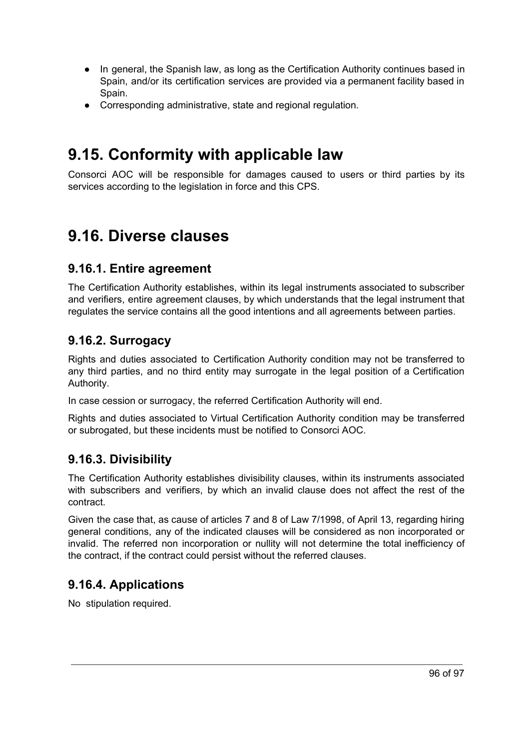- In general, the Spanish law, as long as the Certification Authority continues based in Spain, and/or its certification services are provided via a permanent facility based in Spain.
- Corresponding administrative, state and regional regulation.

# **9.15. Conformity with applicable law**

Consorci AOC will be responsible for damages caused to users or third parties by its services according to the legislation in force and this CPS.

# **9.16. Diverse clauses**

## **9.16.1. Entire agreement**

The Certification Authority establishes, within its legal instruments associated to subscriber and verifiers, entire agreement clauses, by which understands that the legal instrument that regulates the service contains all the good intentions and all agreements between parties.

## **9.16.2. Surrogacy**

Rights and duties associated to Certification Authority condition may not be transferred to any third parties, and no third entity may surrogate in the legal position of a Certification Authority.

In case cession or surrogacy, the referred Certification Authority will end.

Rights and duties associated to Virtual Certification Authority condition may be transferred or subrogated, but these incidents must be notified to Consorci AOC.

## **9.16.3. Divisibility**

The Certification Authority establishes divisibility clauses, within its instruments associated with subscribers and verifiers, by which an invalid clause does not affect the rest of the contract.

Given the case that, as cause of articles 7 and 8 of Law 7/1998, of April 13, regarding hiring general conditions, any of the indicated clauses will be considered as non incorporated or invalid. The referred non incorporation or nullity will not determine the total inefficiency of the contract, if the contract could persist without the referred clauses.

## **9.16.4. Applications**

No stipulation required.